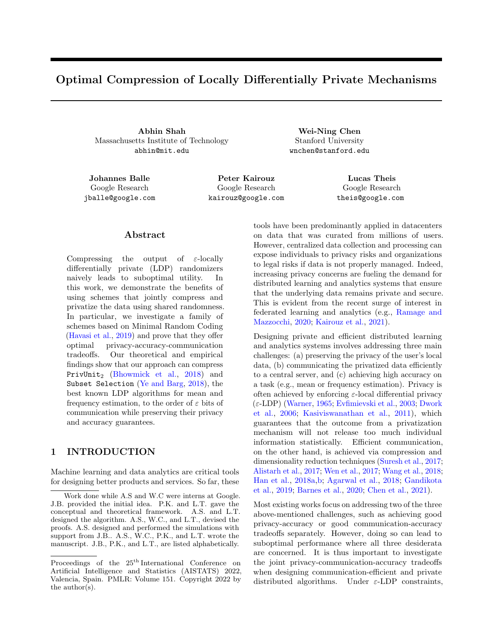# Optimal Compression of Locally Differentially Private Mechanisms

Abhin Shah Wei-Ning Chen Massachusetts Institute of Technology abhin@mit.edu

Stanford University wnchen@stanford.edu

Google Research jballe@google.com

Johannes Balle Peter Kairouz Lucas Theis Google Research kairouz@google.com

Google Research theis@google.com

# Abstract

Compressing the output of  $\varepsilon$ -locally differentially private (LDP) randomizers naively leads to suboptimal utility. In this work, we demonstrate the benefits of using schemes that jointly compress and privatize the data using shared randomness. In particular, we investigate a family of schemes based on Minimal Random Coding [\(Havasi et al.,](#page-10-0) [2019\)](#page-10-0) and prove that they offer optimal privacy-accuracy-communication tradeoffs. Our theoretical and empirical findings show that our approach can compress PrivUnit<sup>2</sup> [\(Bhowmick et al.,](#page-9-0) [2018\)](#page-9-0) and Subset Selection [\(Ye and Barg,](#page-11-0) [2018\)](#page-11-0), the best known LDP algorithms for mean and frequency estimation, to the order of  $\varepsilon$  bits of communication while preserving their privacy and accuracy guarantees.

# 1 INTRODUCTION

Machine learning and data analytics are critical tools for designing better products and services. So far, these tools have been predominantly applied in datacenters on data that was curated from millions of users. However, centralized data collection and processing can expose individuals to privacy risks and organizations to legal risks if data is not properly managed. Indeed, increasing privacy concerns are fueling the demand for distributed learning and analytics systems that ensure that the underlying data remains private and secure. This is evident from the recent surge of interest in federated learning and analytics (e.g., [Ramage and](#page-10-1) [Mazzocchi,](#page-10-1) [2020;](#page-10-1) [Kairouz et al.,](#page-10-2) [2021\)](#page-10-2).

Designing private and efficient distributed learning and analytics systems involves addressing three main challenges: (a) preserving the privacy of the user's local data, (b) communicating the privatized data efficiently to a central server, and (c) achieving high accuracy on a task (e.g., mean or frequency estimation). Privacy is often achieved by enforcing  $\varepsilon$ -local differential privacy (ε-LDP) [\(Warner,](#page-10-3) [1965;](#page-10-3) [Evfimievski et al.,](#page-9-1) [2003;](#page-9-1) [Dwork](#page-9-2) [et al.,](#page-9-2) [2006;](#page-9-2) [Kasiviswanathan et al.,](#page-10-4) [2011\)](#page-10-4), which guarantees that the outcome from a privatization mechanism will not release too much individual information statistically. Efficient communication, on the other hand, is achieved via compression and dimensionality reduction techniques [\(Suresh et al.,](#page-10-5) [2017;](#page-10-5) [Alistarh et al.,](#page-9-3) [2017;](#page-9-3) [Wen et al.,](#page-10-6) [2017;](#page-10-6) [Wang et al.,](#page-10-7) [2018;](#page-10-7) [Han et al.,](#page-10-8) [2018a,](#page-10-8)[b;](#page-10-9) [Agarwal et al.,](#page-9-4) [2018;](#page-9-4) [Gandikota](#page-9-5) [et al.,](#page-9-5) [2019;](#page-9-5) [Barnes et al.,](#page-9-6) [2020;](#page-9-6) [Chen et al.,](#page-9-7) [2021\)](#page-9-7).

Most existing works focus on addressing two of the three above-mentioned challenges, such as achieving good privacy-accuracy or good communication-accuracy tradeoffs separately. However, doing so can lead to suboptimal performance where all three desiderata are concerned. It is thus important to investigate the joint privacy-communication-accuracy tradeoffs when designing communication-efficient and private distributed algorithms. Under  $\varepsilon$ -LDP constraints,

Work done while A.S and W.C were interns at Google. J.B. provided the initial idea. P.K. and L.T. gave the conceptual and theoretical framework. A.S. and L.T. designed the algorithm. A.S., W.C., and L.T., devised the proofs. A.S. designed and performed the simulations with support from J.B.. A.S., W.C., P.K., and L.T. wrote the manuscript. J.B., P.K., and L.T., are listed alphabetically.

Proceedings of the  $25<sup>th</sup>$ International Conference on Artificial Intelligence and Statistics (AISTATS) 2022, Valencia, Spain. PMLR: Volume 151. Copyright 2022 by the author(s).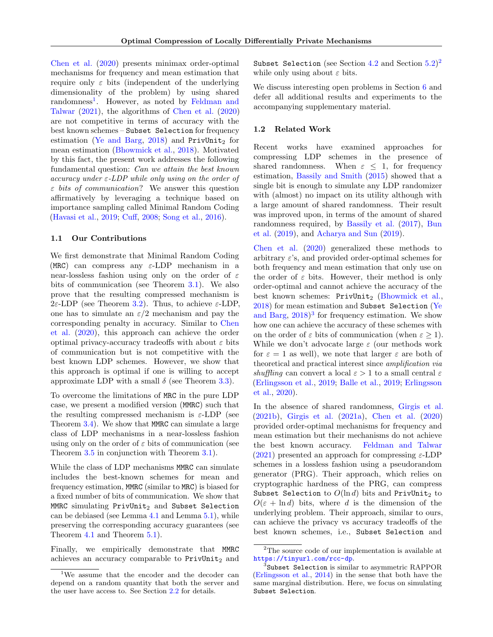[Chen et al.](#page-9-8) [\(2020\)](#page-9-8) presents minimax order-optimal mechanisms for frequency and mean estimation that require only  $\varepsilon$  bits (independent of the underlying dimensionality of the problem) by using shared randomness<sup>[1](#page-1-0)</sup>. However, as noted by [Feldman and](#page-9-9) [Talwar](#page-9-9) [\(2021\)](#page-9-9), the algorithms of [Chen et al.](#page-9-8) [\(2020\)](#page-9-8) are not competitive in terms of accuracy with the best known schemes – Subset Selection for frequency estimation [\(Ye and Barg,](#page-11-0)  $2018$ ) and PrivUnit<sub>2</sub> for mean estimation [\(Bhowmick et al.,](#page-9-0) [2018\)](#page-9-0). Motivated by this fact, the present work addresses the following fundamental question: Can we attain the best known accuracy under  $\varepsilon$ -LDP while only using on the order of  $\varepsilon$  bits of communication? We answer this question affirmatively by leveraging a technique based on importance sampling called Minimal Random Coding [\(Havasi et al.,](#page-10-0) [2019;](#page-10-0) [Cuff,](#page-9-10) [2008;](#page-9-10) [Song et al.,](#page-10-10) [2016\)](#page-10-10).

## 1.1 Our Contributions

We first demonstrate that Minimal Random Coding (MRC) can compress any  $\varepsilon$ -LDP mechanism in a near-lossless fashion using only on the order of  $\varepsilon$ bits of communication (see Theorem [3.1\)](#page-3-0). We also prove that the resulting compressed mechanism is  $2\varepsilon$ -LDP (see Theorem [3.2\)](#page-3-1). Thus, to achieve  $\varepsilon$ -LDP, one has to simulate an  $\varepsilon/2$  mechanism and pay the corresponding penalty in accuracy. Similar to [Chen](#page-9-8) [et al.](#page-9-8) [\(2020\)](#page-9-8), this approach can achieve the order optimal privacy-accuracy tradeoffs with about  $\varepsilon$  bits of communication but is not competitive with the best known LDP schemes. However, we show that this approach is optimal if one is willing to accept approximate LDP with a small  $\delta$  (see Theorem [3.3\)](#page-4-0).

To overcome the limitations of MRC in the pure LDP case, we present a modified version (MMRC) such that the resulting compressed mechanism is  $\varepsilon$ -LDP (see Theorem [3.4\)](#page-5-0). We show that MMRC can simulate a large class of LDP mechanisms in a near-lossless fashion using only on the order of  $\varepsilon$  bits of communication (see Theorem [3.5](#page-5-1) in conjunction with Theorem [3.1\)](#page-3-0).

While the class of LDP mechanisms MMRC can simulate includes the best-known schemes for mean and frequency estimation, MMRC (similar to MRC) is biased for a fixed number of bits of communication. We show that MMRC simulating PrivUnit<sub>2</sub> and Subset Selection can be debiased (see Lemma [4.1](#page-6-0) and Lemma [5.1\)](#page-7-0), while preserving the corresponding accuracy guarantees (see Theorem [4.1](#page-6-1) and Theorem [5.1\)](#page-7-1).

Finally, we empirically demonstrate that MMRC achieves an accuracy comparable to  $PrivUnit<sub>2</sub>$  and

Subset Selection (see Section [4.2](#page-6-2) and Section  $5.2)^2$  $5.2)^2$  $5.2)^2$ while only using about  $\varepsilon$  bits.

We discuss interesting open problems in Section [6](#page-8-0) and defer all additional results and experiments to the accompanying supplementary material.

# <span id="page-1-3"></span>1.2 Related Work

Recent works have examined approaches for compressing LDP schemes in the presence of shared randomness. When  $\varepsilon \leq 1$ , for frequency estimation, [Bassily and Smith](#page-9-11) [\(2015\)](#page-9-11) showed that a single bit is enough to simulate any LDP randomizer with (almost) no impact on its utility although with a large amount of shared randomness. Their result was improved upon, in terms of the amount of shared randomness required, by [Bassily et al.](#page-9-12) [\(2017\)](#page-9-12), [Bun](#page-9-13) [et al.](#page-9-13) [\(2019\)](#page-9-13), and [Acharya and Sun](#page-9-14) [\(2019\)](#page-9-14).

[Chen et al.](#page-9-8) [\(2020\)](#page-9-8) generalized these methods to arbitrary  $\varepsilon$ 's, and provided order-optimal schemes for both frequency and mean estimation that only use on the order of  $\varepsilon$  bits. However, their method is only order-optimal and cannot achieve the accuracy of the best known schemes: PrivUnit<sub>2</sub> [\(Bhowmick et al.,](#page-9-0) [2018\)](#page-9-0) for mean estimation and Subset Selection [\(Ye](#page-11-0) [and Barg,](#page-11-0)  $2018$ <sup>[3](#page-1-2)</sup> for frequency estimation. We show how one can achieve the accuracy of these schemes with on the order of  $\varepsilon$  bits of communication (when  $\varepsilon \geq 1$ ). While we don't advocate large  $\varepsilon$  (our methods work for  $\varepsilon = 1$  as well), we note that larger  $\varepsilon$  are both of theoretical and practical interest since amplification via shuffling can convert a local  $\varepsilon > 1$  to a small central  $\varepsilon$ [\(Erlingsson et al.,](#page-9-15) [2019;](#page-9-15) [Balle et al.,](#page-9-16) [2019;](#page-9-16) [Erlingsson](#page-9-17) [et al.,](#page-9-17) [2020\)](#page-9-17).

In the absence of shared randomness, [Girgis et al.](#page-10-11) [\(2021b\)](#page-10-11), [Girgis et al.](#page-9-18) [\(2021a\)](#page-9-18), [Chen et al.](#page-9-8) [\(2020\)](#page-9-8) provided order-optimal mechanisms for frequency and mean estimation but their mechanisms do not achieve the best known accuracy. [Feldman and Talwar](#page-9-9) [\(2021\)](#page-9-9) presented an approach for compressing  $\varepsilon$ -LDP schemes in a lossless fashion using a pseudorandom generator (PRG). Their approach, which relies on cryptographic hardness of the PRG, can compress Subset Selection to  $O(\ln d)$  bits and PrivUnit<sub>2</sub> to  $O(\varepsilon + \ln d)$  bits, where d is the dimension of the underlying problem. Their approach, similar to ours, can achieve the privacy vs accuracy tradeoffs of the best known schemes, i.e., Subset Selection and

<span id="page-1-0"></span><sup>&</sup>lt;sup>1</sup>We assume that the encoder and the decoder can depend on a random quantity that both the server and the user have access to. See Section [2.2](#page-2-0) for details.

<span id="page-1-1"></span><sup>2</sup>The source code of our implementation is available at <https://tinyurl.com/rcc-dp>.

<span id="page-1-2"></span> $^3$ Subset Selection is similar to asymmetric RAPPOR [\(Erlingsson et al.,](#page-9-19) [2014\)](#page-9-19) in the sense that both have the same marginal distribution. Here, we focus on simulating Subset Selection.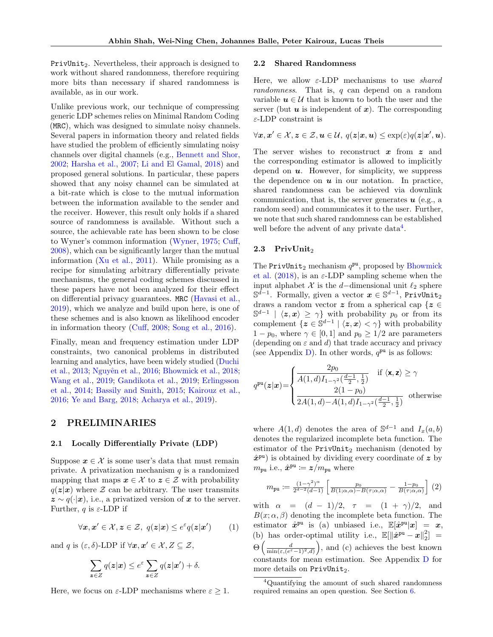$PrivUnit<sub>2</sub>$ . Nevertheless, their approach is designed to work without shared randomness, therefore requiring more bits than necessary if shared randomness is available, as in our work.

Unlike previous work, our technique of compressing generic LDP schemes relies on Minimal Random Coding (MRC), which was designed to simulate noisy channels. Several papers in information theory and related fields have studied the problem of efficiently simulating noisy channels over digital channels (e.g., [Bennett and Shor,](#page-9-20) [2002;](#page-9-20) [Harsha et al.,](#page-10-12) [2007;](#page-10-12) [Li and El Gamal,](#page-10-13) [2018\)](#page-10-13) and proposed general solutions. In particular, these papers showed that any noisy channel can be simulated at a bit-rate which is close to the mutual information between the information available to the sender and the receiver. However, this result only holds if a shared source of randomness is available. Without such a source, the achievable rate has been shown to be close to Wyner's common information [\(Wyner,](#page-10-14) [1975;](#page-10-14) [Cuff,](#page-9-10) [2008\)](#page-9-10), which can be significantly larger than the mutual information  $(Xu et al., 2011)$  $(Xu et al., 2011)$ . While promising as a recipe for simulating arbitrary differentially private mechanisms, the general coding schemes discussed in these papers have not been analyzed for their effect on differential privacy guarantees. MRC [\(Havasi et al.,](#page-10-0) [2019\)](#page-10-0), which we analyze and build upon here, is one of these schemes and is also known as likelihood encoder in information theory [\(Cuff,](#page-9-10) [2008;](#page-9-10) [Song et al.,](#page-10-10) [2016\)](#page-10-10).

Finally, mean and frequency estimation under LDP constraints, two canonical problems in distributed learning and analytics, have been widely studied [\(Duchi](#page-9-21) [et al.,](#page-9-21) [2013;](#page-9-21) Nguyên et al., [2016;](#page-10-16) [Bhowmick et al.,](#page-9-0) [2018;](#page-9-0) [Wang et al.,](#page-10-17) [2019;](#page-10-17) [Gandikota et al.,](#page-9-5) [2019;](#page-9-5) [Erlingsson](#page-9-19) [et al.,](#page-9-19) [2014;](#page-9-19) [Bassily and Smith,](#page-9-11) [2015;](#page-9-11) [Kairouz et al.,](#page-10-18) [2016;](#page-10-18) [Ye and Barg,](#page-11-0) [2018;](#page-11-0) [Acharya et al.,](#page-9-22) [2019\)](#page-9-22).

# <span id="page-2-3"></span>2 PRELIMINARIES

#### 2.1 Locally Differentially Private (LDP)

Suppose  $x \in \mathcal{X}$  is some user's data that must remain private. A privatization mechanism  $q$  is a randomized mapping that maps  $x \in \mathcal{X}$  to  $z \in \mathcal{Z}$  with probability  $q(z|x)$  where Z can be arbitrary. The user transmits  $z \sim q(\cdot|\mathbf{x})$ , i.e., a privatized version of x to the server. Further, q is  $\varepsilon$ -LDP if

$$
\forall x, x' \in \mathcal{X}, z \in \mathcal{Z}, q(z|x) \le e^{\varepsilon} q(z|x') \qquad (1)
$$

and q is  $(\varepsilon, \delta)$ -LDP if  $\forall x, x' \in \mathcal{X}, Z \subseteq \mathcal{Z}$ ,

$$
\sum_{\mathbf{z}\in Z} q(\mathbf{z}|\mathbf{x}) \le e^{\varepsilon} \sum_{\mathbf{z}\in Z} q(\mathbf{z}|\mathbf{x}') + \delta.
$$

Here, we focus on  $\varepsilon$ -LDP mechanisms where  $\varepsilon \geq 1$ .

#### <span id="page-2-0"></span>2.2 Shared Randomness

Here, we allow  $\varepsilon$ -LDP mechanisms to use *shared* randomness. That is, q can depend on a random variable  $u \in \mathcal{U}$  that is known to both the user and the server (but  $u$  is independent of  $x$ ). The corresponding  $\varepsilon$ -LDP constraint is

$$
\forall \pmb{x}, \pmb{x}' \in \mathcal{X}, \pmb{z} \in \mathcal{Z}, \pmb{u} \in \mathcal{U}, \ q(\pmb{z}|\pmb{x},\pmb{u}) \leq \exp(\varepsilon)q(\pmb{z}|\pmb{x}',\pmb{u}).
$$

The server wishes to reconstruct  $x$  from  $z$  and the corresponding estimator is allowed to implicitly depend on  $u$ . However, for simplicity, we suppress the dependence on  $u$  in our notation. In practice, shared randomness can be achieved via downlink communication, that is, the server generates  $\boldsymbol{u}$  (e.g., a random seed) and communicates it to the user. Further, we note that such shared randomness can be established well before the advent of any private data<sup>[4](#page-2-1)</sup>.

# 2.3 PrivUnit<sub>2</sub>

The PrivUnit<sub>2</sub> mechanism  $q^{pu}$ , proposed by [Bhowmick](#page-9-0) [et al.](#page-9-0)  $(2018)$ , is an  $\varepsilon$ -LDP sampling scheme when the input alphabet  $\mathcal X$  is the d–dimensional unit  $\ell_2$  sphere  $\mathbb{S}^{d-1}$ . Formally, given a vector  $x \in \mathbb{S}^{d-1}$ , PrivUnit<sub>2</sub> draws a random vector z from a spherical cap  $\{z \in \mathcal{Z}\}$  $\mathbb{S}^{d-1}$  |  $\langle z, x \rangle \geq \gamma$ } with probability  $p_0$  or from its complement  $\{z \in \mathbb{S}^{d-1} \mid \langle z, x \rangle \langle \gamma \}$  with probability  $1 - p_0$ , where  $\gamma \in [0, 1]$  and  $p_0 \geq 1/2$  are parameters (depending on  $\varepsilon$  and d) that trade accuracy and privacy (see Appendix [D\)](#page-21-0). In other words,  $q^{\text{pu}}$  is as follows:

$$
q^{\text{pu}}(\boldsymbol{z}|\boldsymbol{x}) = \begin{cases} \frac{2p_0}{A(1,d)I_{1-\gamma^2}(\frac{d-1}{2},\frac{1}{2})} & \text{if } \langle \mathbf{x}, \mathbf{z} \rangle \ge \gamma \\ \frac{2(1-p_0)}{2A(1,d)-A(1,d)I_{1-\gamma^2}(\frac{d-1}{2},\frac{1}{2})} & \text{otherwise} \end{cases}
$$

where  $A(1, d)$  denotes the area of  $\mathbb{S}^{d-1}$  and  $I_x(a, b)$ denotes the regularized incomplete beta function. The estimator of the  $PrivUnit_2$  mechanism (denoted by  $\hat{x}^{pu}$ ) is obtained by dividing every coordinate of z by  $m_{\text{pu}}$  i.e.,  $\hat{\boldsymbol{x}}^{\text{pu}} := \boldsymbol{z}/m_{\text{pu}}$  where

<span id="page-2-4"></span>
$$
m_{\text{pu}} \coloneqq \frac{(1-\gamma^2)^{\alpha}}{2^{d-2}(d-1)} \left[ \frac{p_0}{B(1;\alpha,\alpha)-B(\tau;\alpha,\alpha)} - \frac{1-p_0}{B(\tau;\alpha,\alpha)} \right] (2)
$$

<span id="page-2-2"></span>with  $\alpha = (d-1)/2$ ,  $\tau = (1 + \gamma)/2$ , and  $B(x; \alpha, \beta)$  denoting the incomplete beta function. The estimator  $\hat{x}^{pu}$  is (a) unbiased i.e.,  $\mathbb{E}[\hat{x}^{pu}|\boldsymbol{x}] = \boldsymbol{x},$ (b) has order-optimal utility i.e.,  $\mathbb{E}[\|\hat{x}^{pu} - x\|_2^2] =$  $\Theta\left(\frac{d}{\min(\varepsilon,(e^{\varepsilon}-1)^2,d)}\right)$ , and (c) achieves the best known constants for mean estimation. See Appendix [D](#page-21-0) for more details on PrivUnit<sub>2</sub>.

<span id="page-2-1"></span><sup>4</sup>Quantifying the amount of such shared randomness required remains an open question. See Section [6.](#page-8-0)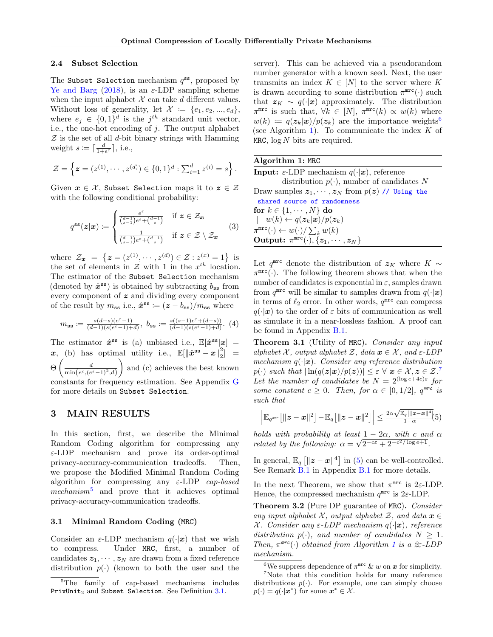## 2.4 Subset Selection

The Subset Selection mechanism  $q^{ss}$ , proposed by [Ye and Barg](#page-11-0) [\(2018\)](#page-11-0), is an  $\varepsilon$ -LDP sampling scheme when the input alphabet  $\mathcal X$  can take d different values. Without loss of generality, let  $\mathcal{X} := \{e_1, e_2, ..., e_d\},\$ where  $e_j \in \{0,1\}^d$  is the  $j^{th}$  standard unit vector, i.e., the one-hot encoding of  $j$ . The output alphabet  $\mathcal Z$  is the set of all d-bit binary strings with Hamming weight  $s \coloneqq \lceil \frac{d}{1+e^{\varepsilon}} \rceil$ , i.e.,

$$
\mathcal{Z} = \left\{ \boldsymbol{z} = (z^{(1)}, \cdots, z^{(d)}) \in \{0, 1\}^d : \sum_{i=1}^d z^{(i)} = s \right\}.
$$

Given  $x \in \mathcal{X}$ , Subset Selection maps it to  $z \in \mathcal{Z}$ with the following conditional probability:

$$
q^{\mathbf{ss}}(\mathbf{z}|\mathbf{x}) \coloneqq \begin{cases} \frac{e^{\varepsilon}}{\left(\frac{d-1}{s-1}\right)e^{\varepsilon} + \left(\frac{d-1}{s}\right)} & \text{if } \mathbf{z} \in \mathcal{Z}_{\mathbf{x}}\\ \frac{1}{\left(\frac{d-1}{s-1}\right)e^{\varepsilon} + \left(\frac{d-1}{s}\right)} & \text{if } \mathbf{z} \in \mathcal{Z} \setminus \mathcal{Z}_{\mathbf{x}} \end{cases} \tag{3}
$$

where  $\mathcal{Z}_x = \{ z = (z^{(1)}, \dots, z^{(d)}) \in \mathcal{Z} : z^{(x)} = 1 \}$  is the set of elements in  $\mathcal Z$  with 1 in the  $x^{th}$  location. The estimator of the Subset Selection mechanism (denoted by  $\hat{\mathbf{x}}^{\text{ss}}$ ) is obtained by subtracting  $b_{ss}$  from every component of z and dividing every component of the result by  $m_{ss}$  i.e.,  $\hat{\mathbf{x}}^{\text{ss}} \coloneqq (\mathbf{z} - b_{ss})/m_{ss}$  where

$$
m_{\text{ss}} := \frac{s(d-s)(e^{\varepsilon}-1)}{(d-1)(s(e^{\varepsilon}-1)+d)}, \ b_{\text{ss}} := \frac{s((s-1)e^{\varepsilon}+(d-s))}{(d-1)(s(e^{\varepsilon}-1)+d)}.\ (4)
$$

The estimator  $\hat{x}^{ss}$  is (a) unbiased i.e.,  $\mathbb{E}[\hat{x}^{ss}|\mathbf{x}] =$  $\boldsymbol{x},$  (b) has optimal utility i.e.,  $\mathbb{E}[\|\hat{\boldsymbol{x}}^{ss} - \boldsymbol{x}\|_2^2] =$  $\Theta\left(\frac{d}{\min\left(e^{\varepsilon},(e^{\varepsilon}-1)^2,d\right)}\right)$  and (c) achieves the best known constants for frequency estimation. See Appendix [G](#page-31-0) for more details on Subset Selection.

# <span id="page-3-9"></span>3 MAIN RESULTS

In this section, first, we describe the Minimal Random Coding algorithm for compressing any ε-LDP mechanism and prove its order-optimal privacy-accuracy-communication tradeoffs. Then, we propose the Modified Minimal Random Coding algorithm for compressing any  $\varepsilon$ -LDP cap-based mechanism $\bar{5}$  $\bar{5}$  $\bar{5}$  and prove that it achieves optimal privacy-accuracy-communication tradeoffs.

#### <span id="page-3-7"></span>3.1 Minimal Random Coding (MRC)

Consider an  $\varepsilon$ -LDP mechanism  $q(\cdot|\boldsymbol{x})$  that we wish<br>to compress. Under MRC, first, a number of Under MRC, first, a number of candidates  $z_1, \dots, z_N$  are drawn from a fixed reference distribution  $p(\cdot)$  (known to both the user and the server). This can be achieved via a pseudorandom number generator with a known seed. Next, the user transmits an index  $K \in [N]$  to the server where K is drawn according to some distribution  $\pi^{\text{mrc}}(\cdot)$  such that  $z_K \sim q(\cdot|\mathbf{x})$  approximately. The distribution  $\pi^{\text{mrc}}$  is such that,  $\forall k \in [N], \pi^{\text{mrc}}(k) \propto w(k)$  where  $w(k) := q(z_k|x)/p(z_k)$  are the importance weights<sup>[6](#page-3-3)</sup> (see Algorithm [1\)](#page-3-4). To communicate the index  $K$  of MRC,  $log N$  bits are required.

| Algorithm 1: MRC |  |  |
|------------------|--|--|
|------------------|--|--|

| <b>Input:</b> $\varepsilon$ -LDP mechanism $q(\cdot \boldsymbol{x})$ , reference |
|----------------------------------------------------------------------------------|
| distribution $p(\cdot)$ , number of candidates N                                 |
| Draw samples $z_1, \dots, z_N$ from $p(z)$ // Using the                          |
| shared source of randomness                                                      |
| for $k \in \{1, \cdots, N\}$ do                                                  |
| $ w(k) \leftarrow q(\mathbf{z}_k \mathbf{x})/p(\mathbf{z}_k)$                    |
| $\pi^{\text{mrc}}(\cdot) \leftarrow w(\cdot) / \sum_{k} w(k)$                    |
| Output: $\pi^{\text{mrc}}(\cdot), \{z_1, \cdots, z_N\}$                          |

<span id="page-3-8"></span><span id="page-3-4"></span>Let  $q^{\text{mrc}}$  denote the distribution of  $z_K$  where  $K \sim$  $\pi^{\text{mrc}}(\cdot)$ . The following theorem shows that when the number of candidates is exponential in  $\varepsilon$ , samples drawn from  $q^{\text{mrc}}$  will be similar to samples drawn from  $q(\cdot|\boldsymbol{x})$ in terms of  $\ell_2$  error. In other words,  $q^{\text{mrc}}$  can compress  $q(\cdot|\mathbf{x})$  to the order of  $\varepsilon$  bits of communication as well as simulate it in a near-lossless fashion. A proof can be found in Appendix [B.1.](#page-12-0)

<span id="page-3-10"></span><span id="page-3-0"></span>Theorem 3.1 (Utility of MRC). Consider any input alphabet X, output alphabet Z, data  $x \in \mathcal{X}$ , and  $\varepsilon$ -LDP mechanism  $q(\cdot|\boldsymbol{x})$ . Consider any reference distribution  $p(\cdot)$  such that  $|\ln(q(z|x)/p(z))| \leq \varepsilon \ \forall \ x \in \mathcal{X}, z \in \mathcal{Z}$ . Let the number of candidates be  $N = 2^{(\log e + 4c)\varepsilon}$  for some constant  $c \geq 0$ . Then, for  $\alpha \in [0, 1/2]$ ,  $q^{\text{mrc}}$  is such that

<span id="page-3-6"></span>
$$
\Big\lvert \mathbb{E}_{q^{\textit{mrc}}} \big[ \lVert \bm{z} - \bm{x} \rVert^2 \big] \! - \! \mathbb{E}_{q} \big[ \lVert \bm{z} - \bm{x} \rVert^2 \big] \Big\rvert \leq \tfrac{2\alpha \sqrt{\mathbb{E}_{q}[\lVert \bm{z} - \bm{x} \rVert^4} }{1 - \alpha} \! \! \big[ 5 \big)
$$

holds with probability at least  $1 - 2\alpha$ , with c and  $\alpha$ related by the following:  $\alpha = \sqrt{2^{-c\epsilon} + 2^{-c^2/\log e + 1}}$ .

In general,  $\mathbb{E}_q [||z - x||^4]$  in [\(5\)](#page-3-6) can be well-controlled. See Remark  $\overline{B.1}$  $\overline{B.1}$  $\overline{B.1}$  in Appendix B.1 for more details.

In the next Theorem, we show that  $\pi^{\text{mrc}}$  is 2 $\varepsilon$ -LDP. Hence, the compressed mechanism  $q^{\text{mrc}}$  is  $2\varepsilon$ -LDP.

<span id="page-3-1"></span>Theorem 3.2 (Pure DP guarantee of MRC). Consider any input alphabet X, output alphabet Z, and data  $x \in$  $X.$  Consider any ε-LDP mechanism q( $\cdot |x|$ ), reference distribution  $p(\cdot)$ , and number of candidates  $N > 1$ . Then,  $\pi^{mnc}(\cdot)$  obtained from Algorithm [1](#page-3-4) is a  $2\varepsilon$ -LDP mechanism.

<span id="page-3-2"></span><sup>&</sup>lt;sup>5</sup>The family of cap-based mechanisms includes PrivUnit<sup>2</sup> and Subset Selection. See Definition [3.1.](#page-4-1)

<span id="page-3-5"></span><span id="page-3-3"></span><sup>&</sup>lt;sup>6</sup>We suppress dependence of  $\pi^{\text{mrc}}$  & w on  $\bm{x}$  for simplicity.

<sup>7</sup>Note that this condition holds for many reference distributions  $p(\cdot)$ . For example, one can simply choose  $p(\cdot) = q(\cdot | \boldsymbol{x}^*)$  for some  $\boldsymbol{x}^* \in \mathcal{X}$ .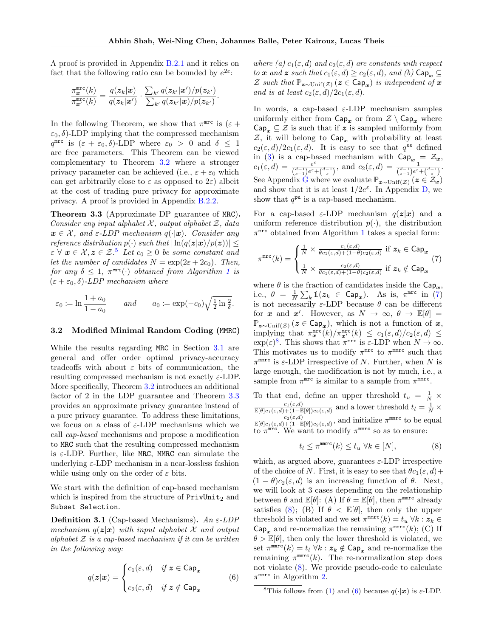.

A proof is provided in Appendix [B.2.1](#page-14-0) and it relies on fact that the following ratio can be bounded by  $e^{2\varepsilon}$ :

$$
\frac{\pi_{\mathbf{x}}^{\mathtt{mrc}}(k)}{\pi_{\mathbf{x}^{\prime}}^{\mathtt{mrc}}(k)} = \frac{q(\mathbf{z}_k|\mathbf{x})}{q(\mathbf{z}_k|\mathbf{x}')} \cdot \frac{\sum_{k'} q(\mathbf{z}_{k'}|\mathbf{x}')/p(\mathbf{z}_{k'})}{\sum_{k'} q(\mathbf{z}_{k'}|\mathbf{x})/p(\mathbf{z}_{k'})}.
$$

In the following Theorem, we show that  $\pi^{\text{mrc}}$  is  $(\varepsilon +$  $\varepsilon_0$ ,  $\delta$ )-LDP implying that the compressed mechanism  $q^{\texttt{mrc}}$  is  $(\varepsilon + \varepsilon_0, \delta)$ -LDP where  $\varepsilon_0 > 0$  and  $\delta \leq 1$ are free parameters. This Theorem can be viewed complementary to Theorem [3.2](#page-3-1) where a stronger privacy parameter can be achieved (i.e.,  $\varepsilon + \varepsilon_0$  which can get arbitrarily close to  $\varepsilon$  as opposed to  $2\varepsilon$ ) albeit at the cost of trading pure privacy for approximate privacy. A proof is provided in Appendix [B.2.2.](#page-14-1)

<span id="page-4-0"></span>Theorem 3.3 (Approximate DP guarantee of MRC). Consider any input alphabet  $\mathcal{X}$ , output alphabet  $\mathcal{Z}$ , data  $x \in \mathcal{X}$ , and  $\varepsilon$ -LDP mechanism  $q(\cdot|x)$ . Consider any reference distribution  $p(\cdot)$  such that  $|\ln(q(z|x)/p(z))| \leq$  $\varepsilon \ \forall \ \pmb{x} \in \mathcal{X}, \pmb{z} \in \mathcal{Z}$ .<sup>5</sup> Let  $c_0 \geq 0$  be some constant and let the number of candidates  $N = \exp(2\varepsilon + 2c_0)$ . Then, for any  $\delta \leq 1$  $\delta \leq 1$ ,  $\pi^{m\epsilon}(\cdot)$  obtained from Algorithm 1 is  $(\varepsilon + \varepsilon_0, \delta)$ -LDP mechanism where

$$
\varepsilon_0 := \ln \frac{1 + a_0}{1 - a_0} \quad \text{and} \quad a_0 := \exp(-c_0) \sqrt{\frac{1}{2} \ln \frac{2}{\delta}}
$$

## <span id="page-4-6"></span>3.2 Modified Minimal Random Coding (MMRC)

While the results regarding MRC in Section [3.1](#page-3-7) are general and offer order optimal privacy-accuracy tradeoffs with about  $\varepsilon$  bits of communication, the resulting compressed mechanism is not exactly  $\varepsilon$ -LDP. More specifically, Theorem [3.2](#page-3-1) introduces an additional factor of 2 in the LDP guarantee and Theorem [3.3](#page-4-0) provides an approximate privacy guarantee instead of a pure privacy guarantee. To address these limitations, we focus on a class of  $\varepsilon$ -LDP mechanisms which we call cap-based mechanisms and propose a modification to MRC such that the resulting compressed mechanism is  $\varepsilon$ -LDP. Further, like MRC, MMRC can simulate the underlying  $\varepsilon$ -LDP mechanism in a near-lossless fashion while using only on the order of  $\varepsilon$  bits.

We start with the definition of cap-based mechanism which is inspired from the structure of  $PrivUnit_2$  and Subset Selection.

<span id="page-4-1"></span>**Definition 3.1** (Cap-based Mechanisms). An  $\varepsilon$ -LDP mechanism  $q(z|x)$  with input alphabet X and output alphabet  $\mathcal Z$  is a cap-based mechanism if it can be written in the following way:

$$
q(z|x) = \begin{cases} c_1(\varepsilon, d) & \text{if } z \in \text{Cap}_x \\ c_2(\varepsilon, d) & \text{if } z \notin \text{Cap}_x \end{cases}
$$
 (6)

where (a)  $c_1(\varepsilon, d)$  and  $c_2(\varepsilon, d)$  are constants with respect to x and z such that  $c_1(\varepsilon, d) \ge c_2(\varepsilon, d)$ , and (b)  $\text{Cap}_x \subseteq$ Z such that  $\mathbb{P}_{\bm{z}\sim\text{Unif}(\mathcal{Z})}$  ( $\bm{z}\in\textsf{Cap}_{\bm{x}}$ ) is independent of  $\bm{x}$ and is at least  $c_2(\varepsilon, d)/2c_1(\varepsilon, d)$ .

In words, a cap-based  $\varepsilon$ -LDP mechanism samples uniformly either from  $\textsf{Cap}_x$  or from  $\mathcal{Z} \setminus \textsf{Cap}_x$  where  $\mathsf{Cap}_{x} \subseteq \mathcal{Z}$  is such that if z is sampled uniformly from  $Z$ , it will belong to  $\textsf{Cap}_{x}$  with probability at least  $c_2(\varepsilon, d)/2c_1(\varepsilon, d)$ . It is easy to see that  $q^{ss}$  defined in [\(3\)](#page-3-8) is a cap-based mechanism with  $\textsf{Cap}_x = \mathcal{Z}_x$ ,  $c_1(\varepsilon, d) = \frac{e^{\varepsilon}}{(d-1)e^{\varepsilon}}$  $\frac{e^{\varepsilon}}{\binom{d-1}{s-1}e^{\varepsilon}+\binom{d-1}{s}}, \text{ and } c_2(\varepsilon,d)=\frac{1}{\binom{d-1}{s-1}e^{\varepsilon}+\binom{d-1}{s}}.$ See Appendix [G](#page-31-0) where we evaluate  $\mathbb{P}_{z \sim \text{Unif}(\mathcal{Z})} (z \in \mathcal{Z}_x)$ and show that it is at least  $1/2e^{\epsilon}$ . In Appendix [D,](#page-21-0) we show that  $q^{\text{pu}}$  is a cap-based mechanism.

For a cap-based  $\varepsilon$ -LDP mechanism  $q(z|x)$  and a uniform reference distribution  $p(.)$ , the distribution  $\pi^{\text{mrc}}$  obtained from Algorithm [1](#page-3-4) takes a special form:

<span id="page-4-2"></span>
$$
\pi^{\mathtt{mrc}}(k) = \begin{cases} \frac{1}{N} \times \frac{c_1(\varepsilon, d)}{\theta c_1(\varepsilon, d) + (1 - \theta) c_2(\varepsilon, d)} & \text{if } z_k \in \mathsf{Cap}_{\mathbf{x}}\\ \frac{1}{N} \times \frac{c_2(\varepsilon, d)}{\theta c_1(\varepsilon, d) + (1 - \theta) c_2(\varepsilon, d)} & \text{if } z_k \notin \mathsf{Cap}_{\mathbf{x}} \end{cases} (7)
$$

where  $\theta$  is the fraction of candidates inside the  $\textsf{Cap}_{x}$ , i.e.,  $\theta = \frac{1}{N} \sum_k \mathbb{1}(z_k \in \text{Cap}_x)$ . As is,  $\pi^{\text{mrc}}$  in [\(7\)](#page-4-2) is not necessarily  $\varepsilon$ -LDP because  $\theta$  can be different for x and x'. However, as  $N \to \infty$ ,  $\theta \to \mathbb{E}[\theta] =$  $\mathbb{P}_{\boldsymbol{z}\sim\text{Unif}(\mathcal{Z})}$  ( $\boldsymbol{z}\in\textsf{Cap}_{\boldsymbol{x}}$ ), which is not a function of  $\boldsymbol{x}$ , implying that  $\pi_{\bm{x}}^{\mathtt{mrc}}(k)/\pi_{\bm{x}'}^{\mathtt{mrc}}(k) \leq c_1(\varepsilon,d)/c_2(\varepsilon,d) \leq$  $\exp(\varepsilon)^8$  $\exp(\varepsilon)^8$ . This shows that  $\pi^{\text{mrc}}$  is  $\varepsilon$ -LDP when  $N \to \infty$ . This motivates us to modify  $\pi^{\text{mrc}}$  to  $\pi^{\text{mmc}}$  such that  $\pi^{\text{mmrc}}$  is  $\varepsilon$ -LDP irrespective of N. Further, when N is large enough, the modification is not by much, i.e., a sample from  $\pi^{\text{mrc}}$  is similar to a sample from  $\pi^{\text{mmc}}$ .

To that end, define an upper threshold  $t_u = \frac{1}{N} \times$  $\frac{c_1(\varepsilon,d)}{\mathbb{E}[\theta]c_1(\varepsilon,d)+(1-\mathbb{E}[\theta])c_2(\varepsilon,d)}$  and a lower threshold  $t_l = \frac{1}{N} \times$  $c_2(\varepsilon, d)$  $\frac{c_2(\varepsilon,d)}{\mathbb{E}[\theta]c_1(\varepsilon,d)+(1-\mathbb{E}[\theta])c_2(\varepsilon,d)},$  and initialize  $\pi^{\texttt{mmrc}}$  to be equal to  $\pi^{\text{mrc}}$ . We want to modify  $\pi^{\text{mmc}}$  so as to ensure:

<span id="page-4-4"></span>
$$
t_l \le \pi^{\text{mmc}}(k) \le t_u \ \forall k \in [N],\tag{8}
$$

which, as argued above, guarantees  $\varepsilon$ -LDP irrespective of the choice of N. First, it is easy to see that  $\theta c_1(\varepsilon, d)$ +  $(1 - \theta)c_2(\varepsilon, d)$  is an increasing function of  $\theta$ . Next, we will look at 3 cases depending on the relationship between  $\theta$  and  $\mathbb{E}[\theta]$ : (A) If  $\theta = \mathbb{E}[\theta]$ , then  $\pi^{\text{mmrc}}$  already satisfies [\(8\)](#page-4-4); (B) If  $\theta < \mathbb{E}[\theta]$ , then only the upper threshold is violated and we set  $\pi^{\text{mmrc}}(k) = t_u \,\forall k : \mathbf{z}_k \in$  $\mathsf{Cap}_{\bm{x}}$  and re-normalize the remaining  $\pi^{\mathtt{mmrc}}(k)$ ; (C) If  $\theta > \mathbb{E}[\theta]$ , then only the lower threshold is violated, we set  $\pi^{\texttt{mmrc}}(k) = t_l \,\forall k : \mathbf{z}_k \notin \texttt{Cap}_{\mathbf{x}}$  and re-normalize the remaining  $\pi^{\text{mmrc}}(k)$ . The re-normalization step does not violate [\(8\)](#page-4-4). We provide pseudo-code to calculate  $\pi^{\texttt{mmrc}}$  in Algorithm [2.](#page-5-2)

<span id="page-4-5"></span><span id="page-4-3"></span><sup>&</sup>lt;sup>8</sup>This follows from [\(1\)](#page-2-2) and [\(6\)](#page-4-5) because  $q(\cdot|\boldsymbol{x})$  is  $\varepsilon$ -LDP.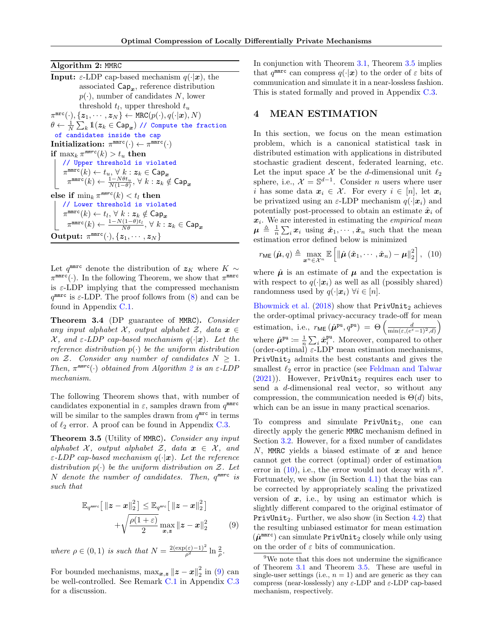Algorithm 2: MMRC

**Input:**  $\varepsilon$ -LDP cap-based mechanism  $q(\cdot|\mathbf{x})$ , the associated  $\text{Cap}_x$ , reference distribution  $p(\cdot)$ , number of candidates N, lower threshold  $t_l$ , upper threshold  $t_u$  $\pi^{\mathtt{mrc}}(\cdot), \{\boldsymbol{z}_1, \cdots, \boldsymbol{z}_N\} \leftarrow \mathtt{MRC}(p(\cdot), q(\cdot|\boldsymbol{x}), N)$  $\theta \leftarrow \frac{\mathrm{i}}{N}\sum_k \mathbb{1}( \pmb{z}_k \in \mathsf{Cap}_{\pmb{x}})$  // Compute the fraction of candidates inside the cap  $\text{Initialization: } \pi^{\texttt{mmrc}}(\cdot) \leftarrow \pi^{\texttt{mmrc}}(\cdot)$ if  $\max_k \pi^{mmc}(k) > t_u$  then // Upper threshold is violated  $\pi^{\mathtt{mmrc}}(k) \leftarrow t_u, \, \forall \, k : \boldsymbol{z}_k \in \mathsf{Cap}_{\boldsymbol{x}}$  $\pi^{\mathtt{mmrc}}(k) \leftarrow \frac{1-N\theta t_u}{N(1-\theta)}, \, \forall \, \, k: \boldsymbol{z}_k \notin \mathsf{Cap}_{\boldsymbol{x}}$ else if  $\min_k \pi^{\textit{mmrc}}(k) < t_l$  then // Lower threshold is violated  $\pi^{\texttt{mmrc}}(k) \leftarrow t_l, \forall k : \boldsymbol{z}_k \notin \texttt{Cap}_{\boldsymbol{x}}$  $\pi^{\mathtt{mmrc}}(k) \leftarrow \frac{1-N(1-\theta)t_l}{N\theta}, \, \forall \, \, k: \boldsymbol{z}_k \in \mathsf{Cap}_{\boldsymbol{x}}$  $\textbf{Output:} \,\, \pi^{\mathtt{mmrc}}(\cdot), \{\boldsymbol{z}_1, \cdots, \boldsymbol{z}_N\}$ 

<span id="page-5-2"></span>Let  $q^{\text{mmrc}}$  denote the distribution of  $z_K$  where  $K \sim$  $\pi^{\texttt{mmrc}}(\cdot)$ . In the following Theorem, we show that  $\pi^{\texttt{mmrc}}$ is  $\varepsilon$ -LDP implying that the compressed mechanism  $q^{\text{mmrc}}$  is  $\varepsilon$ -LDP. The proof follows from [\(8\)](#page-4-4) and can be found in Appendix [C.1.](#page-15-0)

<span id="page-5-0"></span>Theorem 3.4 (DP guarantee of MMRC). Consider any input alphabet X, output alphabet Z, data  $x \in$  $\mathcal{X}$ , and  $\varepsilon$ -LDP cap-based mechanism  $q(\cdot|\boldsymbol{x})$ . Let the reference distribution  $p(\cdot)$  be the uniform distribution on Z. Consider any number of candidates  $N \geq 1$ . Then,  $\pi^{mmc}(\cdot)$  obtained from Algorithm [2](#page-5-2) is an  $\varepsilon$ -LDP mechanism.

The following Theorem shows that, with number of candidates exponential in  $\varepsilon$ , samples drawn from  $q^{\text{mmrc}}$ will be similar to the samples drawn from  $q^{\text{mrc}}$  in terms of  $\ell_2$  error. A proof can be found in Appendix [C.3.](#page-19-0)

<span id="page-5-1"></span>Theorem 3.5 (Utility of MMRC). Consider any input alphabet X, output alphabet Z, data  $x \in \mathcal{X}$ , and  $\varepsilon$ -LDP cap-based mechanism  $q(\cdot|\boldsymbol{x})$ . Let the reference distribution  $p(\cdot)$  be the uniform distribution on Z. Let N denote the number of candidates. Then,  $q^{mmre}$  is such that

$$
\mathbb{E}_{q^{mmc}}\left[\left.\left\Vert \boldsymbol{z} - \boldsymbol{x} \right\Vert_{2}^{2}\right] \leq \mathbb{E}_{q^{mrc}}\left[\left.\left\Vert \boldsymbol{z} - \boldsymbol{x} \right\Vert_{2}^{2}\right]\right. \\ \left. + \sqrt{\frac{\rho(1+\varepsilon)}{2}} \max_{\boldsymbol{x}, \boldsymbol{z}} \left\Vert \boldsymbol{z} - \boldsymbol{x} \right\Vert_{2}^{2} \qquad (9)
$$

where  $\rho \in (0,1)$  is such that  $N = \frac{2(\exp(\varepsilon)-1)^2}{\rho^2} \ln \frac{2}{\rho}$ .

For bounded mechanisms,  $\max_{\mathbf{x},\mathbf{z}} ||\mathbf{z} - \mathbf{x}||_2^2$  in [\(9\)](#page-5-3) can be well-controlled. See Remark [C.1](#page-20-0) in Appendix [C.3](#page-19-0) for a discussion.

In conjunction with Theorem [3.1,](#page-3-0) Theorem [3.5](#page-5-1) implies that  $q^{\text{mmrc}}$  can compress  $q(\cdot|\boldsymbol{x})$  to the order of  $\varepsilon$  bits of communication and simulate it in a near-lossless fashion. This is stated formally and proved in Appendix [C.3.](#page-19-0)

# <span id="page-5-6"></span>4 MEAN ESTIMATION

In this section, we focus on the mean estimation problem, which is a canonical statistical task in distributed estimation with applications in distributed stochastic gradient descent, federated learning, etc. Let the input space  $\mathcal X$  be the d-dimensional unit  $\ell_2$ sphere, i.e.,  $\mathcal{X} = \mathbb{S}^{d-1}$ . Consider *n* users where user i has some data  $x_i \in \mathcal{X}$ . For every  $i \in [n]$ , let  $x_i$ be privatized using an  $\varepsilon$ -LDP mechanism  $q(\cdot|\boldsymbol{x}_i)$  and potentially post-processed to obtain an estimate  $\hat{x}_i$  of  $x_i$ . We are interested in estimating the *empirical mean*  $\mu \triangleq \frac{1}{n} \sum_i x_i$  using  $\hat{x}_1, \dots, \hat{x}_n$  such that the mean estimation error defined below is minimized

<span id="page-5-4"></span>
$$
r_{\mathsf{ME}}\left(\hat{\boldsymbol{\mu}},q\right) \triangleq \max_{\boldsymbol{x}^n \in \mathcal{X}^n} \mathbb{E}\left[\left\|\hat{\boldsymbol{\mu}}\left(\hat{\boldsymbol{x}}_1,\cdots,\hat{\boldsymbol{x}}_n\right)-\boldsymbol{\mu}\right\|_2^2\right],\ \ (10)
$$

where  $\hat{\mu}$  is an estimate of  $\mu$  and the expectation is with respect to  $q(\cdot|\boldsymbol{x}_i)$  as well as all (possibly shared) randomness used by  $q(\cdot|\boldsymbol{x}_i)$   $\forall i \in [n]$ .

[Bhowmick et al.](#page-9-0) [\(2018\)](#page-9-0) show that  $PrivUnit_2$  achieves the order-optimal privacy-accuracy trade-off for mean estimation, i.e.,  $r_{\text{ME}}(\hat{\mu}^{\text{pu}}, q^{\text{pu}}) = \Theta\left(\frac{d}{\min(\varepsilon, (e^{\varepsilon}-1)^2, d)}\right)$ where  $\hat{\mu}^{\text{pu}} \coloneqq \frac{1}{n} \sum_i \hat{x}_i^{\text{pu}}$ . Moreover, compared to other (order-optimal)  $\varepsilon$ -LDP mean estimation mechanisms, PrivUnit<sub>2</sub> admits the best constants and gives the smallest  $\ell_2$  error in practice (see [Feldman and Talwar](#page-9-9)  $(2021)$ ). However, PrivUnit<sub>2</sub> requires each user to send a d-dimensional real vector, so without any compression, the communication needed is  $\Theta(d)$  bits, which can be an issue in many practical scenarios.

To compress and simulate  $PrivUnit_2$ , one can directly apply the generic MMRC mechanism defined in Section [3.2.](#page-4-6) However, for a fixed number of candidates  $N$ , MMRC yields a biased estimate of  $x$  and hence cannot get the correct (optimal) order of estimation error in [\(10\)](#page-5-4), i.e., the error would not decay with  $n^9$  $n^9$ . Fortunately, we show (in Section [4.1\)](#page-6-3) that the bias can be corrected by appropriately scaling the privatized version of  $x$ , i.e., by using an estimator which is slightly different compared to the original estimator of PrivUnit<sub>2</sub>. Further, we also show (in Section  $4.2$ ) that the resulting unbiased estimator for mean estimation  $(\hat{\mu}^{\texttt{mmrc}})$  can simulate  $\texttt{PrivUnit}_2$  closely while only using on the order of  $\varepsilon$  bits of communication.

<span id="page-5-5"></span><span id="page-5-3"></span><sup>&</sup>lt;sup>9</sup>We note that this does not undermine the significance of Theorem [3.1](#page-3-0) and Theorem [3.5.](#page-5-1) These are useful in single-user settings (i.e.,  $n = 1$ ) and are generic as they can compress (near-losslessly) any  $\varepsilon$ -LDP and  $\varepsilon$ -LDP cap-based mechanism, respectively.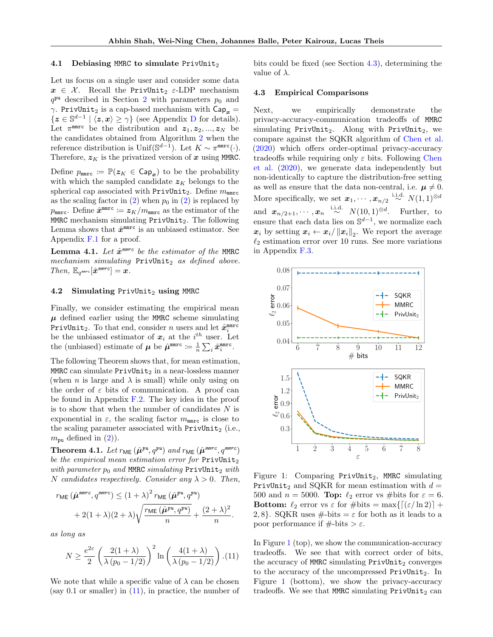#### <span id="page-6-3"></span>4.1 Debiasing MMRC to simulate PrivUnit<sub>2</sub>

Let us focus on a single user and consider some data  $x \in \mathcal{X}$ . Recall the PrivUnit<sub>2</sub>  $\varepsilon$ -LDP mechanism  $q^{\text{pu}}$  described in Section [2](#page-2-3) with parameters  $p_0$  and γ. PrivUnit<sub>2</sub> is a cap-based mechanism with  $Cap_x =$  $\{z \in \mathbb{S}^{d-1} \mid \langle z, x \rangle \geq \gamma\}$  (see Appendix [D](#page-21-0) for details). Let  $\pi^{\text{mmrc}}$  be the distribution and  $z_1, z_2, ..., z_N$  be the candidates obtained from Algorithm [2](#page-5-2) when the reference distribution is Unif $(\mathbb{S}^{d-1})$ . Let  $K \sim \pi^{\text{mmrc}}(\cdot)$ . Therefore,  $z_K$  is the privatized version of x using MMRC.

Define  $p_{\text{mmrc}} := \mathbb{P}(\mathbf{z}_K \in \text{Cap}_{\mathbf{x}})$  to be the probability with which the sampled candidate  $z_K$  belongs to the spherical cap associated with PrivUnit<sub>2</sub>. Define  $m_{\text{mmrc}}$ as the scaling factor in  $(2)$  when  $p_0$  in  $(2)$  is replaced by  $p_{\texttt{mmrc}}$ . Define  $\hat{\boldsymbol{x}}^{\texttt{mmrc}} \coloneqq \boldsymbol{z}_K/m_{\texttt{mmrc}}$  as the estimator of the MMRC mechanism simulating  $PrivUnit_2$ . The following Lemma shows that  $\hat{x}^{\text{mmrc}}$  is an unbiased estimator. See Appendix [F.1](#page-29-0) for a proof.

<span id="page-6-0"></span>Lemma 4.1. Let  $\hat{x}^{mmrc}$  be the estimator of the MMRC  $mechanism$  simulating  $PrivUnit_2$  as defined above.  $Then, E_{q^{mmre}}[\hat{\boldsymbol{x}}^{mmre}] = \boldsymbol{x}.$ 

### <span id="page-6-2"></span>4.2 Simulating PrivUnit<sub>2</sub> using MMRC

Finally, we consider estimating the empirical mean  $\mu$  defined earlier using the MMRC scheme simulating PrivUnit<sub>2</sub>. To that end, consider *n* users and let  $\hat{x}_i^{\text{mmrc}}$ be the unbiased estimator of  $x_i$  at the  $i^{th}$  user. Let the (unbiased) estimate of  $\mu$  be  $\hat{\mu}^{\text{mmrc}} \coloneqq \frac{1}{n} \sum_i \hat{x}_i^{\text{mmrc}}$ .

The following Theorem shows that, for mean estimation,  $MMRC can simulate PrivUnit<sub>2</sub> in a near-lossless manner$ (when *n* is large and  $\lambda$  is small) while only using on the order of  $\varepsilon$  bits of communication. A proof can be found in Appendix [F.2.](#page-29-1) The key idea in the proof is to show that when the number of candidates  $N$  is exponential in  $\varepsilon$ , the scaling factor  $m_{\text{mmrc}}$  is close to the scaling parameter associated with  $PrivUnit_2$  (i.e.,  $m_{\text{pu}}$  defined in  $(2)$ ).

<span id="page-6-1"></span>**Theorem 4.1.** Let  $r_{\text{ME}}\left(\hat{\mu}^{pu}, q^{pu}\right)$  and  $r_{\text{ME}}\left(\hat{\mu}^{mmc}, q^{mmc}\right)$ be the empirical mean estimation error for  $PrivUnit_2$ with parameter  $p_0$  and MMRC simulating PrivUnit<sub>2</sub> with N candidates respectively. Consider any  $\lambda > 0$ . Then,

$$
r_{\text{ME}}\left(\hat{\mu}^{\text{mmrc}}, q^{\text{mmrc}}\right) \leq \left(1 + \lambda\right)^2 r_{\text{ME}}\left(\hat{\mu}^{pu}, q^{pu}\right) + 2(1 + \lambda)(2 + \lambda)\sqrt{\frac{r_{\text{ME}}\left(\hat{\mu}^{pu}, q^{pu}\right)}{n}} + \frac{(2 + \lambda)^2}{n}.
$$

as long as

$$
N \ge \frac{e^{2\varepsilon}}{2} \left( \frac{2(1+\lambda)}{\lambda (p_0 - 1/2)} \right)^2 \ln \left( \frac{4(1+\lambda)}{\lambda (p_0 - 1/2)} \right). (11)
$$

We note that while a specific value of  $\lambda$  can be chosen (say  $0.1$  or smaller) in  $(11)$ , in practice, the number of bits could be fixed (see Section [4.3\)](#page-6-5), determining the value of  $\lambda$ .

## <span id="page-6-5"></span>4.3 Empirical Comparisons

Next, we empirically demonstrate the privacy-accuracy-communication tradeoffs of MMRC simulating PrivUnit<sub>2</sub>. Along with PrivUnit<sub>2</sub>, we compare against the SQKR algorithm of [Chen et al.](#page-9-8) [\(2020\)](#page-9-8) which offers order-optimal privacy-accuracy tradeoffs while requiring only  $\varepsilon$  bits. Following [Chen](#page-9-8) [et al.](#page-9-8) [\(2020\)](#page-9-8), we generate data independently but non-identically to capture the distribution-free setting as well as ensure that the data non-central, i.e.  $\mu \neq 0$ . More specifically, we set  $x_1, \cdots, x_{n/2} \overset{\text{i.i.d.}}{\sim} N(1, 1)^{\otimes d}$ and  $\mathbf{x}_{n/2+1}, \cdots, \mathbf{x}_n \stackrel{\text{i.i.d.}}{\sim} N(10, 1)^{\otimes d}$ . Further, to ensure that each data lies on  $\mathbb{S}^{d-1}$ , we normalize each  $\boldsymbol{x}_i$  by setting  $\boldsymbol{x}_i \leftarrow \boldsymbol{x}_i / ||\boldsymbol{x}_i||_2$ . We report the average  $\ell_2$  estimation error over 10 runs. See more variations in Appendix [F.3.](#page-31-1)

<span id="page-6-6"></span>

Figure 1: Comparing  $PrivUnit_2$ , MMRC simulating PrivUnit<sub>2</sub> and SQKR for mean estimation with  $d =$ 500 and  $n = 5000$ . Top:  $\ell_2$  error vs #bits for  $\varepsilon = 6$ . **Bottom:**  $\ell_2$  error vs  $\varepsilon$  for  $\#\text{bits} = \max\{(\varepsilon/\ln 2)\}$  + 2,8}. SQKR uses  $\#$ -bits =  $\varepsilon$  for both as it leads to a poor performance if  $\#$ -bits  $>\varepsilon$ .

<span id="page-6-4"></span>In Figure [1](#page-6-6) (top), we show the communication-accuracy tradeoffs. We see that with correct order of bits, the accuracy of MMRC simulating  $PrivUnit_2$  converges to the accuracy of the uncompressed  $PrivUnit_2$ . In Figure [1](#page-6-6) (bottom), we show the privacy-accuracy tradeoffs. We see that MMRC simulating  $PrivUnit_2$  can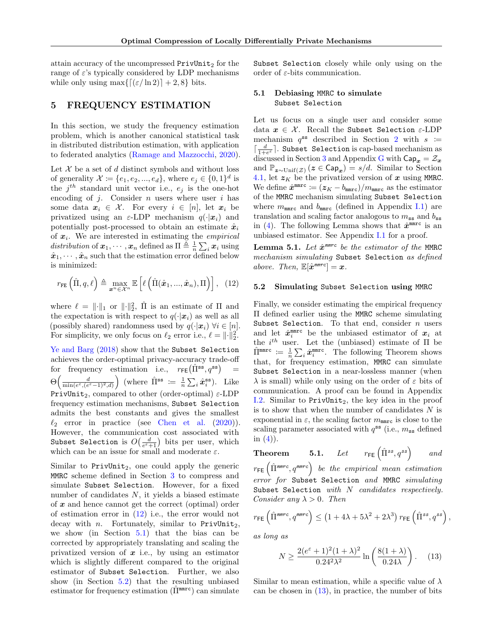attain accuracy of the uncompressed  $PrivUnit<sub>2</sub>$  for the range of  $\varepsilon$ 's typically considered by LDP mechanisms while only using  $\max\{[(\epsilon/\ln 2)] + 2, 8\}$  bits.

# <span id="page-7-6"></span>5 FREQUENCY ESTIMATION

In this section, we study the frequency estimation problem, which is another canonical statistical task in distributed distribution estimation, with application to federated analytics [\(Ramage and Mazzocchi,](#page-10-1) [2020\)](#page-10-1).

Let  $\mathcal X$  be a set of  $d$  distinct symbols and without loss of generality  $\mathcal{X} := \{e_1, e_2, ..., e_d\}$ , where  $e_j \in \{0, 1\}^d$  is the  $j<sup>th</sup>$  standard unit vector i.e.,  $e_j$  is the one-hot encoding of  $j$ . Consider  $n$  users where user  $i$  has some data  $x_i \in \mathcal{X}$ . For every  $i \in [n]$ , let  $x_i$  be privatized using an  $\varepsilon$ -LDP mechanism  $q(\cdot|\boldsymbol{x}_i)$  and potentially post-processed to obtain an estimate  $\hat{x}_i$ of  $x_i$ . We are interested in estimating the *empirical* distribution of  $x_1, \dots, x_n$  defined as  $\Pi \triangleq \frac{1}{n} \sum_i x_i$  using  $\hat{x}_1, \cdots, \hat{x}_n$  such that the estimation error defined below is minimized:

$$
r_{\text{FE}}\left(\hat{\Pi}, q, \ell\right) \triangleq \max_{\boldsymbol{x}^n \in \mathcal{X}^n} \mathbb{E}\left[\ell\left(\hat{\Pi}(\hat{\boldsymbol{x}}_1, ..., \hat{\boldsymbol{x}}_n), \Pi\right)\right], (12)
$$

where  $\ell = || \cdot ||_1$  or  $|| \cdot ||_2^2$ ,  $\hat{\Pi}$  is an estimate of  $\Pi$  and the expectation is with respect to  $q(\cdot|\mathbf{x}_i)$  as well as all (possibly shared) randomness used by  $q(\cdot|\boldsymbol{x}_i)$   $\forall i \in [n]$ . For simplicity, we only focus on  $\ell_2$  error i.e.,  $\ell = ||\cdot||_2^2$ .

[Ye and Barg](#page-11-0) [\(2018\)](#page-11-0) show that the Subset Selection achieves the order-optimal privacy-accuracy trade-off for frequency estimation i.e.,  $r_{\text{FE}}(\hat{\Pi}^{\text{ss}}, q^{\text{ss}})$ =  $\Theta\left(\frac{d}{\min(e^{\varepsilon}, (e^{\varepsilon}-1)^2, d)}\right)$  (where  $\hat{\Pi}^{\texttt{ss}} := \frac{1}{n} \sum_i \hat{\boldsymbol{x}}_i^{\texttt{ss}}$ ). Like PrivUnit<sub>2</sub>, compared to other (order-optimal)  $\varepsilon$ -LDP frequency estimation mechanisms, Subset Selection admits the best constants and gives the smallest  $\ell_2$  error in practice (see [Chen et al.](#page-9-8) [\(2020\)](#page-9-8)). However, the communication cost associated with Subset Selection is  $O\big(\frac{d}{e^\varepsilon+1}\big)$  bits per user, which which can be an issue for small and moderate  $\varepsilon$ .

Similar to  $PrivUnit_2$ , one could apply the generic MMRC scheme defined in Section [3](#page-3-9) to compress and simulate Subset Selection. However, for a fixed number of candidates  $N$ , it yields a biased estimate of  $x$  and hence cannot get the correct (optimal) order of estimation error in [\(12\)](#page-7-3) i.e., the error would not decay with *n*. Fortunately, similar to PrivUnit<sub>2</sub>, we show (in Section [5.1\)](#page-7-4) that the bias can be corrected by appropriately translating and scaling the privatized version of  $x$  i.e., by using an estimator which is slightly different compared to the original estimator of Subset Selection. Further, we also show (in Section [5.2\)](#page-7-2) that the resulting unbiased estimator for frequency estimation  $(\Pi^{\text{mmrc}})$  can simulate Subset Selection closely while only using on the order of  $\varepsilon$ -bits communication.

# <span id="page-7-4"></span>5.1 Debiasing MMRC to simulate Subset Selection

Let us focus on a single user and consider some data  $x \in \mathcal{X}$ . Recall the Subset Selection  $\varepsilon$ -LDP mechanism  $q^{ss}$  described in Section [2](#page-2-3) with  $s :=$  $\lceil \frac{d}{1+e^{\varepsilon}} \rceil$ . Subset Selection is cap-based mechanism as discussed in Section [3](#page-3-9) and Appendix [G](#page-31-0) with  $\mathsf{Cap}_{x} = \mathcal{Z}_x$ and  $\mathbb{P}_{\bm{z}\sim\text{Unif}(\mathcal{Z})}$  ( $\bm{z}\in \text{Cap}_{\bm{x}}$ ) = s/d. Similar to Section [4.1,](#page-6-3) let  $z_K$  be the privatized version of x using MMRC. We define  $\hat{x}^{\texttt{mmrc}} \coloneqq (z_K - b_{\texttt{mmrc}})/m_{\texttt{mmrc}}$  as the estimator of the MMRC mechanism simulating Subset Selection where  $m_{\text{mmrc}}$  and  $b_{\text{mmrc}}$  (defined in Appendix [I.1\)](#page-40-0) are translation and scaling factor analogous to  $m_{\texttt{ss}}$  and  $b_{\texttt{ss}}$ in [\(4\)](#page-3-10). The following Lemma shows that  $\hat{x}^{mnrc}$  is an unbiased estimator. See Appendix [I.1](#page-40-0) for a proof.

<span id="page-7-0"></span>Lemma 5.1. Let  $\hat{x}^{mmrc}$  be the estimator of the MMRC mechanism simulating Subset Selection as defined above. Then,  $\mathbb{E}[\hat{\boldsymbol{x}}^{mmc}] = \boldsymbol{x}$ .

## <span id="page-7-3"></span><span id="page-7-2"></span>5.2 Simulating Subset Selection using MMRC

Finally, we consider estimating the empirical frequency Π defined earlier using the MMRC scheme simulating Subset Selection. To that end, consider  $n$  users and let  $\hat{x}_i^{\text{mmrc}}$  be the unbiased estimator of  $x_i$  at the  $i^{th}$  user. Let the (unbiased) estimate of  $\Pi$  be  $\hat{\Pi}^{\texttt{mmrc}} := \frac{1}{n} \sum_i \hat{x}_i^{\texttt{mmrc}}$ . The following Theorem shows that, for frequency estimation, MMRC can simulate Subset Selection in a near-lossless manner (when  $\lambda$  is small) while only using on the order of  $\varepsilon$  bits of communication. A proof can be found in Appendix [I.2.](#page-41-0) Similar to  $PrivUnit_2$ , the key idea in the proof is to show that when the number of candidates  $N$  is exponential in  $\varepsilon$ , the scaling factor  $m_{\text{mmrc}}$  is close to the scaling parameter associated with  $q^{ss}$  (i.e.,  $m_{ss}$  defined in  $(4)$ ).

<span id="page-7-1"></span> $\textbf{Theorem} \qquad \textbf{5.1.} \quad \textit{Let} \qquad r_{\sf FE}\left(\hat{\Pi}^{ss},q^{ss}\right)$ and  $r_{\sf FE}(\hat{\Pi}^{\sf mmrc},q^{\sf mmrc})$  be the empirical mean estimation error for Subset Selection and MMRC simulating Subset Selection with N candidates respectively. Consider any  $\lambda > 0$ . Then

$$
r_{\text{FE}}\left(\hat{\Pi}^{\textit{mmrc}},q^{\textit{mmrc}}\right) \leq \left(1+4\lambda+5\lambda^2+2\lambda^3\right)r_{\text{FE}}\left(\hat{\Pi}^{\textit{ss}},q^{\textit{ss}}\right),
$$

as long as

<span id="page-7-5"></span>
$$
N \ge \frac{2(e^{\varepsilon} + 1)^2 (1 + \lambda)^2}{0.24^2 \lambda^2} \ln\left(\frac{8(1 + \lambda)}{0.24\lambda}\right). \quad (13)
$$

Similar to mean estimation, while a specific value of  $\lambda$ can be chosen in  $(13)$ , in practice, the number of bits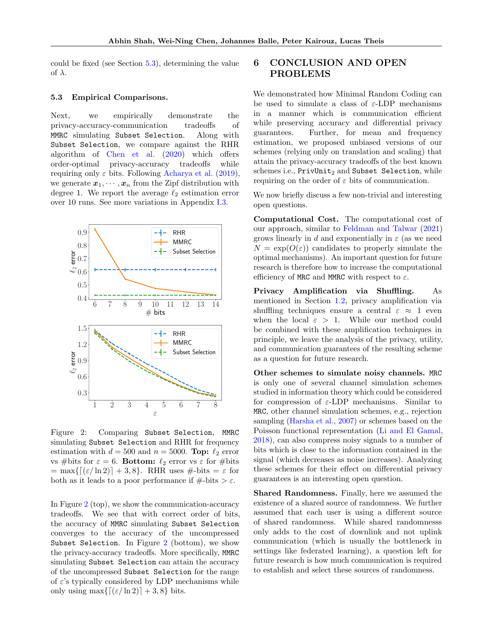could be fixed (see Section [5.3\)](#page-8-1), determining the value of  $\lambda$ .

### <span id="page-8-1"></span>5.3 Empirical Comparisons.

Next, we empirically demonstrate the privacy-accuracy-communication tradeoffs of MMRC simulating Subset Selection. Along with Subset Selection, we compare against the RHR algorithm of [Chen et al.](#page-9-8) [\(2020\)](#page-9-8) which offers order-optimal privacy-accuracy tradeoffs while requiring only  $\varepsilon$  bits. Following [Acharya et al.](#page-9-22) [\(2019\)](#page-9-22), we generate  $x_1, \dots, x_n$  from the Zipf distribution with degree 1. We report the average  $\ell_2$  estimation error over 10 runs. See more variations in Appendix [I.3.](#page-43-0)

<span id="page-8-2"></span>

Figure 2: Comparing Subset Selection, MMRC simulating Subset Selection and RHR for frequency estimation with  $d = 500$  and  $n = 5000$ . Top:  $\ell_2$  error vs #bits for  $\varepsilon = 6$ . Bottom:  $\ell_2$  error vs  $\varepsilon$  for #bits  $=\max\{[(\varepsilon/\ln 2)] + 3, 8\}.$  RHR uses #-bits  $=\varepsilon$  for both as it leads to a poor performance if  $\#$ -bits  $> \varepsilon$ .

In Figure [2](#page-8-2) (top), we show the communication-accuracy tradeoffs. We see that with correct order of bits, the accuracy of MMRC simulating Subset Selection converges to the accuracy of the uncompressed Subset Selection. In Figure [2](#page-8-2) (bottom), we show the privacy-accuracy tradeoffs. More specifically, MMRC simulating Subset Selection can attain the accuracy of the uncompressed Subset Selection for the range of  $\varepsilon$ 's typically considered by LDP mechanisms while only using max $\{[(\varepsilon/\ln 2)] + 3, 8\}$  bits.

# <span id="page-8-0"></span>6 CONCLUSION AND OPEN PROBLEMS

We demonstrated how Minimal Random Coding can be used to simulate a class of  $\varepsilon$ -LDP mechanisms in a manner which is communication efficient while preserving accuracy and differential privacy guarantees. Further, for mean and frequency estimation, we proposed unbiased versions of our schemes (relying only on translation and scaling) that attain the privacy-accuracy tradeoffs of the best known schemes i.e.,  $PrivUnit_2$  and Subset Selection, while requiring on the order of  $\varepsilon$  bits of communication.

We now briefly discuss a few non-trivial and interesting open questions.

Computational Cost. The computational cost of our approach, similar to [Feldman and Talwar](#page-9-9) [\(2021\)](#page-9-9) grows linearly in d and exponentially in  $\varepsilon$  (as we need  $N = \exp(O(\varepsilon))$  candidates to properly simulate the optimal mechanisms). An important question for future research is therefore how to increase the computational efficiency of MRC and MMRC with respect to  $\varepsilon$ .

Privacy Amplification via Shuffling. As mentioned in Section [1.2,](#page-1-3) privacy amplification via shuffling techniques ensure a central  $\varepsilon \approx 1$  even when the local  $\varepsilon > 1$ . While our method could be combined with these amplification techniques in principle, we leave the analysis of the privacy, utility, and communication guarantees of the resulting scheme as a question for future research.

Other schemes to simulate noisy channels. MRC is only one of several channel simulation schemes studied in information theory which could be considered for compression of  $\varepsilon$ -LDP mechanisms. Similar to MRC, other channel simulation schemes, e.g., rejection sampling [\(Harsha et al.,](#page-10-12) [2007\)](#page-10-12) or schemes based on the Poisson functional representation [\(Li and El Gamal,](#page-10-13) [2018\)](#page-10-13), can also compress noisy signals to a number of bits which is close to the information contained in the signal (which decreases as noise increases). Analyzing these schemes for their effect on differential privacy guarantees is an interesting open question.

Shared Randomness. Finally, here we assumed the existence of a shared source of randomness. We further assumed that each user is using a different source of shared randomness. While shared randomnesss only adds to the cost of downlink and not uplink communication (which is usually the bottleneck in settings like federated learning), a question left for future research is how much communication is required to establish and select these sources of randomness.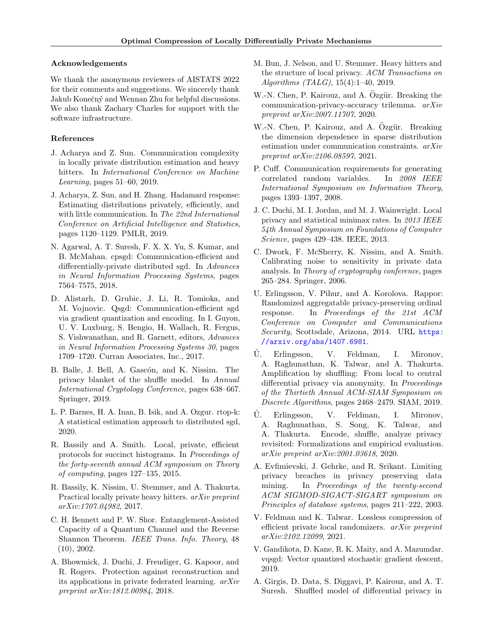## Acknowledgements

We thank the anonymous reviewers of AISTATS 2022 for their comments and suggestions. We sincerely thank Jakub Konečný and Wennan Zhu for helpful discussions. We also thank Zachary Charles for support with the software infrastructure.

# References

- <span id="page-9-14"></span>J. Acharya and Z. Sun. Communication complexity in locally private distribution estimation and heavy hitters. In International Conference on Machine Learning, pages 51–60, 2019.
- <span id="page-9-22"></span>J. Acharya, Z. Sun, and H. Zhang. Hadamard response: Estimating distributions privately, efficiently, and with little communication. In The 22nd International Conference on Artificial Intelligence and Statistics, pages 1120–1129. PMLR, 2019.
- <span id="page-9-4"></span>N. Agarwal, A. T. Suresh, F. X. X. Yu, S. Kumar, and B. McMahan. cpsgd: Communication-efficient and differentially-private distributed sgd. In Advances in Neural Information Processing Systems, pages 7564–7575, 2018.
- <span id="page-9-3"></span>D. Alistarh, D. Grubic, J. Li, R. Tomioka, and M. Vojnovic. Qsgd: Communication-efficient sgd via gradient quantization and encoding. In I. Guyon, U. V. Luxburg, S. Bengio, H. Wallach, R. Fergus, S. Vishwanathan, and R. Garnett, editors, Advances in Neural Information Processing Systems 30, pages 1709–1720. Curran Associates, Inc., 2017.
- <span id="page-9-16"></span>B. Balle, J. Bell, A. Gascón, and K. Nissim. The privacy blanket of the shuffle model. In Annual International Cryptology Conference, pages 638–667. Springer, 2019.
- <span id="page-9-6"></span>L. P. Barnes, H. A. Inan, B. Isik, and A. Ozgur. rtop-k: A statistical estimation approach to distributed sgd, 2020.
- <span id="page-9-11"></span>R. Bassily and A. Smith. Local, private, efficient protocols for succinct histograms. In Proceedings of the forty-seventh annual ACM symposium on Theory of computing, pages 127–135, 2015.
- <span id="page-9-12"></span>R. Bassily, K. Nissim, U. Stemmer, and A. Thakurta. Practical locally private heavy hitters. arXiv preprint arXiv:1707.04982, 2017.
- <span id="page-9-20"></span>C. H. Bennett and P. W. Shor. Entanglement-Assisted Capacity of a Quantum Channel and the Reverse Shannon Theorem. IEEE Trans. Info. Theory, 48 (10), 2002.
- <span id="page-9-0"></span>A. Bhowmick, J. Duchi, J. Freudiger, G. Kapoor, and R. Rogers. Protection against reconstruction and its applications in private federated learning. arXiv preprint arXiv:1812.00984, 2018.
- <span id="page-9-13"></span>M. Bun, J. Nelson, and U. Stemmer. Heavy hitters and the structure of local privacy. ACM Transactions on Algorithms (TALG), 15(4):1–40, 2019.
- <span id="page-9-8"></span>W.-N. Chen, P. Kairouz, and A. Özgür. Breaking the communication-privacy-accuracy trilemma. arXiv preprint arXiv:2007.11707, 2020.
- <span id="page-9-7"></span>W.-N. Chen, P. Kairouz, and A. Özgür. Breaking the dimension dependence in sparse distribution estimation under communication constraints. arXiv preprint arXiv:2106.08597, 2021.
- <span id="page-9-10"></span>P. Cuff. Communication requirements for generating correlated random variables. In 2008 IEEE International Symposium on Information Theory, pages 1393–1397, 2008.
- <span id="page-9-21"></span>J. C. Duchi, M. I. Jordan, and M. J. Wainwright. Local privacy and statistical minimax rates. In 2013 IEEE 54th Annual Symposium on Foundations of Computer Science, pages 429–438. IEEE, 2013.
- <span id="page-9-2"></span>C. Dwork, F. McSherry, K. Nissim, and A. Smith. Calibrating noise to sensitivity in private data analysis. In Theory of cryptography conference, pages 265–284. Springer, 2006.
- <span id="page-9-19"></span>U. Erlingsson, V. Pihur, and A. Korolova. Rappor: Randomized aggregatable privacy-preserving ordinal response. In Proceedings of the 21st ACM Conference on Computer and Communications Security, Scottsdale, Arizona, 2014. URL [https:](https://arxiv.org/abs/1407.6981) [//arxiv.org/abs/1407.6981](https://arxiv.org/abs/1407.6981).
- <span id="page-9-15"></span>U. Erlingsson, V. Feldman, I. Mironov, A. Raghunathan, K. Talwar, and A. Thakurta. Amplification by shuffling: From local to central differential privacy via anonymity. In *Proceedings* of the Thirtieth Annual ACM-SIAM Symposium on Discrete Algorithms, pages 2468–2479. SIAM, 2019.
- <span id="page-9-17"></span>U. Erlingsson, V. Feldman, I. Mironov, ´ A. Raghunathan, S. Song, K. Talwar, and A. Thakurta. Encode, shuffle, analyze privacy revisited: Formalizations and empirical evaluation. arXiv preprint arXiv:2001.03618, 2020.
- <span id="page-9-1"></span>A. Evfimievski, J. Gehrke, and R. Srikant. Limiting privacy breaches in privacy preserving data mining. In Proceedings of the twenty-second ACM SIGMOD-SIGACT-SIGART symposium on Principles of database systems, pages 211–222, 2003.
- <span id="page-9-9"></span>V. Feldman and K. Talwar. Lossless compression of efficient private local randomizers. arXiv preprint arXiv:2102.12099, 2021.
- <span id="page-9-5"></span>V. Gandikota, D. Kane, R. K. Maity, and A. Mazumdar. vqsgd: Vector quantized stochastic gradient descent, 2019.
- <span id="page-9-18"></span>A. Girgis, D. Data, S. Diggavi, P. Kairouz, and A. T. Suresh. Shuffled model of differential privacy in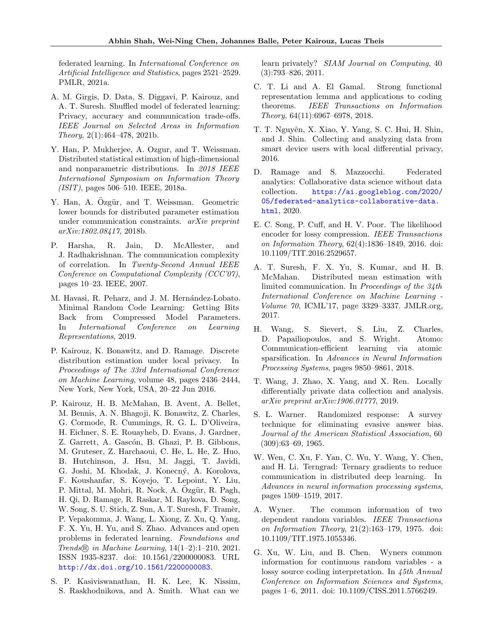federated learning. In International Conference on Artificial Intelligence and Statistics, pages 2521–2529. PMLR, 2021a.

- <span id="page-10-11"></span>A. M. Girgis, D. Data, S. Diggavi, P. Kairouz, and A. T. Suresh. Shuffled model of federated learning: Privacy, accuracy and communication trade-offs. IEEE Journal on Selected Areas in Information Theory, 2(1):464–478, 2021b.
- <span id="page-10-8"></span>Y. Han, P. Mukherjee, A. Ozgur, and T. Weissman. Distributed statistical estimation of high-dimensional and nonparametric distributions. In 2018 IEEE International Symposium on Information Theory (ISIT), pages 506–510. IEEE, 2018a.
- <span id="page-10-9"></span>Y. Han, A. Ozgür, and T. Weissman. Geometric lower bounds for distributed parameter estimation under communication constraints. arXiv preprint arXiv:1802.08417, 2018b.
- <span id="page-10-12"></span>P. Harsha, R. Jain, D. McAllester, and J. Radhakrishnan. The communication complexity of correlation. In Twenty-Second Annual IEEE Conference on Computational Complexity (CCC'07), pages 10–23. IEEE, 2007.
- <span id="page-10-0"></span>M. Havasi, R. Peharz, and J. M. Hernández-Lobato. Minimal Random Code Learning: Getting Bits Back from Compressed Model Parameters. In International Conference on Learning Representations, 2019.
- <span id="page-10-18"></span>P. Kairouz, K. Bonawitz, and D. Ramage. Discrete distribution estimation under local privacy. In Proceedings of The 33rd International Conference on Machine Learning, volume 48, pages 2436–2444, New York, New York, USA, 20–22 Jun 2016.
- <span id="page-10-2"></span>P. Kairouz, H. B. McMahan, B. Avent, A. Bellet, M. Bennis, A. N. Bhagoji, K. Bonawitz, Z. Charles, G. Cormode, R. Cummings, R. G. L. D'Oliveira, H. Eichner, S. E. Rouayheb, D. Evans, J. Gardner, Z. Garrett, A. Gascón, B. Ghazi, P. B. Gibbons, M. Gruteser, Z. Harchaoui, C. He, L. He, Z. Huo, B. Hutchinson, J. Hsu, M. Jaggi, T. Javidi, G. Joshi, M. Khodak, J. Konecn´y, A. Korolova, F. Koushanfar, S. Koyejo, T. Lepoint, Y. Liu, P. Mittal, M. Mohri, R. Nock, A. Ozgür, R. Pagh, H. Qi, D. Ramage, R. Raskar, M. Raykova, D. Song, W. Song, S. U. Stich, Z. Sun, A. T. Suresh, F. Tramèr, P. Vepakomma, J. Wang, L. Xiong, Z. Xu, Q. Yang, F. X. Yu, H. Yu, and S. Zhao. Advances and open problems in federated learning. Foundations and Trends <sup>R</sup> in Machine Learning, 14(1–2):1–210, 2021. ISSN 1935-8237. doi: 10.1561/2200000083. URL <http://dx.doi.org/10.1561/2200000083>.
- <span id="page-10-4"></span>S. P. Kasiviswanathan, H. K. Lee, K. Nissim, S. Raskhodnikova, and A. Smith. What can we

learn privately? SIAM Journal on Computing, 40 (3):793–826, 2011.

- <span id="page-10-13"></span>C. T. Li and A. El Gamal. Strong functional representation lemma and applications to coding theorems. IEEE Transactions on Information Theory, 64(11):6967–6978, 2018.
- <span id="page-10-16"></span>T. T. Nguyˆen, X. Xiao, Y. Yang, S. C. Hui, H. Shin, and J. Shin. Collecting and analyzing data from smart device users with local differential privacy, 2016.
- <span id="page-10-1"></span>D. Ramage and S. Mazzocchi. Federated analytics: Collaborative data science without data collection. [https://ai.googleblog.com/2020/](https://ai.googleblog.com/2020/05/federated-analytics-collaborative-data.html) [05/federated-analytics-collaborative-data.](https://ai.googleblog.com/2020/05/federated-analytics-collaborative-data.html) [html](https://ai.googleblog.com/2020/05/federated-analytics-collaborative-data.html), 2020.
- <span id="page-10-10"></span>E. C. Song, P. Cuff, and H. V. Poor. The likelihood encoder for lossy compression. IEEE Transactions on Information Theory, 62(4):1836–1849, 2016. doi: 10.1109/TIT.2016.2529657.
- <span id="page-10-5"></span>A. T. Suresh, F. X. Yu, S. Kumar, and H. B. McMahan. Distributed mean estimation with limited communication. In Proceedings of the 34th International Conference on Machine Learning - Volume 70, ICML'17, page 3329–3337. JMLR.org, 2017.
- <span id="page-10-7"></span>H. Wang, S. Sievert, S. Liu, Z. Charles, D. Papailiopoulos, and S. Wright. Atomo: Communication-efficient learning via atomic sparsification. In Advances in Neural Information Processing Systems, pages 9850–9861, 2018.
- <span id="page-10-17"></span>T. Wang, J. Zhao, X. Yang, and X. Ren. Locally differentially private data collection and analysis. arXiv preprint arXiv:1906.01777, 2019.
- <span id="page-10-3"></span>S. L. Warner. Randomized response: A survey technique for eliminating evasive answer bias. Journal of the American Statistical Association, 60 (309):63–69, 1965.
- <span id="page-10-6"></span>W. Wen, C. Xu, F. Yan, C. Wu, Y. Wang, Y. Chen, and H. Li. Terngrad: Ternary gradients to reduce communication in distributed deep learning. In Advances in neural information processing systems, pages 1509–1519, 2017.
- <span id="page-10-14"></span>A. Wyner. The common information of two dependent random variables. IEEE Transactions on Information Theory, 21(2):163–179, 1975. doi: 10.1109/TIT.1975.1055346.
- <span id="page-10-15"></span>G. Xu, W. Liu, and B. Chen. Wyners common information for continuous random variables - a lossy source coding interpretation. In 45th Annual Conference on Information Sciences and Systems, pages 1–6, 2011. doi: 10.1109/CISS.2011.5766249.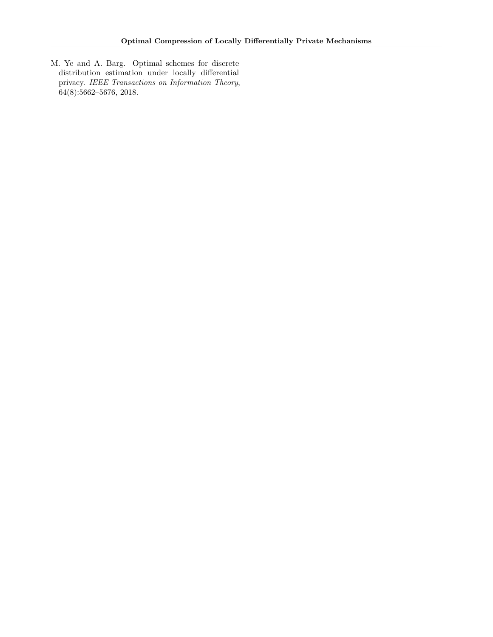<span id="page-11-0"></span>M. Ye and A. Barg. Optimal schemes for discrete distribution estimation under locally differential privacy. IEEE Transactions on Information Theory, 64(8):5662–5676, 2018.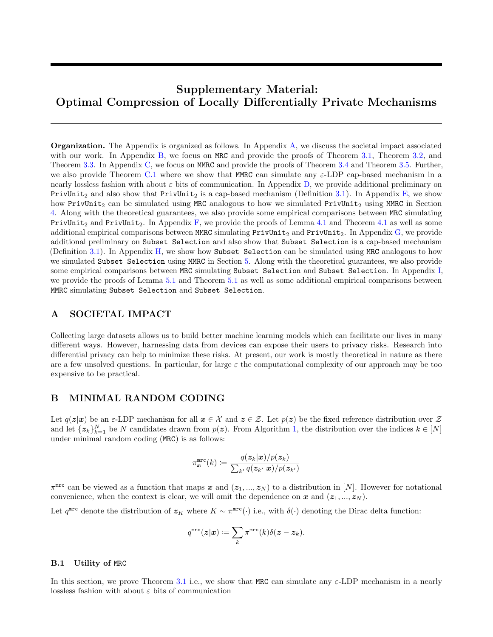# Supplementary Material: Optimal Compression of Locally Differentially Private Mechanisms

Organization. The Appendix is organized as follows. In Appendix [A,](#page-12-1) we discuss the societal impact associated with our work. In Appendix [B,](#page-12-2) we focus on MRC and provide the proofs of Theorem [3.1,](#page-3-0) Theorem [3.2,](#page-3-1) and Theorem [3.3.](#page-4-0) In Appendix [C,](#page-15-1) we focus on MMRC and provide the proofs of Theorem [3.4](#page-5-0) and Theorem [3.5.](#page-5-1) Further, we also provide Theorem [C.1](#page-20-1) where we show that MMRC can simulate any  $\varepsilon$ -LDP cap-based mechanism in a nearly lossless fashion with about  $\varepsilon$  bits of communication. In Appendix [D,](#page-21-0) we provide additional preliminary on PrivUnit<sub>2</sub> and also show that PrivUnit<sub>2</sub> is a cap-based mechanism (Definition [3.1\)](#page-4-1). In Appendix [E,](#page-22-0) we show how PrivUnit<sub>2</sub> can be simulated using MRC analogous to how we simulated PrivUnit<sub>2</sub> using MMRC in Section [4.](#page-5-6) Along with the theoretical guarantees, we also provide some empirical comparisons between MRC simulating PrivUnit<sub>2</sub> and PrivUnit<sub>2</sub>. In Appendix [F,](#page-28-0) we provide the proofs of Lemma [4.1](#page-6-1) and Theorem 4.1 as well as some additional empirical comparisons between MMRC simulating  $PrivUnit_2$  and  $PrivUnit_2$ . In Appendix  $G$ , we provide additional preliminary on Subset Selection and also show that Subset Selection is a cap-based mechanism (Definition [3.1\)](#page-4-1). In Appendix [H,](#page-33-0) we show how Subset Selection can be simulated using MRC analogous to how we simulated Subset Selection using MMRC in Section [5.](#page-7-6) Along with the theoretical guarantees, we also provide some empirical comparisons between MRC simulating Subset Selection and Subset Selection. In Appendix [I,](#page-39-0) we provide the proofs of Lemma [5.1](#page-7-0) and Theorem [5.1](#page-7-1) as well as some additional empirical comparisons between MMRC simulating Subset Selection and Subset Selection.

# <span id="page-12-1"></span>A SOCIETAL IMPACT

Collecting large datasets allows us to build better machine learning models which can facilitate our lives in many different ways. However, harnessing data from devices can expose their users to privacy risks. Research into differential privacy can help to minimize these risks. At present, our work is mostly theoretical in nature as there are a few unsolved questions. In particular, for large  $\varepsilon$  the computational complexity of our approach may be too expensive to be practical.

# <span id="page-12-2"></span>B MINIMAL RANDOM CODING

Let  $q(z|x)$  be an  $\varepsilon$ -LDP mechanism for all  $x \in \mathcal{X}$  and  $z \in \mathcal{Z}$ . Let  $p(z)$  be the fixed reference distribution over  $\mathcal{Z}$ and let  $\{z_k\}_{k=1}^N$  be N candidates drawn from  $p(z)$ . From Algorithm [1,](#page-3-4) the distribution over the indices  $k \in [N]$ under minimal random coding (MRC) is as follows:

$$
\pi_{\boldsymbol{x}}^{\mathtt{mrc}}(k) \coloneqq \frac{q(\boldsymbol{z}_k|\boldsymbol{x})/p(\boldsymbol{z}_k)}{\sum_{k'} q(\boldsymbol{z}_{k'}|\boldsymbol{x})/p(\boldsymbol{z}_{k'})}
$$

 $\pi^{\text{mrc}}$  can be viewed as a function that maps x and  $(z_1, ..., z_N)$  to a distribution in [N]. However for notational convenience, when the context is clear, we will omit the dependence on x and  $(z_1, ..., z_N)$ .

Let  $q^{\text{mrc}}$  denote the distribution of  $z_K$  where  $K \sim \pi^{\text{mrc}}(\cdot)$  i.e., with  $\delta(\cdot)$  denoting the Dirac delta function:

$$
q^{\tt mrc}(z|x) \coloneqq \sum_k \pi^{\tt mrc}(k)\delta(z-z_k).
$$

#### <span id="page-12-0"></span>B.1 Utility of MRC

In this section, we prove Theorem [3.1](#page-3-0) i.e., we show that MRC can simulate any  $\varepsilon$ -LDP mechanism in a nearly lossless fashion with about  $\varepsilon$  bits of communication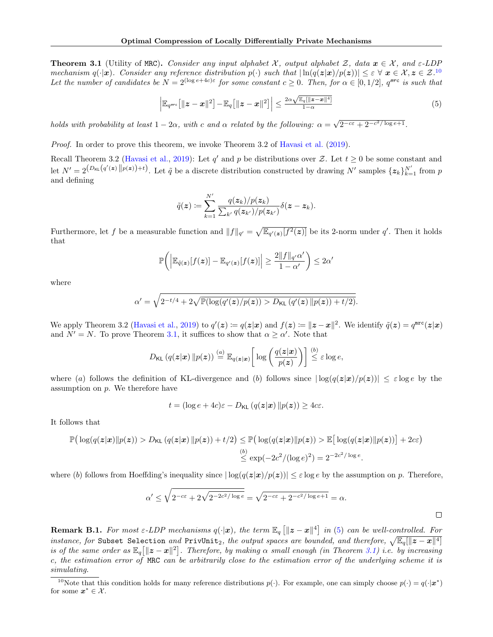**Theorem 3.1** (Utility of MRC). Consider any input alphabet X, output alphabet Z, data  $x \in \mathcal{X}$ , and  $\varepsilon$ -LDP mechanism q( $\cdot |x$ ). Consider any reference distribution  $p(\cdot)$  such that  $\left| \ln(q(z|x)/p(z)) \right| \leq \varepsilon \ \forall \ x \in \mathcal{X}, z \in \mathcal{Z}$ .<sup>[10](#page-13-1)</sup> Let the number of candidates be  $N = 2^{(\log e + 4c)\varepsilon}$  for some constant  $c \ge 0$ . Then, for  $\alpha \in [0, 1/2]$ ,  $q^{\text{mrc}}$  is such that

$$
\left| \mathbb{E}_{q^{\text{mrc}}} \left[ ||z - x||^2 \right] - \mathbb{E}_q \left[ ||z - x||^2 \right] \right| \leq \frac{2\alpha \sqrt{\mathbb{E}_q \left[ ||z - x||^4 \right]}}{1 - \alpha} \tag{5}
$$

holds with probability at least  $1-2\alpha$ , with c and  $\alpha$  related by the following:  $\alpha = \sqrt{2^{-c\epsilon} + 2^{-c^2/\log e + 1}}$ .

Proof. In order to prove this theorem, we invoke Theorem 3.2 of [Havasi et al.](#page-10-0) [\(2019\)](#page-10-0).

Recall Theorem 3.2 [\(Havasi et al.,](#page-10-0) [2019\)](#page-10-0): Let q' and p be distributions over Z. Let  $t \ge 0$  be some constant and let  $N' = 2^{(D_{\text{KL}}(q'(\mathbf{z})||p(\mathbf{z}))+t)}$ . Let  $\tilde{q}$  be a discrete distribution constructed by drawing N' samples  $\{\mathbf{z}_k\}_{k=1}^{N'}$  from p and defining

$$
\tilde{q}(\boldsymbol{z}) \coloneqq \sum_{k=1}^{N'} \frac{q(\boldsymbol{z}_k)/p(\boldsymbol{z}_k)}{\sum_{k'} q(\boldsymbol{z}_{k'})/p(\boldsymbol{z}_{k'})} \delta(\boldsymbol{z}-\boldsymbol{z}_k).
$$

Furthermore, let f be a measurable function and  $||f||_{q'} = \sqrt{\mathbb{E}_{q'(z)}[f^2(z)]}$  be its 2-norm under q'. Then it holds that

$$
\mathbb{P}\bigg(\Big|\mathbb{E}_{\tilde{q}(\boldsymbol{z})}[f(\boldsymbol{z})] - \mathbb{E}_{q'(\boldsymbol{z})}[f(\boldsymbol{z})]\Big| \geq \frac{2\|f\|_{q'}\alpha'}{1-\alpha'}\bigg) \leq 2\alpha'
$$

where

$$
\alpha' = \sqrt{2^{-t/4} + 2\sqrt{\mathbb{P}(\log(q'(z)/p(z))) + D_{\mathsf{KL}}(q'(z)\|p(z)) + t/2)}}.
$$

We apply Theorem 3.2 [\(Havasi et al.,](#page-10-0) [2019\)](#page-10-0) to  $q'(z) := q(z|x)$  and  $f(z) := ||z-x||^2$ . We identify  $\tilde{q}(z) = q^{\text{mrc}}(z|x)$ and  $N' = N$ . To prove Theorem [3.1,](#page-3-0) it suffices to show that  $\alpha \ge \alpha'$ . Note that

$$
D_{\mathsf{KL}}(q(\mathbf{z}|\mathbf{x}) \| p(\mathbf{z})) \stackrel{(a)}{=} \mathbb{E}_{q(\mathbf{z}|\mathbf{x})} \bigg[ \log \bigg( \frac{q(\mathbf{z}|\mathbf{x})}{p(\mathbf{z})} \bigg) \bigg] \stackrel{(b)}{\leq} \varepsilon \log e,
$$

where (a) follows the definition of KL-divergence and (b) follows since  $|\log(q(z|x)/p(z))| \leq \varepsilon \log e$  by the assumption on  $p$ . We therefore have

$$
t = (\log e + 4c)\varepsilon - D_{\mathsf{KL}}\left(q(\boldsymbol{z}|\boldsymbol{x})\|p(\boldsymbol{z})\right) \geq 4c\varepsilon.
$$

It follows that

$$
\mathbb{P}\big(\log(q(\boldsymbol{z}|\boldsymbol{x})\|p(\boldsymbol{z})) > D_{\mathsf{KL}}\left(q(\boldsymbol{z}|\boldsymbol{x})\|p(\boldsymbol{z})\right) + t/2\big) \leq \mathbb{P}\big(\log(q(\boldsymbol{z}|\boldsymbol{x})\|p(\boldsymbol{z})) > \mathbb{E}\big[\log(q(\boldsymbol{z}|\boldsymbol{x})\|p(\boldsymbol{z}))\big] + 2c\epsilon\big) \\
\overset{(b)}{\leq} \exp(-2c^2/(\log e)^2) = 2^{-2c^2/\log e}.
$$

where (b) follows from Hoeffding's inequality since  $|\log(q(z|x)/p(z))| \leq \varepsilon \log e$  by the assumption on p. Therefore,

$$
\alpha' \le \sqrt{2^{-c\varepsilon} + 2\sqrt{2^{-2c^2/\log e}}} = \sqrt{2^{-c\varepsilon} + 2^{-c^2/\log e + 1}} = \alpha.
$$

 $\Box$ 

<span id="page-13-0"></span>**Remark B.1.** For most  $\varepsilon$ -LDP mechanisms  $q(\cdot|x)$ , the term  $\mathbb{E}_q[[|z-x|]^4]$  in [\(5\)](#page-3-6) can be well-controlled. For instance, for Subset Selection and PrivUnit<sub>2</sub>, the output spaces are bounded, and therefore,  $\sqrt{\mathbb{E}_q[\Vert z - x \Vert^4]}$ is of the same order as  $\mathbb{E}_q[\|z-x\|^2]$ . Therefore, by making  $\alpha$  small enough (in Theorem [3.1\)](#page-3-0) i.e. by increasing c, the estimation error of MRC can be arbitrarily close to the estimation error of the underlying scheme it is simulating.

<span id="page-13-1"></span><sup>&</sup>lt;sup>10</sup>Note that this condition holds for many reference distributions  $p(\cdot)$ . For example, one can simply choose  $p(\cdot) = q(\cdot|\boldsymbol{x}^*)$ for some  $x^* \in \mathcal{X}$ .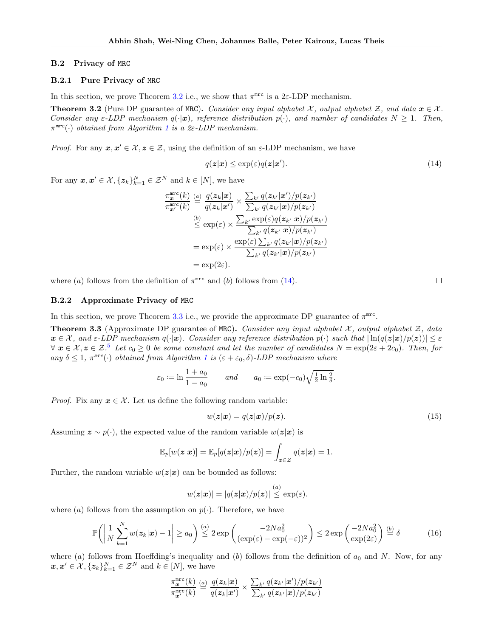#### B.2 Privacy of MRC

## <span id="page-14-0"></span>B.2.1 Pure Privacy of MRC

In this section, we prove Theorem [3.2](#page-3-1) i.e., we show that  $\pi^{\text{mrc}}$  is a 2 $\varepsilon$ -LDP mechanism.

**Theorem 3.2** (Pure DP guarantee of MRC). Consider any input alphabet  $\mathcal{X}$ , output alphabet  $\mathcal{Z}$ , and data  $\mathbf{x} \in \mathcal{X}$ . Consider any  $\varepsilon$ -LDP mechanism  $q(\cdot|\boldsymbol{x})$ , reference distribution  $p(\cdot)$ , and number of candidates  $N \geq 1$ . Then,  $\pi^{mrc}(\cdot)$  obtained from Algorithm [1](#page-3-4) is a 2 $\varepsilon$ -LDP mechanism.

*Proof.* For any  $x, x' \in \mathcal{X}, z \in \mathcal{Z}$ , using the definition of an  $\varepsilon$ -LDP mechanism, we have

$$
q(z|x) \le \exp(\varepsilon)q(z|x'). \tag{14}
$$

For any  $\boldsymbol{x}, \boldsymbol{x}' \in \mathcal{X}, \{\boldsymbol{z}_k\}_{k=1}^N \in \mathcal{Z}^N$  and  $k \in [N]$ , we have

$$
\frac{\pi_{\mathbf{x}}^{\mathbf{m}c}(k)}{\pi_{\mathbf{x}'}^{\mathbf{m}c}(k)} \stackrel{(a)}{=} \frac{q(\mathbf{z}_k|\mathbf{x})}{q(\mathbf{z}_k|\mathbf{x}')} \times \frac{\sum_{k'} q(\mathbf{z}_{k'}|\mathbf{x}')/p(\mathbf{z}_{k'})}{\sum_{k'} q(\mathbf{z}_{k'}|\mathbf{x})/p(\mathbf{z}_{k'})}
$$
\n
$$
\stackrel{(b)}{\leq} \exp(\varepsilon) \times \frac{\sum_{k'} \exp(\varepsilon)q(\mathbf{z}_{k'}|\mathbf{x})/p(\mathbf{z}_{k'})}{\sum_{k'} q(\mathbf{z}_{k'}|\mathbf{x})/p(\mathbf{z}_{k'})}
$$
\n
$$
= \exp(\varepsilon) \times \frac{\exp(\varepsilon) \sum_{k'} q(\mathbf{z}_{k'}|\mathbf{x})/p(\mathbf{z}_{k'})}{\sum_{k'} q(\mathbf{z}_{k'}|\mathbf{x})/p(\mathbf{z}_{k'})}
$$
\n
$$
= \exp(2\varepsilon).
$$

where (a) follows from the definition of  $\pi^{\text{mrc}}$  and (b) follows from [\(14\)](#page-14-2).

#### <span id="page-14-1"></span>B.2.2 Approximate Privacy of MRC

In this section, we prove Theorem [3.3](#page-4-0) i.e., we provide the approximate DP guarantee of  $\pi^{\text{mrc}}$ .

**Theorem 3.3** (Approximate DP guarantee of MRC). Consider any input alphabet X, output alphabet Z, data  $x \in \mathcal{X}$ , and  $\varepsilon$ -LDP mechanism  $q(\cdot|x)$ . Consider any reference distribution  $p(\cdot)$  such that  $|\ln(q(z|x)/p(z))| \leq \varepsilon$  $\forall x \in \mathcal{X}, z \in \mathcal{Z}^5$  Let  $c_0 \geq 0$  be some constant and let the number of candidates  $N = \exp(2\varepsilon + 2c_0)$ . Then, for any  $\delta \leq 1$  $\delta \leq 1$ ,  $\pi^{m\epsilon}(\cdot)$  obtained from Algorithm 1 is  $(\epsilon + \epsilon_0, \delta)$ -LDP mechanism where

$$
\varepsilon_0 := \ln \frac{1 + a_0}{1 - a_0}
$$
 and  $a_0 := \exp(-c_0) \sqrt{\frac{1}{2} \ln \frac{2}{\delta}}$ .

*Proof.* Fix any  $x \in \mathcal{X}$ . Let us define the following random variable:

$$
w(z|x) = q(z|x)/p(z). \tag{15}
$$

Assuming  $z \sim p(\cdot)$ , the expected value of the random variable  $w(z|x)$  is

$$
\mathbb{E}_p[w(\boldsymbol{z}|\boldsymbol{x})] = \mathbb{E}_p[q(\boldsymbol{z}|\boldsymbol{x})/p(\boldsymbol{z})] = \int_{\boldsymbol{z}\in\mathcal{Z}} q(\boldsymbol{z}|\boldsymbol{x}) = 1.
$$

Further, the random variable  $w(z|x)$  can be bounded as follows:

<span id="page-14-4"></span>
$$
|w(\boldsymbol{z}|\boldsymbol{x})| = |q(\boldsymbol{z}|\boldsymbol{x})/p(\boldsymbol{z})| \overset{(a)}{\leq} \exp(\varepsilon).
$$

where (a) follows from the assumption on  $p(.)$ . Therefore, we have

$$
\mathbb{P}\bigg(\bigg|\frac{1}{N}\sum_{k=1}^{N}w(\boldsymbol{z}_{k}|\boldsymbol{x})-1\bigg|\geq a_{0}\bigg)\stackrel{(a)}{\leq}2\exp\bigg(\frac{-2Na_{0}^{2}}{(\exp(\varepsilon)-\exp(-\varepsilon))^{2}}\bigg)\leq 2\exp\bigg(\frac{-2Na_{0}^{2}}{\exp(2\varepsilon)}\bigg)\stackrel{(b)}{=}\delta\qquad(16)
$$

where (a) follows from Hoeffding's inequality and (b) follows from the definition of  $a_0$  and N. Now, for any  $\boldsymbol{x}, \boldsymbol{x}' \in \mathcal{X}, \{\boldsymbol{z}_k\}_{k=1}^N \in \mathcal{Z}^N$  and  $k \in [N]$ , we have

$$
\frac{\pi^{\mathtt{mrc}}_{\bm{x}}(k)}{\pi^{\mathtt{mrc}}_{\bm{x}'}(k)} \stackrel{(a)}{=} \frac{q(\bm{z}_k|\bm{x})}{q(\bm{z}_k|\bm{x}')}\times \frac{\sum_{k'}q(\bm{z}_{k'}|\bm{x}')/p(\bm{z}_{k'})}{\sum_{k'}q(\bm{z}_{k'}|\bm{x})/p(\bm{z}_{k'})}
$$

<span id="page-14-3"></span><span id="page-14-2"></span> $\Box$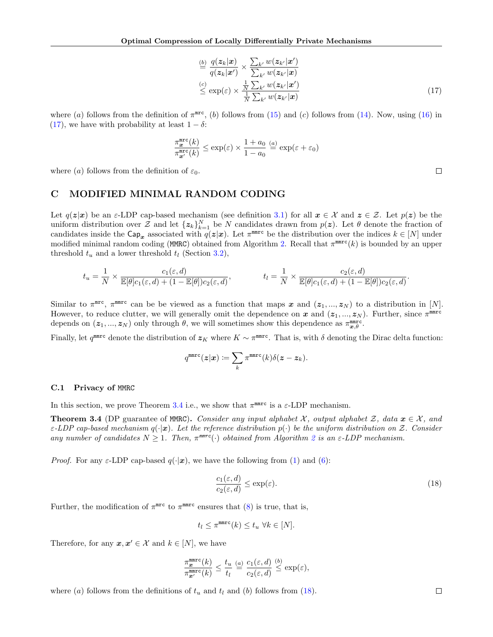$$
\stackrel{\text{(b)}}{\equiv} \frac{q(\mathbf{z}_k|\mathbf{x})}{q(\mathbf{z}_k|\mathbf{x}')} \times \frac{\sum_{k'} w(\mathbf{z}_{k'}|\mathbf{x}')}{\sum_{k'} w(\mathbf{z}_{k'}|\mathbf{x})}
$$
\n
$$
\stackrel{\text{(c)}}{\leq} \exp(\varepsilon) \times \frac{\frac{1}{N} \sum_{k'} w(\mathbf{z}_{k'}|\mathbf{x}')}{\frac{1}{N} \sum_{k'} w(\mathbf{z}_{k'}|\mathbf{x})}
$$
\n
$$
(17)
$$

where (a) follows from the definition of  $\pi^{\text{mrc}}$ , (b) follows from [\(15\)](#page-14-3) and (c) follows from [\(14\)](#page-14-2). Now, using [\(16\)](#page-14-4) in [\(17\)](#page-15-2), we have with probability at least  $1 - \delta$ :

$$
\frac{\pi_{\mathbf{x}}^{\mathbf{mrc}}(k)}{\pi_{\mathbf{x}'}^{\mathbf{mrc}}(k)} \le \exp(\varepsilon) \times \frac{1 + a_0}{1 - a_0} \stackrel{(a)}{=} \exp(\varepsilon + \varepsilon_0)
$$

where (a) follows from the definition of  $\varepsilon_0$ .

# <span id="page-15-1"></span>C MODIFIED MINIMAL RANDOM CODING

Let  $q(z|x)$  be an  $\varepsilon$ -LDP cap-based mechanism (see definition [3.1\)](#page-4-1) for all  $x \in \mathcal{X}$  and  $z \in \mathcal{Z}$ . Let  $p(z)$  be the uniform distribution over Z and let  $\{z_k\}_{k=1}^N$  be N candidates drawn from  $p(z)$ . Let  $\theta$  denote the fraction of candidates inside the  $\textsf{Cap}_x$  associated with  $q(z|x)$ . Let  $\pi^{\texttt{mmrc}}$  be the distribution over the indices  $k \in [N]$  under modified minimal random coding (MMRC) obtained from Algorithm [2.](#page-5-2) Recall that  $\pi^{\text{mmrc}}(k)$  is bounded by an upper threshold  $t_u$  and a lower threshold  $t_l$  (Section [3.2\)](#page-4-6),

$$
t_u = \frac{1}{N} \times \frac{c_1(\varepsilon, d)}{\mathbb{E}[\theta]c_1(\varepsilon, d) + (1 - \mathbb{E}[\theta])c_2(\varepsilon, d)}, \qquad t_l = \frac{1}{N} \times \frac{c_2(\varepsilon, d)}{\mathbb{E}[\theta]c_1(\varepsilon, d) + (1 - \mathbb{E}[\theta])c_2(\varepsilon, d)}
$$

Similar to  $\pi^{\text{mrc}}$ ,  $\pi^{\text{mmc}}$  can be be viewed as a function that maps x and  $(z_1, ..., z_N)$  to a distribution in [N]. However, to reduce clutter, we will generally omit the dependence on x and  $(z_1, ..., z_N)$ . Further, since  $\pi^{\text{mmrc}}$ depends on  $(z_1, ..., z_N)$  only through  $\theta$ , we will sometimes show this dependence as  $\pi_{x,\theta}^{\text{mmrc}}$ .

Finally, let  $q^{\texttt{mmrc}}$  denote the distribution of  $z_K$  where  $K \sim \pi^{\texttt{mmrc}}$ . That is, with  $\delta$  denoting the Dirac delta function:

$$
q^{\mathtt{mmrc}}(\boldsymbol{z}|\boldsymbol{x}) \coloneqq \sum_k \pi^{\mathtt{mmrc}}(k) \delta(\boldsymbol{z}-\boldsymbol{z}_k).
$$

#### <span id="page-15-0"></span>C.1 Privacy of MMRC

In this section, we prove Theorem [3.4](#page-5-0) i.e., we show that  $\pi^{\text{mmrc}}$  is a  $\varepsilon$ -LDP mechanism.

**Theorem 3.4** (DP guarantee of MMRC). Consider any input alphabet X, output alphabet Z, data  $x \in \mathcal{X}$ , and  $\varepsilon$ -LDP cap-based mechanism  $q(\cdot|x)$ . Let the reference distribution  $p(\cdot)$  be the uniform distribution on Z. Consider any number of candidates  $N \geq 1$ . Then,  $\pi^{mm\tau}(\cdot)$  obtained from Algorithm [2](#page-5-2) is an  $\varepsilon$ -LDP mechanism.

*Proof.* For any  $\varepsilon$ -LDP cap-based  $q(\cdot|\boldsymbol{x})$ , we have the following from [\(1\)](#page-2-2) and [\(6\)](#page-4-5):

$$
\frac{c_1(\varepsilon, d)}{c_2(\varepsilon, d)} \le \exp(\varepsilon). \tag{18}
$$

Further, the modification of  $\pi^{\text{mrc}}$  to  $\pi^{\text{mmc}}$  ensures that [\(8\)](#page-4-4) is true, that is,

$$
t_l \leq \pi^{\text{mmrc}}(k) \leq t_u \ \forall k \in [N].
$$

Therefore, for any  $x, x' \in \mathcal{X}$  and  $k \in [N]$ , we have

$$
\frac{\pi^{\text{mmrc}}_{\bm{x}}(k)}{\pi^{\text{mmrc}}_{\bm{x}'}(k)} \leq \frac{t_u}{t_l} \stackrel{(a)}{=} \frac{c_1(\varepsilon, d)}{c_2(\varepsilon, d)} \stackrel{(b)}{\leq} \exp(\varepsilon),
$$

where (a) follows from the definitions of  $t_u$  and  $t_l$  and (b) follows from [\(18\)](#page-15-3).

<span id="page-15-2"></span> $\Box$ 

.

<span id="page-15-3"></span> $\Box$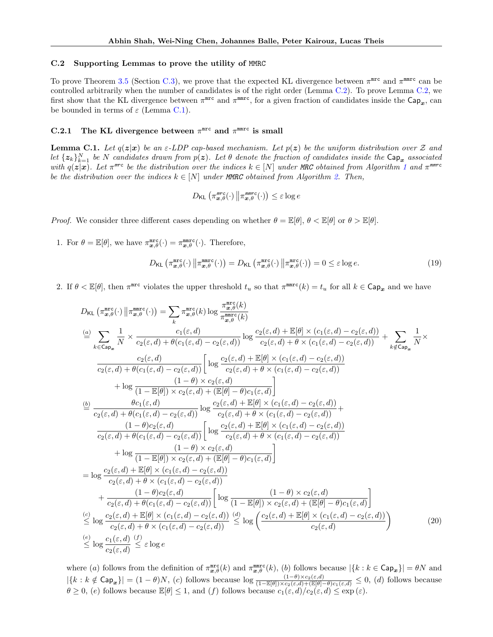#### C.2 Supporting Lemmas to prove the utility of MMRC

To prove Theorem [3.5](#page-5-1) (Section [C.3\)](#page-19-0), we prove that the expected KL divergence between  $\pi^{\text{mrc}}$  and  $\pi^{\text{mmc}}$  can be controlled arbitrarily when the number of candidates is of the right order (Lemma [C.2\)](#page-17-0). To prove Lemma [C.2,](#page-17-0) we first show that the KL divergence between  $\pi^{\text{mrc}}$  and  $\pi^{\text{mmc}}$ , for a given fraction of candidates inside the  $\textsf{Cap}_x$ , can be bounded in terms of  $\varepsilon$  (Lemma [C.1\)](#page-16-0).

# C.2.1 The KL divergence between  $\pi^{\text{mrc}}$  and  $\pi^{\text{mmc}}$  is small

<span id="page-16-0"></span>**Lemma C.1.** Let  $q(z|x)$  be an  $\epsilon$ -LDP cap-based mechanism. Let  $p(z)$  be the uniform distribution over Z and let  $\{z_k\}_{k=1}^N$  be N candidates drawn from  $p(z)$ . Let  $\theta$  denote the fraction of candidates inside the  $\textsf{Cap}_x$  associated with  $q(z|x)$ . Let  $\pi^{mrc}$  be the distribution over the indices  $k \in [N]$  under MRC obtained from Algorithm [1](#page-3-4) and  $\pi^{mmc}$ be the distribution over the indices  $k \in [N]$  under MMRC obtained from Algorithm [2.](#page-5-2) Then,

<span id="page-16-1"></span>
$$
D_{\mathsf{KL}}\left(\pi_{\boldsymbol{x},\theta}^{\textit{mrc}}(\cdot) \left\| \pi_{\boldsymbol{x},\theta}^{\textit{mmrc}}(\cdot)\right) \leq \varepsilon \log e
$$

*Proof.* We consider three different cases depending on whether  $\theta = \mathbb{E}[\theta], \theta < \mathbb{E}[\theta]$  or  $\theta > \mathbb{E}[\theta]$ .

1. For  $\theta = \mathbb{E}[\theta]$ , we have  $\pi_{\bm{x},\theta}^{\text{mrc}}(\cdot) = \pi_{\bm{x},\theta}^{\text{mmc}}(\cdot)$ . Therefore,

$$
D_{\mathsf{KL}}\left(\pi_{\boldsymbol{x},\theta}^{\mathtt{mrc}}(\cdot)\middle\|\pi_{\boldsymbol{x},\theta}^{\mathtt{mmc}}(\cdot)\right) = D_{\mathsf{KL}}\left(\pi_{\boldsymbol{x},\theta}^{\mathtt{mrc}}(\cdot)\middle\|\pi_{\boldsymbol{x},\theta}^{\mathtt{mrc}}(\cdot)\right) = 0 \leq \varepsilon \log e.
$$
 (19)

2. If  $\theta < \mathbb{E}[\theta]$ , then  $\pi^{\text{mrc}}$  violates the upper threshold  $t_u$  so that  $\pi^{\text{mmc}}(k) = t_u$  for all  $k \in \text{Cap}_x$  and we have

$$
D_{\text{KL}}\left(\pi_{x,\theta}^{\text{mrc}}(\cdot)\middle| \pi_{x,\theta}^{\text{mnc}}(\cdot)\right) = \sum_{k} \pi_{x,\theta}^{\text{mrc}}(k) \log \frac{\pi_{x,\theta}^{\text{mrc}}(k)}{\pi_{x,\theta}^{\text{mnc}}(k)}
$$
\n
$$
\stackrel{(a)}{=} \sum_{k \in \text{Cap}_x} \frac{1}{N} \times \frac{c_1(\varepsilon,d)}{c_2(\varepsilon,d) + \theta(c_1(\varepsilon,d) - c_2(\varepsilon,d))} \log \frac{c_2(\varepsilon,d) + \mathbb{E}[\theta] \times (c_1(\varepsilon,d) - c_2(\varepsilon,d))}{c_2(\varepsilon,d) + \theta \times (c_1(\varepsilon,d) - c_2(\varepsilon,d))} + \sum_{k \notin \text{Cap}_x} \frac{1}{N} \times \frac{c_2(\varepsilon,d)}{c_2(\varepsilon,d) + \theta(c_1(\varepsilon,d) - c_2(\varepsilon,d))} \left[ \log \frac{c_2(\varepsilon,d) + \mathbb{E}[\theta] \times (c_1(\varepsilon,d) - c_2(\varepsilon,d))}{c_2(\varepsilon,d) + \theta(c_1(\varepsilon,d) - c_2(\varepsilon,d))} \right]
$$
\n
$$
+ \log \frac{(1-\mathbb{E}[\theta]) \times c_2(\varepsilon,d) + (\mathbb{E}[\theta] - \theta)c_1(\varepsilon,d)}{(1-\mathbb{E}[\theta]) \times c_2(\varepsilon,d) + (\mathbb{E}[\theta] - \theta)c_1(\varepsilon,d))} \right]
$$
\n
$$
\stackrel{(b)}{=} \frac{\theta c_1(\varepsilon,d)}{c_2(\varepsilon,d) + \theta(c_1(\varepsilon,d) - c_2(\varepsilon,d))} \log \frac{c_2(\varepsilon,d) + \mathbb{E}[\theta] \times (c_1(\varepsilon,d) - c_2(\varepsilon,d))}{c_2(\varepsilon,d) + \theta(c_1(\varepsilon,d) - c_2(\varepsilon,d))} + \frac{(1-\theta)c_2(\varepsilon,d)}{c_2(\varepsilon,d) + \theta(c_1(\varepsilon,d) - c_2(\varepsilon,d))} \left[ \log \frac{c_2(\varepsilon,d) + \mathbb{E}[\theta] \times (c_1(\varepsilon
$$

<span id="page-16-2"></span>where (a) follows from the definition of  $\pi_{x,\theta}^{\text{mrc}}(k)$  and  $\pi_{x,\theta}^{\text{mmc}}(k)$ , (b) follows because  $|\{k : k \in \text{Cap}_x\}| = \theta N$  and  $|\{k : k \notin \textsf{Cap}_x\}| = (1-\theta)N$ , (c) follows because  $\log \frac{(1-\theta)\times c_2(\varepsilon,d)}{(1-\mathbb{E}[\theta])\times c_2(\varepsilon,d)+(\mathbb{E}[\theta]-\theta)c_1(\varepsilon,d)} \leq 0$ , (d) follows because  $\theta \geq 0$ , (e) follows because  $\mathbb{E}[\theta] \leq 1$ , and (f) follows because  $c_1(\varepsilon, d)/c_2(\varepsilon, d) \leq \exp(\varepsilon)$ .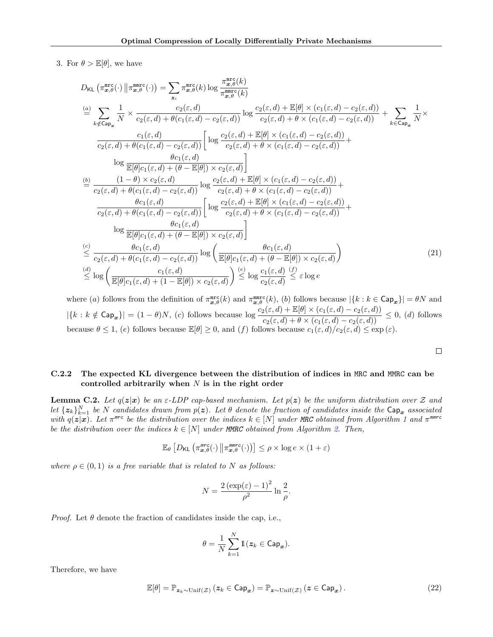3. For  $\theta > \mathbb{E}[\theta]$ , we have

$$
D_{\text{KL}}\left(\pi_{\mathbf{x},\theta}^{\text{mrc}}(\cdot)\middle|\pi_{\mathbf{x},\theta}^{\text{mmc}}(\cdot)\right) = \sum_{\mathbf{z}_{i}} \pi_{\mathbf{x},\theta}^{\text{mrc}}(k) \log \frac{\pi_{\mathbf{x},\theta}^{\text{mmc}}(k)}{\pi_{\mathbf{x},\theta}^{\text{mmc}}(k)}
$$
\n
$$
\stackrel{(a)}{=} \sum_{k \notin \text{Cap}_{\mathbf{x}}} \frac{1}{N} \times \frac{c_{2}(\varepsilon,d)}{c_{2}(\varepsilon,d) + \theta(c_{1}(\varepsilon,d) - c_{2}(\varepsilon,d))} \log \frac{c_{2}(\varepsilon,d) + \mathbb{E}[\theta] \times (c_{1}(\varepsilon,d) - c_{2}(\varepsilon,d))}{c_{2}(\varepsilon,d) + \theta \times (c_{1}(\varepsilon,d) - c_{2}(\varepsilon,d))} + \sum_{k \in \text{Cap}_{\mathbf{x}}} \frac{1}{N} \times \frac{c_{1}(\varepsilon,d)}{c_{2}(\varepsilon,d) + \theta(c_{1}(\varepsilon,d) - c_{2}(\varepsilon,d))} \left[ \log \frac{c_{2}(\varepsilon,d) + \mathbb{E}[\theta] \times (c_{1}(\varepsilon,d) - c_{2}(\varepsilon,d))}{c_{2}(\varepsilon,d) + \theta(c_{1}(\varepsilon,d) - c_{2}(\varepsilon,d))} \right] + \log \frac{\theta c_{1}(\varepsilon,d)}{\mathbb{E}[\theta]c_{1}(\varepsilon,d) + (\theta - \mathbb{E}[\theta]) \times c_{2}(\varepsilon,d)} \right]
$$
\n
$$
\stackrel{(b)}{=} \frac{(1-\theta) \times c_{2}(\varepsilon,d)}{c_{2}(\varepsilon,d) + \theta(c_{1}(\varepsilon,d) - c_{2}(\varepsilon,d))} \log \frac{c_{2}(\varepsilon,d) + \mathbb{E}[\theta] \times (c_{1}(\varepsilon,d) - c_{2}(\varepsilon,d))}{c_{2}(\varepsilon,d) + \theta \times (c_{1}(\varepsilon,d) - c_{2}(\varepsilon,d))} + \frac{\theta c_{1}(\varepsilon,d)}{c_{2}(\varepsilon,d) + \theta(c_{1}(\varepsilon,d) - c_{2}(\varepsilon,d))} \left[ \log \frac{
$$

where (a) follows from the definition of  $\pi_{x,\theta}^{\text{mrc}}(k)$  and  $\pi_{x,\theta}^{\text{mmc}}(k)$ , (b) follows because  $|\{k : k \in \text{Cap}_x\}| = \theta N$  and  $|\{k : k \notin \textsf{Cap}_x\}| = (1 - \theta)N$ , (c) follows because  $\log \frac{c_2(\varepsilon, d) + \mathbb{E}[\theta] \times (c_1(\varepsilon, d) - c_2(\varepsilon, d))}{c_2(\varepsilon, d) + \theta \times (c_1(\varepsilon, d) - c_2(\varepsilon, d))} \leq 0$ , (d) follows because  $\theta \leq 1$ , (e) follows because  $\mathbb{E}[\theta] \geq 0$ , and (f) follows because  $c_1(\varepsilon, d)/c_2(\varepsilon, d) \leq \exp(\varepsilon)$ .

<span id="page-17-1"></span> $\Box$ 

# C.2.2 The expected KL divergence between the distribution of indices in MRC and MMRC can be controlled arbitrarily when  $N$  is in the right order

<span id="page-17-0"></span>**Lemma C.2.** Let  $q(z|x)$  be an  $\varepsilon$ -LDP cap-based mechanism. Let  $p(z)$  be the uniform distribution over Z and let  $\{z_k\}_{k=1}^N$  be N candidates drawn from  $p(z)$ . Let  $\theta$  denote the fraction of candidates inside the  $\textsf{Cap}_x$  associated with  $q(z|x)$ . Let  $\pi^{mrc}$  be the distribution over the indices  $k \in [N]$  under MRC obtained from Algorithm [1](#page-3-4) and  $\pi^{mmc}$ be the distribution over the indices  $k \in [N]$  under MMRC obtained from Algorithm [2.](#page-5-2) Then,

$$
\mathbb{E}_{\theta}\left[D_{\mathsf{KL}}\left(\pi_{\bm{x},\theta}^{\textit{mrc}}(\cdot) \left\Vert \pi_{\bm{x},\theta}^{\textit{mmc}}(\cdot)\right)\right]\leq\rho\times\log e\times(1+\varepsilon)
$$

where  $\rho \in (0,1)$  is a free variable that is related to N as follows:

$$
N = \frac{2\left(\exp(\varepsilon) - 1\right)^2}{\rho^2} \ln \frac{2}{\rho}.
$$

*Proof.* Let  $\theta$  denote the fraction of candidates inside the cap, i.e.,

<span id="page-17-2"></span>
$$
\theta = \frac{1}{N} \sum_{k=1}^{N} \mathbb{1}(z_k \in \mathsf{Cap}_{\bm{x}}).
$$

Therefore, we have

$$
\mathbb{E}[\theta] = \mathbb{P}_{\mathbf{z}_k \sim \text{Unif}(\mathcal{Z})} (\mathbf{z}_k \in \text{Cap}_{\mathbf{x}}) = \mathbb{P}_{\mathbf{z} \sim \text{Unif}(\mathcal{Z})} (\mathbf{z} \in \text{Cap}_{\mathbf{x}}).
$$
\n(22)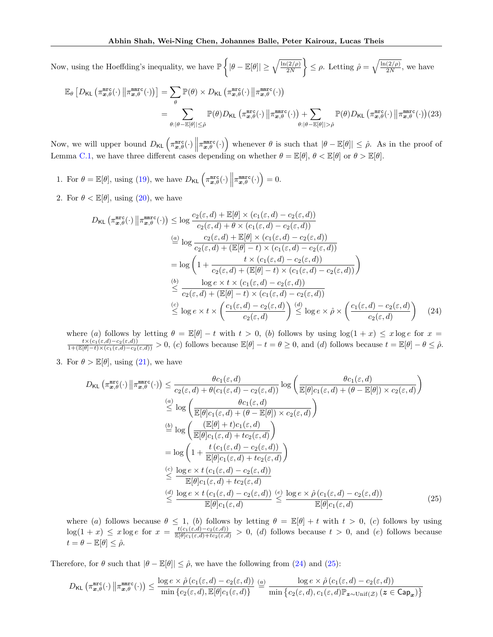Now, using the Hoeffding's inequality, we have  $\mathbb{P}\left\{|\theta-\mathbb{E}[\theta]|\geq \sqrt{\frac{\ln(2/\rho)}{2N}}\right\}$ 2N  $\left\{\leq \rho. \text{ Letting } \hat{\rho} = \sqrt{\frac{\ln(2/\rho)}{2N}}\right\}$  $\frac{(2/\rho)}{2N}$ , we have

$$
\mathbb{E}_{\theta}\left[D_{\mathsf{KL}}\left(\pi_{\bm{x},\theta}^{\mathtt{mrc}}(\cdot)\middle\|\pi_{\bm{x},\theta}^{\mathtt{mmc}}(\cdot)\right)\right] = \sum_{\theta} \mathbb{P}(\theta) \times D_{\mathsf{KL}}\left(\pi_{\bm{x},\theta}^{\mathtt{mrc}}(\cdot)\middle\|\pi_{\bm{x},\theta}^{\mathtt{mmc}}(\cdot)\right)
$$
\n
$$
= \sum_{\theta:|\theta-\mathbb{E}[\theta]| \leq \hat{\rho}} \mathbb{P}(\theta) D_{\mathsf{KL}}\left(\pi_{\bm{x},\theta}^{\mathtt{mrc}}(\cdot)\middle\|\pi_{\bm{x},\theta}^{\mathtt{mmc}}(\cdot)\right) + \sum_{\theta:|\theta-\mathbb{E}[\theta]| > \hat{\rho}} \mathbb{P}(\theta) D_{\mathsf{KL}}\left(\pi_{\bm{x},\theta}^{\mathtt{mrc}}(\cdot)\middle\|\pi_{\bm{x},\theta}^{\mathtt{mmc}}(\cdot)\right)
$$
 (23)

Now, we will upper bound  $D_{\mathsf{KL}}\left(\pi_{\bm{x},\theta}^{\mathtt{mrc}}(\cdot)\middle\|\pi_{\bm{x},\theta}^{\mathtt{mmc}}(\cdot)\right)$  whenever  $\theta$  is such that  $|\theta-\mathbb{E}[\theta]|\leq \hat{\rho}$ . As in the proof of Lemma [C.1,](#page-16-0) we have three different cases depending on whether  $\theta = \mathbb{E}[\theta], \theta < \mathbb{E}[\theta]$  or  $\theta > \mathbb{E}[\theta]$ .

- 1. For  $\theta = \mathbb{E}[\theta]$ , using [\(19\)](#page-16-1), we have  $D_{\mathsf{KL}}\left(\pi_{\bm{x},\theta}^{\mathtt{mrc}}(\cdot)\middle\|\pi_{\bm{x},\theta}^{\mathtt{mmc}}(\cdot)\right) = 0$ .
- 2. For  $\theta < \mathbb{E}[\theta]$ , using [\(20\)](#page-16-2), we have

<span id="page-18-2"></span>
$$
D_{\mathsf{KL}}\left(\pi_{\mathbf{x},\theta}^{\mathtt{mrc}}(\cdot)\middle\|\pi_{\mathbf{x},\theta}^{\mathtt{mmc}}(\cdot)\right) \leq \log \frac{c_2(\varepsilon,d) + \mathbb{E}[\theta] \times (c_1(\varepsilon,d) - c_2(\varepsilon,d))}{c_2(\varepsilon,d) + \theta \times (c_1(\varepsilon,d) - c_2(\varepsilon,d))}
$$
\n
$$
\stackrel{(a)}{=} \log \frac{c_2(\varepsilon,d) + \mathbb{E}[\theta] \times (c_1(\varepsilon,d) - c_2(\varepsilon,d))}{c_2(\varepsilon,d) + (\mathbb{E}[\theta] - t) \times (c_1(\varepsilon,d) - c_2(\varepsilon,d))}
$$
\n
$$
= \log \left(1 + \frac{t \times (c_1(\varepsilon,d) - c_2(\varepsilon,d))}{c_2(\varepsilon,d) + (\mathbb{E}[\theta] - t) \times (c_1(\varepsilon,d) - c_2(\varepsilon,d))}\right)
$$
\n
$$
\stackrel{(b)}{\leq} \frac{\log e \times t \times (c_1(\varepsilon,d) - c_2(\varepsilon,d))}{c_2(\varepsilon,d) + (\mathbb{E}[\theta] - t) \times (c_1(\varepsilon,d) - c_2(\varepsilon,d))}
$$
\n
$$
\stackrel{(c)}{\leq} \log e \times t \times \left(\frac{c_1(\varepsilon,d) - c_2(\varepsilon,d)}{c_2(\varepsilon,d)}\right) \stackrel{(d)}{\leq} \log e \times \hat{\rho} \times \left(\frac{c_1(\varepsilon,d) - c_2(\varepsilon,d)}{c_2(\varepsilon,d)}\right) \quad (24)
$$

where (a) follows by letting  $\theta = \mathbb{E}[\theta] - t$  with  $t > 0$ , (b) follows by using  $\log(1 + x) \leq x \log e$  for  $x =$  $\frac{t \times (c_1(\varepsilon,d)-c_2(\varepsilon,d))}{1+(\mathbb{E}[\theta]-t)\times (c_1(\varepsilon,d)-c_2(\varepsilon,d))} > 0$ , (c) follows because  $\mathbb{E}[\theta]-t=0 \geq 0$ , and (d) follows because  $t=\mathbb{E}[\theta]-\theta \leq \hat{\rho}$ .

3. For  $\theta > \mathbb{E}[\theta]$ , using [\(21\)](#page-17-1), we have

<span id="page-18-1"></span><span id="page-18-0"></span>
$$
D_{\mathsf{KL}}\left(\pi_{\boldsymbol{x},\theta}^{\mathtt{mrc}}(\cdot)\middle\|\pi_{\boldsymbol{x},\theta}^{\mathtt{mrc}}(\cdot)\right) \leq \frac{\theta c_{1}(\varepsilon,d)}{c_{2}(\varepsilon,d)+\theta(c_{1}(\varepsilon,d)-c_{2}(\varepsilon,d))}\log\left(\frac{\theta c_{1}(\varepsilon,d)}{\mathbb{E}[\theta]c_{1}(\varepsilon,d)+(\theta-\mathbb{E}[\theta])\times c_{2}(\varepsilon,d)}\right)
$$
\n
$$
\stackrel{(a)}{\leq} \log\left(\frac{\theta c_{1}(\varepsilon,d)}{\mathbb{E}[\theta]c_{1}(\varepsilon,d)+(\theta-\mathbb{E}[\theta])\times c_{2}(\varepsilon,d)}\right)
$$
\n
$$
\stackrel{(b)}{=} \log\left(\frac{(\mathbb{E}[\theta]+t)c_{1}(\varepsilon,d)}{\mathbb{E}[\theta]c_{1}(\varepsilon,d)+tc_{2}(\varepsilon,d)}\right)
$$
\n
$$
= \log\left(1+\frac{t(c_{1}(\varepsilon,d)-c_{2}(\varepsilon,d))}{\mathbb{E}[\theta]c_{1}(\varepsilon,d)+tc_{2}(\varepsilon,d)}\right)
$$
\n
$$
\stackrel{(c)}{\leq} \frac{\log e\times t(c_{1}(\varepsilon,d)-c_{2}(\varepsilon,d))}{\mathbb{E}[\theta]c_{1}(\varepsilon,d)+tc_{2}(\varepsilon,d)} \leq \frac{\frac{d}{\log e\times \hat{p}(c_{1}(\varepsilon,d)-c_{2}(\varepsilon,d))}{\mathbb{E}[\theta]c_{1}(\varepsilon,d)} \leq \frac{d}{\log e}\log e \times \frac{\hat{p}(c_{1}(\varepsilon,d)-c_{2}(\varepsilon,d))}{\mathbb{E}[\theta]c_{1}(\varepsilon,d)} \leq 0. \tag{25}
$$

where (a) follows because  $\theta \leq 1$ , (b) follows by letting  $\theta = \mathbb{E}[\theta] + t$  with  $t > 0$ , (c) follows by using  $log(1+x) \leq x log e$  for  $x = \frac{t(c_1(\varepsilon,d) - c_2(\varepsilon,d))}{\mathbb{E}[\theta]c_1(\varepsilon,d) + tc_2(\varepsilon,d)} > 0$ , (d) follows because  $t > 0$ , and (e) follows because  $t = \theta - \mathbb{E}[\theta] \leq \hat{\rho}.$ 

Therefore, for  $\theta$  such that  $|\theta - \mathbb{E}[\theta]| \leq \hat{\rho}$ , we have the following from [\(24\)](#page-18-0) and [\(25\)](#page-18-1):

$$
D_{\mathsf{KL}}\left(\pi_{\bm{x},\theta}^{\mathtt{mrc}}(\cdot)\ \big|\ \pi_{\bm{x},\theta}^{\mathtt{mmc}}(\cdot)\right)\leq \frac{\log e \times \hat{\rho}\left(c_1(\varepsilon,d)-c_2(\varepsilon,d)\right)}{\min\left\{c_2(\varepsilon,d),\mathbb{E}[\theta]c_1(\varepsilon,d)\right\}}\overset{(a)}{=}\frac{\log e \times \hat{\rho}\left(c_1(\varepsilon,d)-c_2(\varepsilon,d)\right)}{\min\left\{c_2(\varepsilon,d),c_1(\varepsilon,d)\mathbb{P}_{\bm{z}\sim \mathrm{Unif}(\bm{z})}\left(\bm{z}\in \mathsf{Cap}_{\bm{x}}\right)\right\}}
$$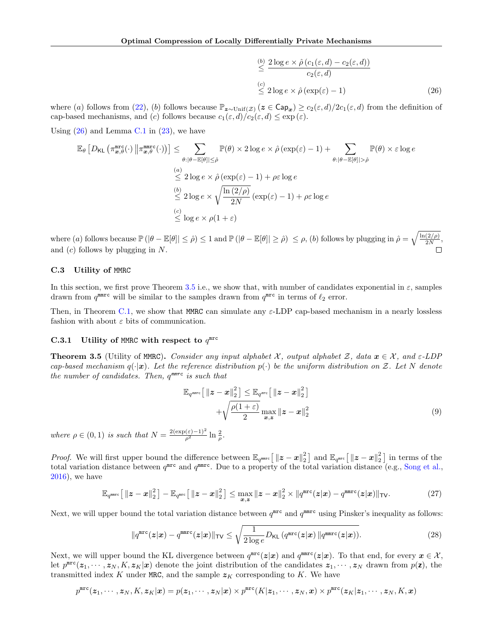<span id="page-19-1"></span>
$$
\stackrel{(b)}{\leq} \frac{2\log e \times \hat{\rho}\left(c_1(\varepsilon, d) - c_2(\varepsilon, d)\right)}{c_2(\varepsilon, d)}
$$
\n
$$
\stackrel{(c)}{\leq} 2\log e \times \hat{\rho}\left(\exp(\varepsilon) - 1\right) \tag{26}
$$

where (a) follows from [\(22\)](#page-17-2), (b) follows because  $\mathbb{P}_{z\sim \text{Unif}(\mathcal{Z})}$  ( $z \in \text{Cap}_x$ )  $\ge c_2(\varepsilon, d)/2c_1(\varepsilon, d)$  from the definition of cap-based mechanisms, and (c) follows because  $c_1(\varepsilon, d)/c_2(\varepsilon, d) \leq \exp(\varepsilon)$ .

Using  $(26)$  and Lemma [C.1](#page-16-0) in  $(23)$ , we have

$$
\mathbb{E}_{\theta} \left[ D_{\mathsf{KL}} \left( \pi_{\boldsymbol{x},\theta}^{\text{mrc}}(\cdot) \left\| \pi_{\boldsymbol{x},\theta}^{\text{mmc}}(\cdot) \right) \right] \leq \sum_{\theta: |\theta - \mathbb{E}[\theta]| \leq \hat{\rho}} \mathbb{P}(\theta) \times 2 \log e \times \hat{\rho} \left( \exp(\varepsilon) - 1 \right) + \sum_{\theta: |\theta - \mathbb{E}[\theta]| > \hat{\rho}} \mathbb{P}(\theta) \times \varepsilon \log e
$$
\n
$$
\leq 2 \log e \times \hat{\rho} \left( \exp(\varepsilon) - 1 \right) + \rho \varepsilon \log e
$$
\n
$$
\leq 2 \log e \times \sqrt{\frac{\ln(2/\rho)}{2N}} \left( \exp(\varepsilon) - 1 \right) + \rho \varepsilon \log e
$$
\n
$$
\leq \log e \times \rho (1 + \varepsilon)
$$

where (a) follows because  $\mathbb{P}(|\theta - \mathbb{E}[\theta]| \leq \hat{\rho}) \leq 1$  and  $\mathbb{P}(|\theta - \mathbb{E}[\theta]| \geq \hat{\rho}) \leq \rho$ , (b) follows by plugging in  $\hat{\rho} = \sqrt{\frac{\ln(2/\rho)}{2N}}$  $\frac{(2/\rho)}{2N},$ and (c) follows by plugging in N.

#### <span id="page-19-0"></span>C.3 Utility of MMRC

In this section, we first prove Theorem [3.5](#page-5-1) i.e., we show that, with number of candidates exponential in  $\varepsilon$ , samples drawn from  $q^{\text{mmre}}$  will be similar to the samples drawn from  $q^{\text{mre}}$  in terms of  $\ell_2$  error.

Then, in Theorem [C.1,](#page-20-1) we show that MMRC can simulate any  $\varepsilon$ -LDP cap-based mechanism in a nearly lossless fashion with about  $\varepsilon$  bits of communication.

# C.3.1 Utility of MMRC with respect to  $q^{\text{mrc}}$

**Theorem 3.5** (Utility of MMRC). Consider any input alphabet X, output alphabet Z, data  $x \in \mathcal{X}$ , and  $\varepsilon$ -LDP cap-based mechanism  $q(\cdot|x)$ . Let the reference distribution  $p(\cdot)$  be the uniform distribution on Z. Let N denote the number of candidates. Then,  $q^{mmre}$  is such that

<span id="page-19-3"></span><span id="page-19-2"></span>
$$
\mathbb{E}_{q^{\text{msrc}}} \left[ \left\| z - \boldsymbol{x} \right\|_2^2 \right] \leq \mathbb{E}_{q^{\text{mrc}}} \left[ \left\| z - \boldsymbol{x} \right\|_2^2 \right] + \sqrt{\frac{\rho(1+\varepsilon)}{2}} \max_{\boldsymbol{x}, \boldsymbol{z}} \left\| \boldsymbol{z} - \boldsymbol{x} \right\|_2^2
$$
(9)

where  $\rho \in (0,1)$  is such that  $N = \frac{2(\exp(\varepsilon)-1)^2}{\rho^2} \ln \frac{2}{\rho}$ .

Proof. We will first upper bound the difference between  $\mathbb{E}_{q^{\text{msrc}}}[\Vert z - x \Vert_2^2]$  and  $\mathbb{E}_{q^{\text{mrc}}}[\Vert z - x \Vert_2^2]$  in terms of the total variation distance between  $q^{\text{mrc}}$  and  $q^{\text{mmc}}$ . Due to a property of the total variation distance (e.g., [Song et al.,](#page-10-10) [2016\)](#page-10-10), we have

$$
\mathbb{E}_{q^{\text{mnc}}}[\left\|z-x\right\|_2^2]-\mathbb{E}_{q^{\text{mc}}}[\left\|z-x\right\|_2^2]\leq \max_{\boldsymbol{x},\boldsymbol{z}}\|\boldsymbol{z}-\boldsymbol{x}\|_2^2\times\|q^{\text{mrc}}(z|\boldsymbol{x})-q^{\text{mmc}}(z|\boldsymbol{x})\|_{\text{TV}}.
$$
\n(27)

Next, we will upper bound the total variation distance between  $q^{\text{mrc}}$  and  $q^{\text{mmc}}$  using Pinsker's inequality as follows:

$$
||q^{\text{mrc}}(z|x) - q^{\text{mmc}}(z|x)||_{\text{TV}} \le \sqrt{\frac{1}{2\log e}D_{\text{KL}}\left(q^{\text{mrc}}(z|x)\right||q^{\text{mmc}}(z|x)\right)}.
$$
\n(28)

Next, we will upper bound the KL divergence between  $q^{\text{mrc}}(z|x)$  and  $q^{\text{mmc}}(z|x)$ . To that end, for every  $x \in \mathcal{X}$ , let  $p^{\text{mrc}}(z_1, \dots, z_N, K, z_K | x)$  denote the joint distribution of the candidates  $z_1, \dots, z_N$  drawn from  $p(z)$ , the transmitted index K under MRC, and the sample  $z_K$  corresponding to K. We have

$$
p^{\texttt{mrc}}(z_1,\cdots,z_N,K,\boldsymbol{z}_K|\boldsymbol{x})=p(\boldsymbol{z}_1,\cdots,\boldsymbol{z}_N|\boldsymbol{x})\times p^{\texttt{mrc}}(K|\boldsymbol{z}_1,\cdots,\boldsymbol{z}_N,\boldsymbol{x})\times p^{\texttt{mrc}}(\boldsymbol{z}_K|\boldsymbol{z}_1,\cdots,\boldsymbol{z}_N,K,\boldsymbol{x})
$$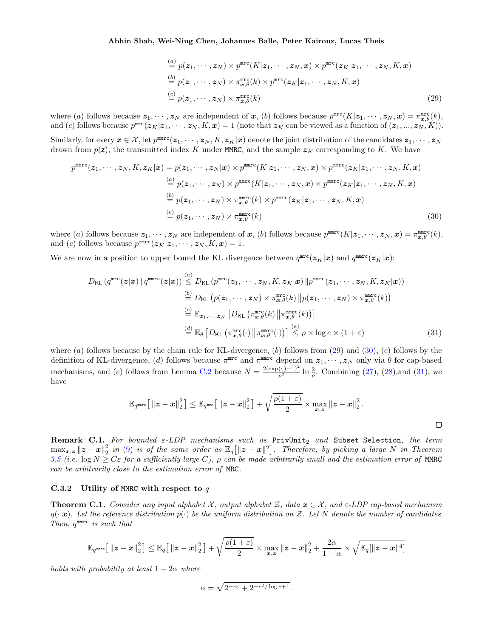<span id="page-20-3"></span><span id="page-20-2"></span>
$$
\stackrel{(a)}{=} p(\mathbf{z}_1, \cdots, \mathbf{z}_N) \times p^{\text{mrc}}(K|\mathbf{z}_1, \cdots, \mathbf{z}_N, \mathbf{x}) \times p^{\text{mrc}}(\mathbf{z}_K|\mathbf{z}_1, \cdots, \mathbf{z}_N, K, \mathbf{x})
$$
\n
$$
\stackrel{(b)}{=} p(\mathbf{z}_1, \cdots, \mathbf{z}_N) \times \pi^{\text{mrc}}_{\mathbf{x}, \theta}(k) \times p^{\text{mrc}}(\mathbf{z}_K|\mathbf{z}_1, \cdots, \mathbf{z}_N, K, \mathbf{x})
$$
\n
$$
\stackrel{(c)}{=} p(\mathbf{z}_1, \cdots, \mathbf{z}_N) \times \pi^{\text{mrc}}_{\mathbf{x}, \theta}(k)
$$
\n(29)

where (a) follows because  $z_1, \dots, z_N$  are independent of  $x$ , (b) follows because  $p^{\text{mrc}}(K|z_1, \dots, z_N, x) = \pi_{x,\theta}^{\text{mrc}}(k)$ , and (c) follows because  $p^{\text{mrc}}(z_K|z_1,\dots,z_N,K,x) = 1$  (note that  $z_K$  can be viewed as a function of  $(z_1,...,z_N,K)$ ). Similarly, for every  $x \in \mathcal{X}$ , let  $p^{\text{mmrc}}(z_1, \dots, z_N, K, z_K | x)$  denote the joint distribution of the candidates  $z_1, \dots, z_N$ drawn from  $p(z)$ , the transmitted index K under MMRC, and the sample  $z<sub>K</sub>$  corresponding to K. We have

$$
p^{\text{mmc}}(z_1, \dots, z_N, K, z_K | \mathbf{x}) = p(z_1, \dots, z_N | \mathbf{x}) \times p^{\text{mmc}}(K | z_1, \dots, z_N, \mathbf{x}) \times p^{\text{mmc}}(z_K | z_1, \dots, z_N, K, \mathbf{x})
$$
  
\n
$$
\stackrel{(a)}{=} p(z_1, \dots, z_N) \times p^{\text{mmc}}(K | z_1, \dots, z_N, \mathbf{x}) \times p^{\text{mmc}}(z_K | z_1, \dots, z_N, K, \mathbf{x})
$$
  
\n
$$
\stackrel{(b)}{=} p(z_1, \dots, z_N) \times \pi^{\text{mmc}}_{\mathbf{x}, \theta}(k) \times p^{\text{mmc}}(z_K | z_1, \dots, z_N, K, \mathbf{x})
$$
  
\n
$$
\stackrel{(c)}{=} p(z_1, \dots, z_N) \times \pi^{\text{mmc}}_{\mathbf{x}, \theta}(k)
$$
  
\n(30)

where (a) follows because  $z_1, \dots, z_N$  are independent of  $x$ , (b) follows because  $p^{\text{mmc}}(K|z_1, \dots, z_N, x) = \pi_{x,\theta}^{\text{mmc}}(k)$ , and (c) follows because  $p^{\text{mmc}}(z_K|z_1,\dots,z_N,K,\boldsymbol{x})=1.$ 

We are now in a position to upper bound the KL divergence between  $q^{\text{mrc}}(z_K|x)$  and  $q^{\text{mmc}}(z_K|x)$ :

$$
D_{\text{KL}}\left(q^{\text{mrc}}(z|x)\|q^{\text{mmc}}(z|x)\right) \stackrel{(a)}{\leq} D_{\text{KL}}\left(p^{\text{mrc}}(z_1,\cdots,z_N,K,z_K|x)\|p^{\text{mmc}}(z_1,\cdots,z_N,K,z_K|x)\right)
$$
\n
$$
\stackrel{(b)}{=} D_{\text{KL}}\left(p(z_1,\cdots,z_N)\times\pi_{x,\theta}^{\text{mrc}}(k)\|p(z_1,\cdots,z_N)\times\pi_{x,\theta}^{\text{mmc}}(k)\right)
$$
\n
$$
\stackrel{(c)}{=} \mathbb{E}_{z_1,\cdots,z_N}\left[D_{\text{KL}}\left(\pi_{x,\theta}^{\text{mrc}}(k)\| \pi_{x,\theta}^{\text{mmc}}(k)\right)\right]
$$
\n
$$
\stackrel{(d)}{=} \mathbb{E}_{\theta}\left[D_{\text{KL}}\left(\pi_{x,\theta}^{\text{mrc}}(\cdot)\| \pi_{x,\theta}^{\text{mmc}}(\cdot)\right)\right] \stackrel{(e)}{\leq} \rho \times \log e \times (1+\varepsilon)
$$
\n(31)

where (a) follows because by the chain rule for KL-divergence,  $(b)$  follows from [\(29\)](#page-20-2) and [\(30\)](#page-20-3),  $(c)$  follows by the definition of KL-divergence, (d) follows because  $\pi^{\text{mrc}}$  and  $\pi^{\text{mmc}}$  depend on  $z_1, \dots, z_N$  only via  $\theta$  for cap-based mechanisms, and (e) follows from Lemma [C.2](#page-17-0) because  $N = \frac{2(\exp(\varepsilon)-1)^2}{\rho^2} \ln \frac{2}{\rho}$ . Combining [\(27\)](#page-19-2), [\(28\)](#page-19-3), and [\(31\)](#page-20-4), we have

<span id="page-20-4"></span>
$$
\mathbb{E}_{q^{\texttt{m}{\texttt{m}{\texttt{r}}}}} \big[ \left\| \boldsymbol{z} - \boldsymbol{x} \right\|_2^2 \big] \leq \mathbb{E}_{q^{\texttt{m}{\texttt{r}}}} \big[ \left\| \boldsymbol{z} - \boldsymbol{x} \right\|_2^2 \big] + \sqrt{\frac{\rho(1+\varepsilon)}{2}} \times \max_{\boldsymbol{x},\boldsymbol{z}} \left\| \boldsymbol{z} - \boldsymbol{x} \right\|_2^2.
$$

<span id="page-20-0"></span>Remark C.1. For bounded  $\varepsilon$ -LDP mechanisms such as PrivUnit<sub>2</sub> and Subset Selection, the term  $\max_{\bm{x},\bm{z}} \|\bm{z} - \bm{x}\|_2^2$  in [\(9\)](#page-5-3) is of the same order as  $\mathbb{E}_q[\|\bm{z} - \bm{x}\|^2]$ . Therefore, by picking a large N in Theorem [3.5](#page-5-1) (i.e.  $\log N \ge C \varepsilon$  for a sufficiently large C),  $\rho$  can be made arbitrarily small and the estimation error of MMRC can be arbitrarily close to the estimation error of MRC.

## C.3.2 Utility of MMRC with respect to  $q$

<span id="page-20-1"></span>**Theorem C.1.** Consider any input alphabet X, output alphabet Z, data  $x \in \mathcal{X}$ , and  $\varepsilon$ -LDP cap-based mechanism  $q(\cdot|\mathbf{x})$ . Let the reference distribution  $p(\cdot)$  be the uniform distribution on Z. Let N denote the number of candidates. Then,  $q^{mmre}$  is such that

$$
\mathbb{E}_{q^{\text{mmre}}}\big[\left\|z-x\right\|_2^2\big] \leq \mathbb{E}_q\big[\left\|z-x\right\|_2^2\big] + \sqrt{\frac{\rho(1+\varepsilon)}{2}} \times \max_{\bm{x},\bm{z}}\left\|\bm{z}-x\right\|_2^2 + \frac{2\alpha}{1-\alpha} \times \sqrt{\mathbb{E}_q[\left\|\bm{z}-x\right\|^4]}
$$

holds with probability at least  $1 - 2\alpha$  where

$$
\alpha = \sqrt{2^{-c\varepsilon} + 2^{-c^2/\log e + 1}}.
$$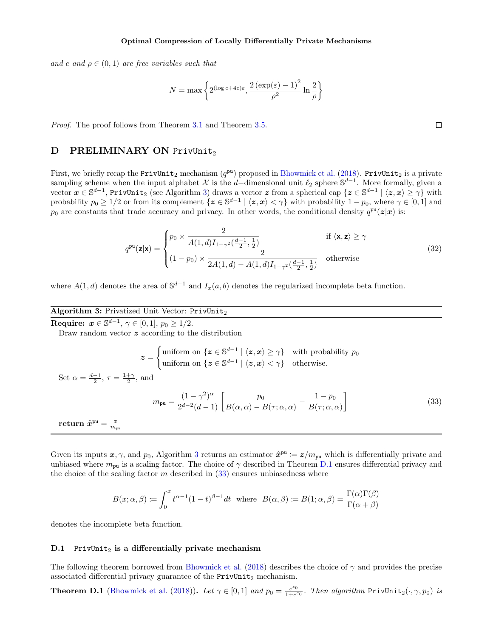and c and  $\rho \in (0,1)$  are free variables such that

<span id="page-21-5"></span>
$$
N = \max \left\{ 2^{(\log e + 4c)\varepsilon}, \frac{2(\exp(\varepsilon) - 1)^2}{\rho^2} \ln \frac{2}{\rho} \right\}
$$

Proof. The proof follows from Theorem [3.1](#page-3-0) and Theorem [3.5.](#page-5-1)

# <span id="page-21-0"></span>D PRELIMINARY ON PrivUnit<sub>2</sub>

First, we briefly recap the PrivUnit<sub>2</sub> mechanism  $(q^{pu})$  proposed in [Bhowmick et al.](#page-9-0) [\(2018\)](#page-9-0). PrivUnit<sub>2</sub> is a private sampling scheme when the input alphabet  $\chi$  is the d–dimensional unit  $\ell_2$  sphere  $\mathbb{S}^{d-1}$ . More formally, given a vector  $\mathbf{x} \in \mathbb{S}^{d-1}$ , PrivUnit<sub>2</sub> (see Algorithm [3\)](#page-21-1) draws a vector  $\mathbf{z}$  from a spherical cap  $\{\mathbf{z} \in \mathbb{S}^{d-1} \mid \langle \mathbf{z}, \mathbf{x} \rangle \geq \gamma\}$  with probability  $p_0 \ge 1/2$  or from its complement  $\{z \in \mathbb{S}^{d-1} \mid \langle z, x \rangle \le \gamma\}$  with probability  $1 - p_0$ , where  $\gamma \in [0, 1]$  and  $p_0$  are constants that trade accuracy and privacy. In other words, the conditional density  $q^{\text{pu}}(z|x)$  is:

$$
q^{\text{pu}}(\mathbf{z}|\mathbf{x}) = \begin{cases} p_0 \times \frac{2}{A(1,d)I_{1-\gamma^2}(\frac{d-1}{2},\frac{1}{2})} & \text{if } \langle \mathbf{x}, \mathbf{z} \rangle \ge \gamma \\ (1-p_0) \times \frac{2}{2A(1,d) - A(1,d)I_{1-\gamma^2}(\frac{d-1}{2},\frac{1}{2})} & \text{otherwise} \end{cases}
$$
(32)

where  $A(1, d)$  denotes the area of  $\mathbb{S}^{d-1}$  and  $I_x(a, b)$  denotes the regularized incomplete beta function.

# Algorithm 3: Privatized Unit Vector: PrivUnit<sup>2</sup>

<span id="page-21-1"></span>**Require:**  $x \in \mathbb{S}^{d-1}$ ,  $\gamma \in [0,1]$ ,  $p_0 \ge 1/2$ .

Draw random vector z according to the distribution

$$
\boldsymbol{z} = \begin{cases} \text{uniform on } \{ \boldsymbol{z} \in \mathbb{S}^{d-1} \mid \langle \boldsymbol{z}, \boldsymbol{x} \rangle \geq \gamma \} & \text{with probability } p_0 \\ \text{uniform on } \{ \boldsymbol{z} \in \mathbb{S}^{d-1} \mid \langle \boldsymbol{z}, \boldsymbol{x} \rangle \langle \gamma \} & \text{otherwise.} \end{cases}
$$

Set  $\alpha = \frac{d-1}{2}, \tau = \frac{1+\gamma}{2}$ , and

<span id="page-21-3"></span>
$$
m_{\text{pu}} = \frac{(1 - \gamma^2)^{\alpha}}{2^{d-2}(d-1)} \left[ \frac{p_0}{B(\alpha, \alpha) - B(\tau; \alpha, \alpha)} - \frac{1 - p_0}{B(\tau; \alpha, \alpha)} \right]
$$
(33)

 $\text{return } \hat{x}^\text{pu} = \frac{z}{m_\text{pu}}$ 

Given its inputs  $x, \gamma$ , and  $p_0$ , Algorithm [3](#page-21-1) returns an estimator  $\hat{x}^{pu} \coloneqq z/m_{pu}$  which is differentially private and unbiased where  $m_{\text{pu}}$  is a scaling factor. The choice of  $\gamma$  described in Theorem [D.1](#page-21-2) ensures differential privacy and the choice of the scaling factor  $m$  described in  $(33)$  ensures unbiasedness where

$$
B(x;\alpha,\beta)\coloneqq\int_0^x t^{\alpha-1}(1-t)^{\beta-1}dt\;\text{ where }\;B(\alpha,\beta)\coloneqq B(1;\alpha,\beta)=\frac{\Gamma(\alpha)\Gamma(\beta)}{\Gamma(\alpha+\beta)}
$$

denotes the incomplete beta function.

# <span id="page-21-4"></span>D.1 PrivUnit<sub>2</sub> is a differentially private mechanism

The following theorem borrowed from [Bhowmick et al.](#page-9-0) [\(2018\)](#page-9-0) describes the choice of  $\gamma$  and provides the precise associated differential privacy guarantee of the  $PrivUnit_2$  mechanism.

<span id="page-21-2"></span>**Theorem D.1** [\(Bhowmick et al.](#page-9-0) [\(2018\)](#page-9-0)). Let  $\gamma \in [0,1]$  and  $p_0 = \frac{e^{\varepsilon_0}}{1+e^{\varepsilon_0}}$  $\frac{e^{e_0}}{1+e^{e_0}}$ . Then algorithm  $\text{PrivUnit}_2(\cdot, \gamma, p_0)$  is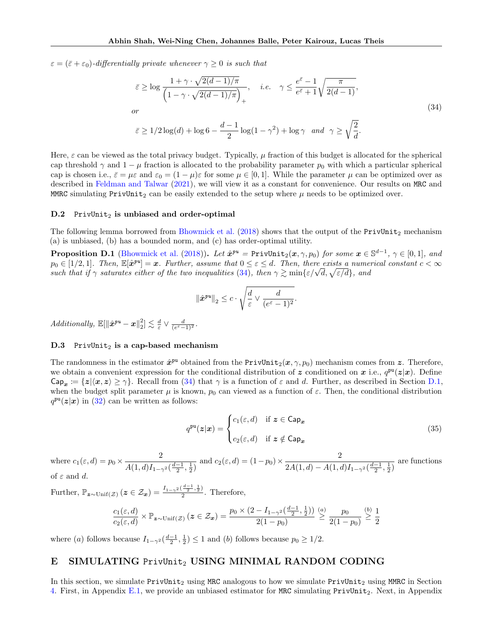$\varepsilon = (\bar{\varepsilon} + \varepsilon_0)$ -differentially private whenever  $\gamma \geq 0$  is such that

$$
\bar{\varepsilon} \ge \log \frac{1 + \gamma \cdot \sqrt{2(d-1)/\pi}}{\left(1 - \gamma \cdot \sqrt{2(d-1)/\pi}\right)_+}, \quad i.e. \quad \gamma \le \frac{e^{\bar{\varepsilon}} - 1}{e^{\bar{\varepsilon}} + 1} \sqrt{\frac{\pi}{2(d-1)}},
$$
\nor

\n
$$
\bar{\varepsilon} \ge 1/2 \log(d) + \log 6 - \frac{d-1}{2} \log(1 - \gamma^2) + \log \gamma \quad \text{and} \quad \gamma \ge \sqrt{\frac{2}{d}}.
$$
\n
$$
(34)
$$

Here,  $\varepsilon$  can be viewed as the total privacy budget. Typically,  $\mu$  fraction of this budget is allocated for the spherical cap threshold  $\gamma$  and  $1 - \mu$  fraction is allocated to the probability parameter  $p_0$  with which a particular spherical cap is chosen i.e.,  $\bar{\varepsilon} = \mu \varepsilon$  and  $\varepsilon_0 = (1 - \mu)\varepsilon$  for some  $\mu \in [0, 1]$ . While the parameter  $\mu$  can be optimized over as described in [Feldman and Talwar](#page-9-9) [\(2021\)](#page-9-9), we will view it as a constant for convenience. Our results on MRC and MMRC simulating PrivUnit<sub>2</sub> can be easily extended to the setup where  $\mu$  needs to be optimized over.

#### $D.2$  PrivUnit<sub>2</sub> is unbiased and order-optimal

The following lemma borrowed from [Bhowmick et al.](#page-9-0) [\(2018\)](#page-9-0) shows that the output of the  $PrivUnit<sub>2</sub>$  mechanism (a) is unbiased, (b) has a bounded norm, and (c) has order-optimal utility.

**Proposition D.1** [\(Bhowmick et al.](#page-9-0) [\(2018\)](#page-9-0)). Let  $\hat{x}^{pu} = \text{PrivUnit}_2(x, \gamma, p_0)$  for some  $x \in \mathbb{S}^{d-1}$ ,  $\gamma \in [0, 1]$ , and  $p_0 \in [1/2, 1]$ . Then,  $\mathbb{E}[\hat{\boldsymbol{x}}^{pu}] = \boldsymbol{x}$ . Further, assume that  $0 \leq \varepsilon \leq d$ . Then, there exists a numerical constant  $c < \infty$ such that if  $\gamma$  saturates either of the two inequalities [\(34\)](#page-22-1), then  $\gamma \gtrsim \min\{\varepsilon/\sqrt{d}, \sqrt{\varepsilon/d}\}$ , and

$$
\left\|\hat{\boldsymbol{x}}^{p u}\right\|_2 \leq c \cdot \sqrt{\frac{d}{\varepsilon} \vee \frac{d}{(e^{\varepsilon}-1)^2}}
$$

Additionally,  $\mathbb{E}[\|\hat{\boldsymbol{x}}^{p \cdot \boldsymbol{u}} - \boldsymbol{x}\|_2^2] \lesssim \frac{d}{\varepsilon} \vee \frac{d}{(e^{\varepsilon} - 1)^2}$ .

#### D.3 PrivUnit<sub>2</sub> is a cap-based mechanism

The randomness in the estimator  $\hat{x}^{pu}$  obtained from the PrivUnit<sub>2</sub>( $x, \gamma, p_0$ ) mechanism comes from  $z$ . Therefore, we obtain a convenient expression for the conditional distribution of z conditioned on x i.e.,  $q^{\text{pu}}(z|x)$ . Define  $\text{Cap}_{x} := \{z | \langle x, z \rangle \ge \gamma\}.$  Recall from [\(34\)](#page-22-1) that  $\gamma$  is a function of  $\varepsilon$  and d. Further, as described in Section [D.1,](#page-21-4) when the budget split parameter  $\mu$  is known,  $p_0$  can viewed as a function of  $\varepsilon$ . Then, the conditional distribution  $q^{\text{pu}}(z|x)$  in [\(32\)](#page-21-5) can be written as follows:

$$
q^{\text{pu}}(z|x) = \begin{cases} c_1(\varepsilon, d) & \text{if } z \in \text{Cap}_x \\ c_2(\varepsilon, d) & \text{if } z \notin \text{Cap}_x \end{cases}
$$
(35)

<span id="page-22-2"></span><span id="page-22-1"></span>.

where  $c_1(\varepsilon, d) = p_0 \times \frac{2}{A(1, d)L}$  $\frac{2}{A(1,d)I_{1-\gamma^2}(\frac{d-1}{2},\frac{1}{2})}$  and  $c_2(\varepsilon,d) = (1-p_0) \times \frac{2}{2A(1,d) - A(1,d)}$  $2A(1, d) - A(1, d)I_{1-\gamma^2}(\frac{d-1}{2}, \frac{1}{2})$  are functions of  $\varepsilon$  and d.

Further,  $\mathbb{P}_{\boldsymbol{z}\sim\text{Unif}(\mathcal{Z})}$   $(\boldsymbol{z}\in\mathcal{Z}_{\boldsymbol{x}})=\frac{I_{1-\gamma^2}(\frac{d-1}{2},\frac{1}{2})}{2}$  $\frac{2^{2}+2^{j}}{2}$ . Therefore,

$$
\frac{c_1(\varepsilon, d)}{c_2(\varepsilon, d)} \times \mathbb{P}_{\boldsymbol{z} \sim \text{Unif}(\mathcal{Z})} \left( \boldsymbol{z} \in \mathcal{Z}_{\boldsymbol{x}} \right) = \frac{p_0 \times (2 - I_{1-\gamma^2}(\frac{d-1}{2}, \frac{1}{2}))}{2(1 - p_0)} \stackrel{(a)}{\geq} \frac{p_0}{2(1 - p_0)} \stackrel{(b)}{\geq} \frac{1}{2}
$$

where (a) follows because  $I_{1-\gamma^2}(\frac{d-1}{2},\frac{1}{2}) \leq 1$  and (b) follows because  $p_0 \geq 1/2$ .

# <span id="page-22-0"></span>E SIMULATING PrivUnit<sub>2</sub> USING MINIMAL RANDOM CODING

In this section, we simulate  $PrivUnit_2$  using MRC analogous to how we simulate  $PrivUnit_2$  using MMRC in Section [4.](#page-5-6) First, in Appendix [E.1,](#page-23-0) we provide an unbiased estimator for MRC simulating PrivUnit2. Next, in Appendix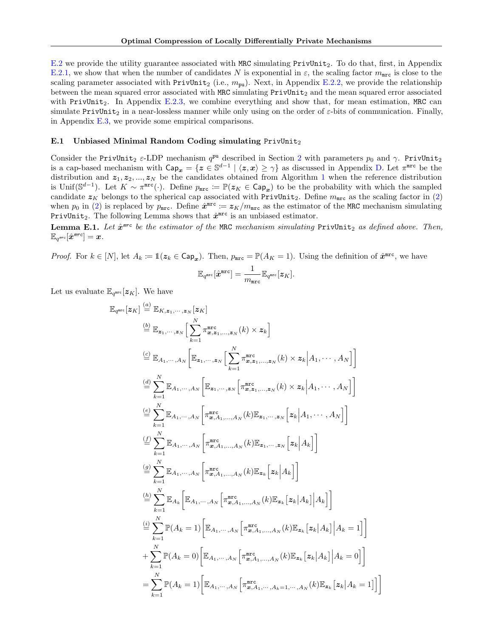[E.2](#page-24-0) we provide the utility guarantee associated with MRC simulating PrivUnit2. To do that, first, in Appendix [E.2.1,](#page-24-1) we show that when the number of candidates N is exponential in  $\varepsilon$ , the scaling factor  $m_{\text{mrc}}$  is close to the scaling parameter associated with  $\text{PrivUnit}_2$  (i.e.,  $m_{\text{pu}}$ ). Next, in Appendix [E.2.2,](#page-27-0) we provide the relationship between the mean squared error associated with MRC simulating  $PrivUnit_2$  and the mean squared error associated with PrivUnit<sub>2</sub>. In Appendix [E.2.3,](#page-28-1) we combine everything and show that, for mean estimation, MRC can simulate PrivUnit<sub>2</sub> in a near-lossless manner while only using on the order of  $\varepsilon$ -bits of communication. Finally, in Appendix  $E.3$ , we provide some empirical comparisons.

# <span id="page-23-0"></span>E.1 Unbiased Minimal Random Coding simulating PrivUnit<sub>2</sub>

Consider the PrivUnit<sub>[2](#page-2-3)</sub>  $\varepsilon$ -LDP mechanism  $q^{pu}$  described in Section 2 with parameters  $p_0$  and  $\gamma$ . PrivUnit<sub>2</sub> is a cap-based mechanism with  $\mathsf{Cap}_x = \{z \in \mathbb{S}^{d-1} \mid \langle z, x \rangle \geq \gamma\}$  as discussed in Appendix [D.](#page-21-0) Let  $\pi^{\text{mrc}}$  be the distribution and  $z_1, z_2, ..., z_N$  $z_1, z_2, ..., z_N$  $z_1, z_2, ..., z_N$  be the candidates obtained from Algorithm 1 when the reference distribution is Unif( $\mathbb{S}^{d-1}$ ). Let  $K \sim \pi^{\text{mrc}}(\cdot)$ . Define  $p_{\text{mrc}} := \mathbb{P}(z_K \in \text{Cap}_x)$  to be the probability with which the sampled candidate  $z_K$  belongs to the spherical cap associated with PrivUnit<sub>2</sub>. Define  $m_{\text{mrc}}$  as the scaling factor in [\(2\)](#page-2-4) when  $p_0$  in [\(2\)](#page-2-4) is replaced by  $p_{\text{mrc}}$ . Define  $\hat{x}^{\text{mrc}} := z_K/m_{\text{mrc}}$  as the estimator of the MRC mechanism simulating PrivUnit<sub>2</sub>. The following Lemma shows that  $\hat{x}^{\text{mrc}}$  is an unbiased estimator.

<span id="page-23-1"></span>**Lemma E.1.** Let  $\hat{x}^{\text{mrc}}$  be the estimator of the MRC mechanism simulating PrivUnit<sub>2</sub> as defined above. Then,  $\mathbb{E}_{q^{\textit{mrc}}}[\hat{\bm{x}}^{\textit{mrc}}] = \bm{x}.$ 

*Proof.* For  $k \in [N]$ , let  $A_k := \mathbb{1}(z_k \in \text{Cap}_x)$ . Then,  $p_{\text{mrc}} = \mathbb{P}(A_K = 1)$ . Using the definition of  $\hat{x}^{\text{mrc}}$ , we have

$$
\mathbb{E}_{q^{\texttt{mrc}}}[\hat{\boldsymbol{x}}^{\texttt{mrc}}]=\frac{1}{m_{\texttt{mrc}}}\mathbb{E}_{q^{\texttt{mrc}}}[\boldsymbol{z}_K].
$$

Let us evaluate  $\mathbb{E}_{q^{\text{mre}}}[\boldsymbol{z}_K]$ . We have

$$
\mathbb{E}_{q^{\text{src}}}[z_K] \stackrel{(a)}{=} \mathbb{E}_{K,z_1,\dots,z_N}[z_K]
$$
\n
$$
\stackrel{(b)}{=} \mathbb{E}_{z_1,\dots,z_N}\Big[\sum_{k=1}^N \pi_{x,z_1,\dots,z_N}^{\text{mc}}(k) \times z_k\Big]
$$
\n
$$
\stackrel{(c)}{=} \mathbb{E}_{A_1,\dots,A_N}\Big[\mathbb{E}_{z_1,\dots,z_N}\Big[\sum_{k=1}^N \pi_{x,z_1,\dots,z_N}^{\text{mc}}(k) \times z_k \Big| A_1,\dots,A_N\Big]\Big]
$$
\n
$$
\stackrel{(d)}{=} \sum_{k=1}^N \mathbb{E}_{A_1,\dots,A_N}\Big[\mathbb{E}_{z_1,\dots,z_N}\Big[\pi_{x,z_1,\dots,z_N}^{\text{mc}}(k) \times z_k \Big| A_1,\dots,A_N\Big]\Big]
$$
\n
$$
\stackrel{(e)}{=} \sum_{k=1}^N \mathbb{E}_{A_1,\dots,A_N}\Big[\pi_{x,A_1,\dots,A_N}^{\text{mc}}(k) \mathbb{E}_{z_1,\dots,z_N}\Big[z_k \Big| A_1,\dots,A_N\Big]\Big]
$$
\n
$$
\stackrel{(f)}{=} \sum_{k=1}^N \mathbb{E}_{A_1,\dots,A_N}\Big[\pi_{x,A_1,\dots,A_N}^{\text{mc}}(k) \mathbb{E}_{z_1,\dots,z_N}\Big[z_k \Big| A_k\Big]\Big]
$$
\n
$$
\stackrel{(g)}{=} \sum_{k=1}^N \mathbb{E}_{A_k}\Big[\mathbb{E}_{A_1,\dots,A_N}\Big[\pi_{x,A_1,\dots,A_N}^{\text{mc}}(k) \mathbb{E}_{z_k}\Big[z_k \Big| A_k\Big]\Big]
$$
\n
$$
\stackrel{(h)}{=} \sum_{k=1}^N \mathbb{E}_{A_k}\Big[\mathbb{E}_{A_1,\dots,A_N}\Big[\pi_{x,A_1,\dots,A_N}^{\text{mc}}(k) \mathbb{E}_{z_k}\Big[z_k \Big| A_k\Big]\Big| A_k = 1\Big]\Big]
$$
\n
$$
+ \sum_{k=1}^N \mathbb{P}(A_k = 0)\Big[\mathbb{E}_{A_1,\dots,A_N}\Big[\pi_{x,A_1,\dots,A_N}^{\text{mc}}(k) \mathbb{E}_{z_k}\Big[z_k \Big
$$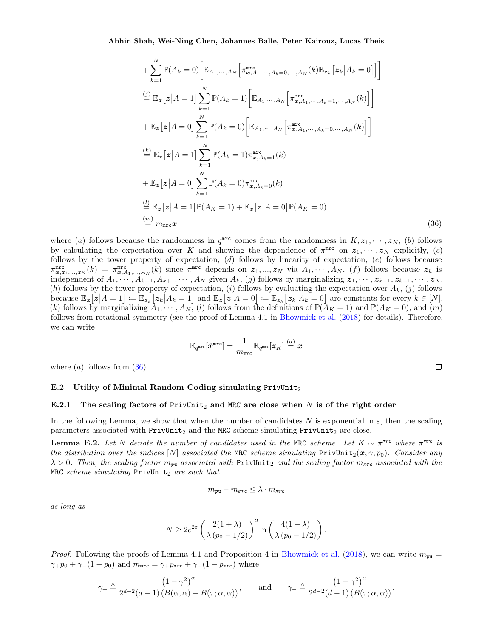$$
+\sum_{k=1}^{N} \mathbb{P}(A_k = 0) \left[ \mathbb{E}_{A_1, \dots, A_N} \left[ \pi_{\boldsymbol{x}, A_1, \dots, A_k = 0, \dots, A_N}^{mrc}(k) \mathbb{E}_{\boldsymbol{z}_k} \left[ \boldsymbol{z}_k \middle| A_k = 0 \right] \right] \right]
$$
  
\n
$$
\stackrel{(j)}{=} \mathbb{E}_{\boldsymbol{z}} \left[ \boldsymbol{z} \middle| A = 1 \right] \sum_{k=1}^{N} \mathbb{P}(A_k = 1) \left[ \mathbb{E}_{A_1, \dots, A_N} \left[ \pi_{\boldsymbol{x}, A_1, \dots, A_k = 1, \dots, A_N}^{mrc}(k) \right] \right]
$$
  
\n
$$
+\mathbb{E}_{\boldsymbol{z}} \left[ \boldsymbol{z} \middle| A = 0 \right] \sum_{k=1}^{N} \mathbb{P}(A_k = 0) \left[ \mathbb{E}_{A_1, \dots, A_N} \left[ \pi_{\boldsymbol{x}, A_1, \dots, A_k = 0, \dots, A_N}^{mrc}(k) \right] \right]
$$
  
\n
$$
\stackrel{(k)}{=} \mathbb{E}_{\boldsymbol{z}} \left[ \boldsymbol{z} \middle| A = 1 \right] \sum_{k=1}^{N} \mathbb{P}(A_k = 1) \pi_{\boldsymbol{x}, A_k = 1}^{mrc}(k)
$$
  
\n
$$
+\mathbb{E}_{\boldsymbol{z}} \left[ \boldsymbol{z} \middle| A = 0 \right] \sum_{k=1}^{N} \mathbb{P}(A_k = 0) \pi_{\boldsymbol{x}, A_k = 0}^{mrc}(k)
$$
  
\n
$$
\stackrel{(l)}{=} \mathbb{E}_{\boldsymbol{z}} \left[ \boldsymbol{z} \middle| A = 1 \right] \mathbb{P}(A_K = 1) + \mathbb{E}_{\boldsymbol{z}} \left[ \boldsymbol{z} \middle| A = 0 \right] \mathbb{P}(A_K = 0)
$$
  
\n
$$
\stackrel{(m)}{=} m_{\text{mrc}} \boldsymbol{x}
$$
  
\n(36)

where (a) follows because the randomness in  $q^{\text{mrc}}$  comes from the randomness in  $K, z_1, \dots, z_N$ , (b) follows by calculating the expectation over K and showing the dependence of  $\pi^{\text{mrc}}$  on  $z_1, \dots, z_N$  explicitly, (c) follows by the tower property of expectation,  $(d)$  follows by linearity of expectation,  $(e)$  follows because  $\pi^{\texttt{mrc}}_{x,z_1,\ldots,z_N}(k) = \pi^{\texttt{mrc}}_{x,A_1,\ldots,A_N}(k)$  since  $\pi^{\texttt{mrc}}$  depends on  $z_1,\ldots,z_N$  via  $A_1,\cdots,A_N$ , (f) follows because  $z_k$  is independent of  $A_1, \dots, A_{k-1}, A_{k+1}, \dots, A_N$  given  $A_k$ ,  $(g)$  follows by marginalizing  $z_1, \dots, z_{k-1}, z_{k+1}, \dots, z_N$ , (h) follows by the tower property of expectation, (i) follows by evaluating the expectation over  $A_k$ , (j) follows because  $\mathbb{E}_{\mathbf{z}}[\mathbf{z}|A=1] := \mathbb{E}_{\mathbf{z}_k}[\mathbf{z}_k|A_k=1]$  and  $\mathbb{E}_{\mathbf{z}}[\mathbf{z}|A=0] := \mathbb{E}_{\mathbf{z}_k}[\mathbf{z}_k|A_k=0]$  are constants for every  $k \in [N]$ , (k) follows by marginalizing  $A_1, \dots, A_N$ , (l) follows from the definitions of  $\mathbb{P}(A_K = 1)$  and  $\mathbb{P}(A_K = 0)$ , and  $(m)$ follows from rotational symmetry (see the proof of Lemma 4.1 in [Bhowmick et al.](#page-9-0) [\(2018\)](#page-9-0) for details). Therefore, we can write

$$
\mathbb{E}_{q^{\texttt{mrc}}}[\hat{\bm{x}}^{\texttt{mrc}}]=\frac{1}{m_{\texttt{mrc}}}\mathbb{E}_{q^{\texttt{mrc}}}[\bm{z}_K]\overset{(a)}{=}\bm{x}
$$

where  $(a)$  follows from  $(36)$ .

#### <span id="page-24-0"></span>E.2 Utility of Minimal Random Coding simulating  $PrivUnit_2$

#### <span id="page-24-1"></span>E.2.1 The scaling factors of PrivUnit<sub>2</sub> and MRC are close when N is of the right order

In the following Lemma, we show that when the number of candidates N is exponential in  $\varepsilon$ , then the scaling parameters associated with  $PrivUnit_2$  and the MRC scheme simulating  $PrivUnit_2$  are close.

<span id="page-24-3"></span>**Lemma E.2.** Let N denote the number of candidates used in the MRC scheme. Let  $K \sim \pi^{mrc}$  where  $\pi^{mrc}$  is the distribution over the indices [N] associated the MRC scheme simulating  $\text{PrivUnit}_2(x, \gamma, p_0)$ . Consider any  $\lambda > 0$ . Then, the scaling factor  $m_{\nu u}$  associated with PrivUnit<sub>2</sub> and the scaling factor  $m_{\pi r c}$  associated with the  $MRC\ scheme\ simulating \ PrivUnit_2\ are\ such\ that$ 

$$
m_{\text{pu}} - m_{\text{mrc}} \leq \lambda \cdot m_{\text{mrc}}
$$

as long as

$$
N \ge 2e^{2\varepsilon} \left( \frac{2(1+\lambda)}{\lambda (p_0 - 1/2)} \right)^2 \ln \left( \frac{4(1+\lambda)}{\lambda (p_0 - 1/2)} \right).
$$

*Proof.* Following the proofs of Lemma 4.1 and Proposition 4 in [Bhowmick et al.](#page-9-0) [\(2018\)](#page-9-0), we can write  $m_{\text{pu}} =$  $\gamma_+ p_0 + \gamma_-(1-p_0)$  and  $m_{\text{mrc}} = \gamma_+ p_{\text{mrc}} + \gamma_-(1-p_{\text{mrc}})$  where

$$
\gamma_+ \triangleq \frac{\left(1-\gamma^2\right)^{\alpha}}{2^{d-2}(d-1)\left(B(\alpha,\alpha)-B(\tau;\alpha,\alpha)\right)}, \quad \text{and} \quad \gamma_- \triangleq \frac{\left(1-\gamma^2\right)^{\alpha}}{2^{d-2}(d-1)\left(B(\tau;\alpha,\alpha)\right)}.
$$

<span id="page-24-2"></span> $\Box$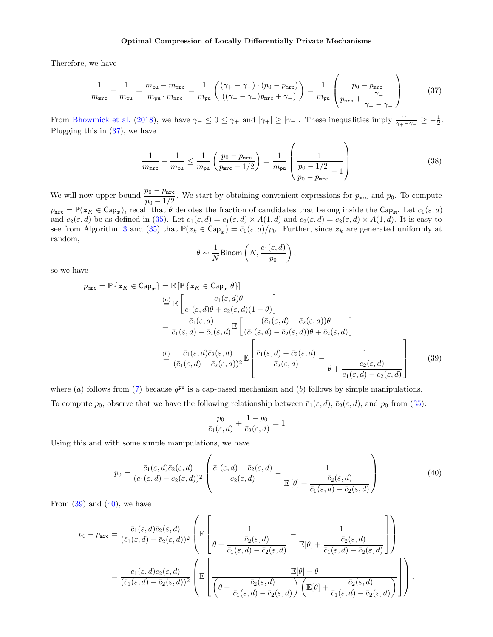Therefore, we have

$$
\frac{1}{m_{\text{mrc}}} - \frac{1}{m_{\text{pu}}} = \frac{m_{\text{pu}} - m_{\text{mrc}}}{m_{\text{pu}} \cdot m_{\text{mrc}}} = \frac{1}{m_{\text{pu}}} \left( \frac{(\gamma_+ - \gamma_-) \cdot (p_0 - p_{\text{mrc}})}{((\gamma_+ - \gamma_-) p_{\text{mrc}} + \gamma_-)} \right) = \frac{1}{m_{\text{pu}}} \left( \frac{p_0 - p_{\text{mrc}}}{p_{\text{mrc}} + \frac{\gamma_-}{\gamma_+ - \gamma_-}} \right) \tag{37}
$$

From [Bhowmick et al.](#page-9-0) [\(2018\)](#page-9-0), we have  $\gamma_- \leq 0 \leq \gamma_+$  and  $|\gamma_+| \geq |\gamma_-|$ . These inequalities imply  $\frac{\gamma_-}{\gamma_+ - \gamma_-} \geq -\frac{1}{2}$ . Plugging this in [\(37\)](#page-25-0), we have

$$
\frac{1}{m_{\text{mrc}}} - \frac{1}{m_{\text{pu}}} \le \frac{1}{m_{\text{pu}}} \left( \frac{p_0 - p_{\text{mrc}}}{p_{\text{mrc}} - 1/2} \right) = \frac{1}{m_{\text{pu}}} \left( \frac{1}{\frac{p_0 - 1/2}{p_0 - p_{\text{mrc}}} - 1} \right)
$$
(38)

We will now upper bound  $\frac{p_0 - p_{\text{mrc}}}{1/\Omega}$  $\frac{p_0 - p_{\text{mrc}}}{p_0 - 1/2}$ . We start by obtaining convenient expressions for  $p_{\text{mrc}}$  and  $p_0$ . To compute  $p_{\text{mrc}} = \mathbb{P}(z_K \in \text{Cap}_x)$ , recall that  $\theta$  denotes the fraction of candidates that belong inside the  $\text{Cap}_x$ . Let  $c_1(\varepsilon, d)$ and  $c_2(\varepsilon, d)$  be as defined in [\(35\)](#page-22-2). Let  $\overline{c}_1(\varepsilon, d) = c_1(\varepsilon, d) \times A(1, d)$  and  $\overline{c}_2(\varepsilon, d) = c_2(\varepsilon, d) \times A(1, d)$ . It is easy to see from Algorithm [3](#page-21-1) and [\(35\)](#page-22-2) that  $\mathbb{P}(z_k \in \text{Cap}_x) = \bar{c}_1(\varepsilon, d)/p_0$ . Further, since  $z_k$  are generated uniformly at random,

<span id="page-25-3"></span><span id="page-25-0"></span>
$$
\theta \sim \frac{1}{N} \text{Binom}\left(N, \frac{\bar{c}_1(\varepsilon, d)}{p_0}\right),
$$

so we have

$$
p_{\text{mrc}} = \mathbb{P}\left\{z_K \in \text{Cap}_x\right\} = \mathbb{E}\left[\mathbb{P}\left\{z_K \in \text{Cap}_x|\theta\right\}\right]
$$
  
\n
$$
\stackrel{(a)}{=} \mathbb{E}\left[\frac{\bar{c}_1(\varepsilon, d)\theta}{\bar{c}_1(\varepsilon, d)\theta + \bar{c}_2(\varepsilon, d)(1-\theta)}\right]
$$
  
\n
$$
= \frac{\bar{c}_1(\varepsilon, d)}{\bar{c}_1(\varepsilon, d) - \bar{c}_2(\varepsilon, d)} \mathbb{E}\left[\frac{(\bar{c}_1(\varepsilon, d) - \bar{c}_2(\varepsilon, d))\theta}{(\bar{c}_1(\varepsilon, d) - \bar{c}_2(\varepsilon, d))\theta + \bar{c}_2(\varepsilon, d)}\right]
$$
  
\n
$$
\stackrel{(b)}{=} \frac{\bar{c}_1(\varepsilon, d)\bar{c}_2(\varepsilon, d)}{(\bar{c}_1(\varepsilon, d) - \bar{c}_2(\varepsilon, d))^2} \mathbb{E}\left[\frac{\bar{c}_1(\varepsilon, d) - \bar{c}_2(\varepsilon, d)}{\bar{c}_2(\varepsilon, d)} - \frac{1}{\theta + \frac{\bar{c}_2(\varepsilon, d)}{\bar{c}_2(\varepsilon, d)}}\right]
$$
(39)

where (a) follows from [\(7\)](#page-4-2) because  $q^{\text{pu}}$  is a cap-based mechanism and (b) follows by simple manipulations. To compute  $p_0$ , observe that we have the following relationship between  $\bar{c}_1(\varepsilon, d)$ ,  $\bar{c}_2(\varepsilon, d)$ , and  $p_0$  from [\(35\)](#page-22-2):

<span id="page-25-2"></span><span id="page-25-1"></span>
$$
\frac{p_0}{\bar{c}_1(\varepsilon,d)} + \frac{1-p_0}{\bar{c}_2(\varepsilon,d)} = 1
$$

Using this and with some simple manipulations, we have

$$
p_0 = \frac{\bar{c}_1(\varepsilon, d)\bar{c}_2(\varepsilon, d)}{(\bar{c}_1(\varepsilon, d) - \bar{c}_2(\varepsilon, d))^2} \left( \frac{\bar{c}_1(\varepsilon, d) - \bar{c}_2(\varepsilon, d)}{\bar{c}_2(\varepsilon, d)} - \frac{1}{\mathbb{E}[\theta] + \frac{\bar{c}_2(\varepsilon, d)}{\bar{c}_1(\varepsilon, d) - \bar{c}_2(\varepsilon, d)}} \right)
$$
(40)

From  $(39)$  and  $(40)$ , we have

$$
p_0 - p_{\text{mrc}} = \frac{\bar{c}_1(\varepsilon, d)\bar{c}_2(\varepsilon, d)}{(\bar{c}_1(\varepsilon, d) - \bar{c}_2(\varepsilon, d))^2} \left( \mathbb{E}\left[\frac{1}{\theta + \frac{\bar{c}_2(\varepsilon, d)}{\bar{c}_1(\varepsilon, d) - \bar{c}_2(\varepsilon, d)}} - \frac{1}{\mathbb{E}[\theta] + \frac{\bar{c}_2(\varepsilon, d)}{\bar{c}_1(\varepsilon, d) - \bar{c}_2(\varepsilon, d)}}\right) \right)
$$
  
= 
$$
\frac{\bar{c}_1(\varepsilon, d)\bar{c}_2(\varepsilon, d)}{(\bar{c}_1(\varepsilon, d) - \bar{c}_2(\varepsilon, d))^2} \left( \mathbb{E}\left[\frac{\mathbb{E}[\theta] - \theta}{\left(\theta + \frac{\bar{c}_2(\varepsilon, d)}{\bar{c}_1(\varepsilon, d) - \bar{c}_2(\varepsilon, d)}\right)\left(\mathbb{E}[\theta] + \frac{\bar{c}_2(\varepsilon, d)}{\bar{c}_1(\varepsilon, d) - \bar{c}_2(\varepsilon, d)}\right)}\right] \right).
$$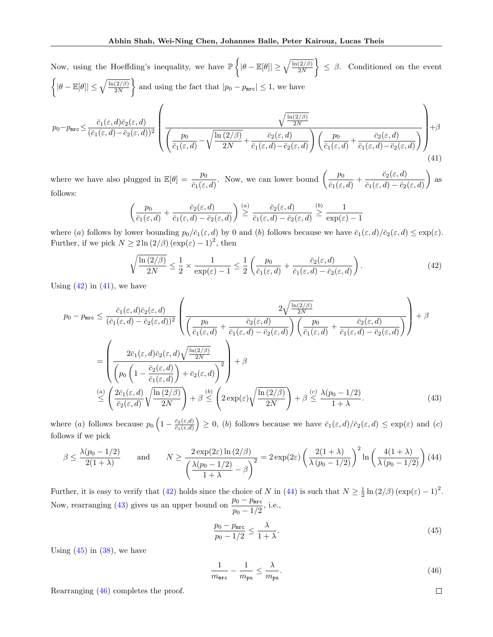Now, using the Hoeffding's inequality, we have  $\mathbb{P}\left\{|\theta-\mathbb{E}[\theta]|\geq \sqrt{\frac{\ln(2/\beta)}{2N}}\right\}$ 2N  $\Big\} \leq \beta$ . Conditioned on the event  $\Big\{|\theta-\mathbb{E}[\theta]| \leq \sqrt{\frac{\ln(2/\beta)}{2N}}\Big\}$ 2N and using the fact that  $|p_0 - p_{\text{mrc}}| \leq 1$ , we have

$$
p_0 - p_{\text{mrc}} \leq \frac{\bar{c}_1(\varepsilon, d)\bar{c}_2(\varepsilon, d)}{(\bar{c}_1(\varepsilon, d) - \bar{c}_2(\varepsilon, d))^2} \left( \frac{\sqrt{\frac{\ln(2/\beta)}{2N}}}{\left(\frac{p_0}{\bar{c}_1(\varepsilon, d)} - \sqrt{\frac{\ln\left(2/\beta\right)}{2N}} + \frac{\bar{c}_2(\varepsilon, d)}{\bar{c}_1(\varepsilon, d) - \bar{c}_2(\varepsilon, d)}\right) \left(\frac{p_0}{\bar{c}_1(\varepsilon, d)} + \frac{\bar{c}_2(\varepsilon, d)}{\bar{c}_1(\varepsilon, d) - \bar{c}_2(\varepsilon, d)}\right)} \right) + \beta \tag{41}
$$

where we have also plugged in  $\mathbb{E}[\theta] = \frac{p_0}{\bar{c}_1(\varepsilon, d)}$ . Now, we can lower bound  $\left(\frac{p_0}{\bar{c}_1(\varepsilon, d)}\right)$  $\frac{p_0}{\bar{c}_1(\varepsilon,d)}+\frac{\bar{c}_2(\varepsilon,d)}{\bar{c}_1(\varepsilon,d)-\bar{c}_2}$  $\bar{c}_1(\varepsilon, d) - \bar{c}_2(\varepsilon, d)$  $\Big)$  as follows:

<span id="page-26-1"></span>
$$
\left(\frac{p_0}{\bar{c}_1(\varepsilon,d)} + \frac{\bar{c}_2(\varepsilon,d)}{\bar{c}_1(\varepsilon,d) - \bar{c}_2(\varepsilon,d)}\right) \stackrel{(a)}{\geq} \frac{\bar{c}_2(\varepsilon,d)}{\bar{c}_1(\varepsilon,d) - \bar{c}_2(\varepsilon,d)} \stackrel{(b)}{\geq} \frac{1}{\exp(\varepsilon) - 1}
$$

where (a) follows by lower bounding  $p_0/\bar{c}_1(\varepsilon, d)$  by 0 and (b) follows because we have  $\bar{c}_1(\varepsilon, d)/\bar{c}_2(\varepsilon, d) \leq \exp(\varepsilon)$ . Further, if we pick  $N \geq 2 \ln (2/\beta) (\exp(\varepsilon) - 1)^2$ , then

<span id="page-26-0"></span>
$$
\sqrt{\frac{\ln\left(2/\beta\right)}{2N}} \le \frac{1}{2} \times \frac{1}{\exp(\varepsilon) - 1} \le \frac{1}{2} \left( \frac{p_0}{\bar{c}_1(\varepsilon, d)} + \frac{\bar{c}_2(\varepsilon, d)}{\bar{c}_1(\varepsilon, d) - \bar{c}_2(\varepsilon, d)} \right). \tag{42}
$$

Using  $(42)$  in  $(41)$ , we have

$$
p_0 - p_{\text{mrc}} \leq \frac{\bar{c}_1(\varepsilon, d)\bar{c}_2(\varepsilon, d)}{(\bar{c}_1(\varepsilon, d) - \bar{c}_2(\varepsilon, d))^2} \left( \frac{2\sqrt{\frac{\ln(2/\beta)}{2N}}}{\left(\frac{p_0}{\bar{c}_1(\varepsilon, d)} + \frac{\bar{c}_2(\varepsilon, d)}{\bar{c}_1(\varepsilon, d) - \bar{c}_2(\varepsilon, d)}\right) \left(\frac{p_0}{\bar{c}_1(\varepsilon, d)} + \frac{\bar{c}_2(\varepsilon, d)}{\bar{c}_1(\varepsilon, d) - \bar{c}_2(\varepsilon, d)}\right)}\right) + \beta
$$
  
\n
$$
= \left( \frac{2\bar{c}_1(\varepsilon, d)\bar{c}_2(\varepsilon, d)\sqrt{\frac{\ln(2/\beta)}{2N}}}}{\left(p_0\left(1 - \frac{\bar{c}_2(\varepsilon, d)}{\bar{c}_1(\varepsilon, d)}\right) + \bar{c}_2(\varepsilon, d)\right)^2} + \beta
$$
  
\n
$$
\stackrel{(a)}{\leq} \left(\frac{2\bar{c}_1(\varepsilon, d)}{\bar{c}_2(\varepsilon, d)}\sqrt{\frac{\ln(2/\beta)}{2N}}\right) + \beta \stackrel{(b)}{\leq} \left(2\exp(\varepsilon)\sqrt{\frac{\ln(2/\beta)}{2N}}\right) + \beta \stackrel{(c)}{\leq} \frac{\lambda(p_0 - 1/2)}{1 + \lambda}.
$$
\n(43)

where (a) follows because  $p_0\left(1-\frac{\bar{c}_2(\varepsilon,d)}{\bar{c}_1(\varepsilon,d)}\right)$  $\frac{\bar{c}_2(\varepsilon,d)}{\bar{c}_1(\varepsilon,d)}$   $\geq 0$ , (b) follows because we have  $\bar{c}_1(\varepsilon,d)/\bar{c}_2(\varepsilon,d) \leq \exp(\varepsilon)$  and  $(c)$ follows if we pick

$$
\beta \le \frac{\lambda(p_0 - 1/2)}{2(1+\lambda)} \quad \text{and} \quad N \ge \frac{2 \exp(2\varepsilon) \ln(2/\beta)}{\left(\frac{\lambda(p_0 - 1/2)}{1+\lambda} - \beta\right)^2} = 2 \exp(2\varepsilon) \left(\frac{2(1+\lambda)}{\lambda(p_0 - 1/2)}\right)^2 \ln\left(\frac{4(1+\lambda)}{\lambda(p_0 - 1/2)}\right)
$$
(44)

Further, it is easy to verify that [\(42\)](#page-26-0) holds since the choice of N in [\(44\)](#page-26-2) is such that  $N \ge \frac{1}{2} \ln (2/\beta) (\exp(\varepsilon) - 1)^2$ . Now, rearranging [\(43\)](#page-26-3) gives us an upper bound on  $\frac{p_0 - p_{\text{mrc}}}{1.48}$  $\frac{p_0 - p_{\text{mrc}}}{p_0 - 1/2}$ , i.e.,

<span id="page-26-4"></span><span id="page-26-3"></span><span id="page-26-2"></span>
$$
\frac{p_0 - p_{\text{mrc}}}{p_0 - 1/2} \le \frac{\lambda}{1 + \lambda}.\tag{45}
$$

Using  $(45)$  in  $(38)$ , we have

<span id="page-26-5"></span>
$$
\frac{1}{m_{\text{mrc}}} - \frac{1}{m_{\text{pu}}} \le \frac{\lambda}{m_{\text{pu}}}.\tag{46}
$$

Rearranging [\(46\)](#page-26-5) completes the proof.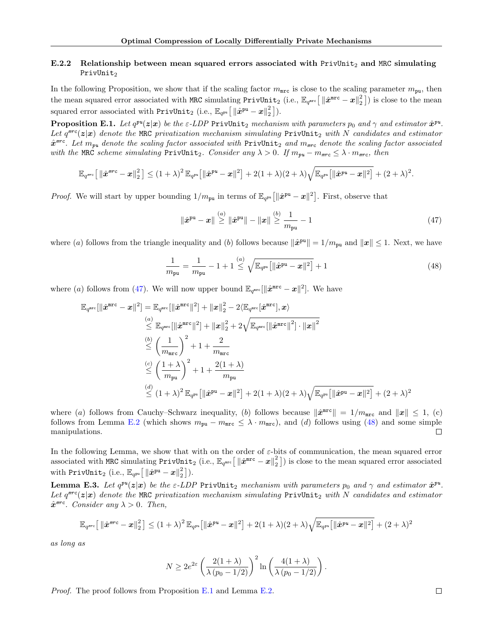# <span id="page-27-0"></span>E.2.2 Relationship between mean squared errors associated with PrivUnit<sub>2</sub> and MRC simulating PrivUnit<sub>2</sub>

In the following Proposition, we show that if the scaling factor  $m_{\text{mrc}}$  is close to the scaling parameter  $m_{\text{pu}}$ , then the mean squared error associated with MRC simulating PrivUnit<sub>2</sub> (i.e.,  $\mathbb{E}_{q^{\text{mrc}}}$   $\left[ \left\| \hat{\boldsymbol{x}}^{\text{mrc}} - \boldsymbol{x} \right\|_2^2 \right]$ ) is close to the mean squared error associated with  $\texttt{PrivUnit}_2$  (i.e.,  $\mathbb{E}_{q^{\text{pu}}} \big[ \left\| \hat{\boldsymbol{x}}^{\text{pu}} - \boldsymbol{x} \right\|^2_2 \big].$ 

<span id="page-27-3"></span>Proposition E.1. Let  $q^{pu}(z|x)$  be the  $\varepsilon$ -LDP PrivUnit<sub>2</sub> mechanism with parameters  $p_0$  and  $\gamma$  and estimator  $\hat{x}^{pu}$ . Let  $q^{mrc}(z|x)$  denote the MRC privatization mechanism simulating  $PrivUnit_2$  with N candidates and estimator  $\hat{x}^{mrc}$ . Let  $m_{\texttt{\scriptsize{pu}}}$  denote the scaling factor associated with  $\texttt{PrivUnit}_2$  and  $m_{\texttt{\scriptsize{mrc}}}$  denote the scaling factor associated with the MRC scheme simulating PrivUnit<sub>2</sub>. Consider any  $\lambda > 0$ . If  $m_{\nu\mu} - m_{\nu\tau} \leq \lambda \cdot m_{\nu\tau}$ , then

$$
\mathbb{E}_{q^{\text{mrc}}} \big[ \left\| \hat{\bm{x}}^{\text{mrc}} - \bm{x} \right\|_2^2 \big] \leq (1+\lambda)^2 \, \mathbb{E}_{q^{\text{pu}}} \big[ \|\hat{\bm{x}}^{\text{pu}} - \bm{x}\|^2 \big] + 2(1+\lambda)(2+\lambda) \sqrt{\mathbb{E}_{q^{\text{pu}}} \big[ \|\hat{\bm{x}}^{\text{pu}} - \bm{x}\|^2 \big]} + (2+\lambda)^2.
$$

*Proof.* We will start by upper bounding  $1/m_{\text{pu}}$  in terms of  $\mathbb{E}_{q^{\text{pu}}}[[\hat{x}^{\text{pu}} - x||^2]$ . First, observe that

<span id="page-27-2"></span><span id="page-27-1"></span>
$$
\|\hat{\boldsymbol{x}}^{\text{pu}} - \boldsymbol{x}\| \stackrel{(a)}{\geq} \|\hat{\boldsymbol{x}}^{\text{pu}}\| - \|\boldsymbol{x}\| \stackrel{(b)}{\geq} \frac{1}{m_{\text{pu}}} - 1 \tag{47}
$$

where (a) follows from the triangle inequality and (b) follows because  $\|\hat{x}^{\text{pu}}\| = 1/m_{\text{pu}}$  and  $\|x\| \leq 1$ . Next, we have

$$
\frac{1}{m_{\text{pu}}} = \frac{1}{m_{\text{pu}}} - 1 + 1 \stackrel{(a)}{\leq} \sqrt{\mathbb{E}_{q^{\text{pu}}} \left[ \|\hat{x}^{\text{pu}} - x\|^2 \right]} + 1 \tag{48}
$$

where (a) follows from [\(47\)](#page-27-1). We will now upper bound  $\mathbb{E}_{q^{\text{mrc}}}[\|\hat{\boldsymbol{x}}^{\text{mrc}} - \boldsymbol{x}\|^2]$ . We have

$$
\mathbb{E}_{q^{\texttt{mrc}}}[\|\hat{\boldsymbol{x}}^{\texttt{mrc}}-\boldsymbol{x}\|^{2}]=\mathbb{E}_{q^{\texttt{mrc}}}[\|\hat{\boldsymbol{x}}^{\texttt{mrc}}\|^{2}]+\|\boldsymbol{x}\|_{2}^{2}-2\langle\mathbb{E}_{q^{\texttt{mrc}}}[\hat{\boldsymbol{x}}^{\texttt{mrc}}\|,\boldsymbol{x}\rangle\\\leq\mathbb{E}_{q^{\texttt{mrc}}}[\|\hat{\boldsymbol{x}}^{\texttt{mrc}}\|^{2}]+\|\boldsymbol{x}\|_{2}^{2}+2\sqrt{\mathbb{E}_{q^{\texttt{mrc}}}}[\|\hat{\boldsymbol{x}}^{\texttt{mrc}}\|^{2}]\cdot\|\boldsymbol{x}\|^{2}\\\leq\left(\frac{1}{m_{\texttt{mrc}}}\right)^{2}+1+\frac{2}{m_{\texttt{mrc}}}
$$
\n
$$
\overset{(c)}{\leq}\left(\frac{1+\lambda}{m_{\texttt{pu}}}\right)^{2}+1+\frac{2(1+\lambda)}{m_{\texttt{pu}}}
$$
\n
$$
\overset{(d)}{\leq}(1+\lambda)^{2}\,\mathbb{E}_{q^{\texttt{pu}}}[\|\hat{\boldsymbol{x}}^{\texttt{pu}}-\boldsymbol{x}\|^{2}]+2(1+\lambda)(2+\lambda)\sqrt{\mathbb{E}_{q^{\texttt{pu}}}[\|\hat{\boldsymbol{x}}^{\texttt{pu}}-\boldsymbol{x}\|^{2}]}+(2+\lambda)^{2}
$$

where (a) follows from Cauchy–Schwarz inequality, (b) follows because  $\|\hat{\boldsymbol{x}}^{mrc}\| = 1/m_{\text{mrc}}$  and  $\|\boldsymbol{x}\| \leq 1$ , (c) follows from Lemma [E.2](#page-24-3) (which shows  $m_{\text{pu}} - m_{\text{mrc}} \leq \lambda \cdot m_{\text{mrc}}$ ), and (d) follows using [\(48\)](#page-27-2) and some simple manipulations. manipulations.

In the following Lemma, we show that with on the order of  $\varepsilon$ -bits of communication, the mean squared error associated with MRC simulating PrivUnit<sub>2</sub> (i.e.,  $\mathbb{E}_{q^{\text{mrc}}}[\|\hat{x}^{\text{mrc}} - x\|_2^2]$ ) is close to the mean squared error associated with PrivUnit $_2$  (i.e.,  $\mathbb{E}_{q^{\text{pu}}} \big[ \left\| \hat{\boldsymbol{x}}^{\text{pu}} - \boldsymbol{x} \right\|_2^2 \big]$ ).

<span id="page-27-4"></span>**Lemma E.3.** Let  $q^{pu}(z|x)$  be the  $\varepsilon$ -LDP PrivUnit<sub>2</sub> mechanism with parameters  $p_0$  and  $\gamma$  and estimator  $\hat{x}^{pu}$ . Let  $q^{mrc}(z|x)$  denote the MRC privatization mechanism simulating  $PrivUnit_2$  with N candidates and estimator  $\hat{x}^{mrc}$ . Consider any  $\lambda > 0$ . Then,

$$
\mathbb{E}_{q^{arc}}\big[\left\|\hat{\bm{x}}^{mc}-\bm{x}\right\|_2^2\big] \leq (1+\lambda)^2 \mathbb{E}_{q^{pu}}\big[\|\hat{\bm{x}}^{pu}-\bm{x}\|^2\big] + 2(1+\lambda)(2+\lambda)\sqrt{\mathbb{E}_{q^{pu}}\big[\|\hat{\bm{x}}^{pu}-\bm{x}\|^2\big]} + (2+\lambda)^2
$$

as long as

$$
N \ge 2e^{2\varepsilon} \left( \frac{2(1+\lambda)}{\lambda (p_0 - 1/2)} \right)^2 \ln \left( \frac{4(1+\lambda)}{\lambda (p_0 - 1/2)} \right).
$$

*Proof.* The proof follows from Proposition  $E.1$  and Lemma  $E.2$ .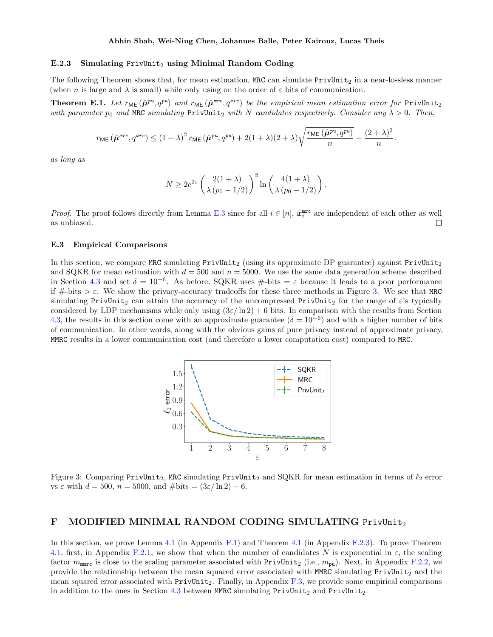#### <span id="page-28-1"></span>E.2.3 Simulating PrivUnit<sub>2</sub> using Minimal Random Coding

The following Theorem shows that, for mean estimation, MRC can simulate  $PrivUnit_2$  in a near-lossless manner (when n is large and  $\lambda$  is small) while only using on the order of  $\varepsilon$  bits of communication.

**Theorem E.1.** Let  $r_{\text{ME}}(\hat{\mu}^{pu}, q^{pu})$  and  $r_{\text{ME}}(\hat{\mu}^{mrc}, q^{mrc})$  be the empirical mean estimation error for PrivUnit<sub>2</sub> with parameter  $p_0$  and MRC simulating PrivUnit<sub>2</sub> with N candidates respectively. Consider any  $\lambda > 0$ . Then,

$$
r_{\text{ME}}\left(\hat{\pmb{\mu}}^{\textit{mrc}},q^{\textit{mrc}}\right)\leq \left(1+\lambda\right)^2r_{\text{ME}}\left(\hat{\pmb{\mu}}^{p u},q^{p u}\right)+2(1+\lambda)(2+\lambda)\sqrt{\frac{r_{\text{ME}}\left(\hat{\pmb{\mu}}^{p u},q^{p u}\right)}{n}}+\frac{(2+\lambda)^2}{n}.
$$

as long as

$$
N \ge 2e^{2\varepsilon} \left( \frac{2(1+\lambda)}{\lambda (p_0 - 1/2)} \right)^2 \ln \left( \frac{4(1+\lambda)}{\lambda (p_0 - 1/2)} \right).
$$

*Proof.* The proof follows directly from Lemma [E.3](#page-27-4) since for all  $i \in [n]$ ,  $\hat{x}_i^{\text{mrc}}$  are independent of each other as well as unbiased.  $\Box$ 

## <span id="page-28-2"></span>E.3 Empirical Comparisons

<span id="page-28-3"></span>In this section, we compare MRC simulating  $PrivUnit_2$  (using its approximate DP guarantee) against  $PrivUnit_2$ and SQKR for mean estimation with  $d = 500$  and  $n = 5000$ . We use the same data generation scheme described in Section [4.3](#page-6-5) and set  $\delta = 10^{-6}$ . As before, SQKR uses #-bits =  $\varepsilon$  because it leads to a poor performance if  $\#$ -bits  $>\varepsilon$ . We show the privacy-accuracy tradeoffs for these three methods in Figure [3.](#page-28-3) We see that MRC simulating PrivUnit<sub>2</sub> can attain the accuracy of the uncompressed PrivUnit<sub>2</sub> for the range of  $\varepsilon$ 's typically considered by LDP mechanisms while only using  $(3\varepsilon/\ln 2) + 6$  bits. In comparison with the results from Section [4.3,](#page-6-5) the results in this section come with an approximate guarantee  $(\delta = 10^{-6})$  and with a higher number of bits of communication. In other words, along with the obvious gains of pure privacy instead of approximate privacy, MMRC results in a lower communication cost (and therefore a lower computation cost) compared to MRC.



Figure 3: Comparing PrivUnit<sub>2</sub>, MRC simulating PrivUnit<sub>2</sub> and SQKR for mean estimation in terms of  $\ell_2$  error vs  $\varepsilon$  with  $d = 500$ ,  $n = 5000$ , and  $\# \text{bits} = (3\varepsilon / \ln 2) + 6$ .

# <span id="page-28-0"></span>F MODIFIED MINIMAL RANDOM CODING SIMULATING PrivUnit<sub>2</sub>

In this section, we prove Lemma [4.1](#page-6-0) (in Appendix [F.1\)](#page-29-0) and Theorem [4.1](#page-6-1) (in Appendix [F.2.3\)](#page-31-2). To prove Theorem [4.1,](#page-6-1) first, in Appendix [F.2.1,](#page-29-2) we show that when the number of candidates N is exponential in  $\varepsilon$ , the scaling factor  $m_{\text{mmrc}}$  is close to the scaling parameter associated with  $\text{PrivUnit}_2$  (i.e.,  $m_{\text{pu}}$ ). Next, in Appendix [F.2.2,](#page-30-0) we provide the relationship between the mean squared error associated with MMRC simulating PrivUnit<sub>2</sub> and the mean squared error associated with  $PrivUnit_2$ . Finally, in Appendix  $F.3$ , we provide some empirical comparisons in addition to the ones in Section [4.3](#page-6-5) between MMRC simulating  $PriorityInit_2$  and  $PriorityUnit_2$ .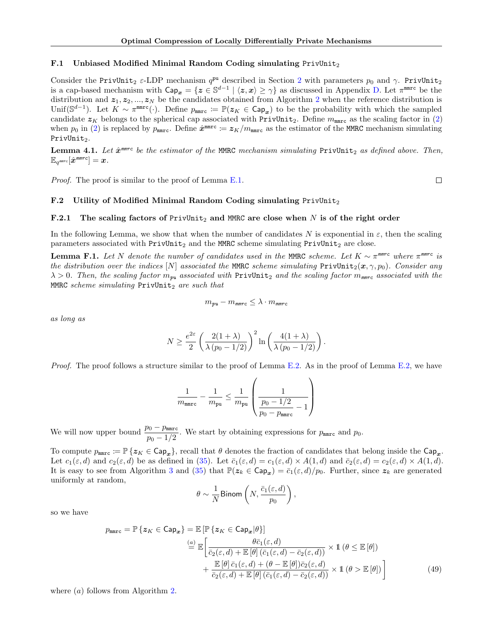#### <span id="page-29-0"></span>F.1 Unbiased Modified Minimal Random Coding simulating PrivUnit<sub>2</sub>

Consider the PrivUnit<sub>[2](#page-2-3)</sub>  $\varepsilon$ -LDP mechanism  $q^{pu}$  described in Section 2 with parameters  $p_0$  and  $\gamma$ . PrivUnit<sub>2</sub> is a cap-based mechanism with  $\text{Cap}_x = \{z \in \mathbb{S}^{d-1} \mid \langle z, x \rangle \geq \gamma\}$  as discussed in Appendix [D.](#page-21-0) Let  $\pi^{\text{mmrc}}$  be the distribution and  $z_1, z_2, ..., z_N$  $z_1, z_2, ..., z_N$  $z_1, z_2, ..., z_N$  be the candidates obtained from Algorithm 2 when the reference distribution is Unif( $\mathbb{S}^{d-1}$ ). Let  $K \sim \pi^{\text{mmrc}}(\cdot)$ . Define  $p_{\text{mmrc}} := \mathbb{P}(z_K \in \text{Cap}_x)$  to be the probability with which the sampled candidate  $z_K$  belongs to the spherical cap associated with PrivUnit<sub>2</sub>. Define  $m_{\text{mmrc}}$  as the scaling factor in [\(2\)](#page-2-4) when  $p_0$  in [\(2\)](#page-2-4) is replaced by  $p_{\text{mmrc}}$ . Define  $\hat{x}^{\text{mmrc}} \coloneqq z_K/m_{\text{mmrc}}$  as the estimator of the MMRC mechanism simulating PrivUnit<sub>2</sub>.

**Lemma 4.1.** Let  $\hat{x}^{mmc}$  be the estimator of the MMRC mechanism simulating  $PrivUnit_2$  as defined above. Then,  $\mathbb{E}_{q^{\textit{mmrc}}}[\hat{\bm{x}}^{\textit{mmrc}}]=\bm{x}.$ 

Proof. The proof is similar to the proof of Lemma [E.1.](#page-23-1)

 $\Box$ 

# <span id="page-29-1"></span>F.2 Utility of Modified Minimal Random Coding simulating PrivUnit<sub>2</sub>

#### <span id="page-29-2"></span>**F.2.1** The scaling factors of PrivUnit<sub>2</sub> and MMRC are close when N is of the right order

In the following Lemma, we show that when the number of candidates N is exponential in  $\varepsilon$ , then the scaling parameters associated with  $PrivUnit_2$  and the MMRC scheme simulating  $PrivUnit_2$  are close.

<span id="page-29-4"></span>**Lemma F.1.** Let N denote the number of candidates used in the MMRC scheme. Let  $K \sim \pi^{mmre}$  where  $\pi^{mmre}$  is the distribution over the indices [N] associated the MMRC scheme simulating  $\text{PrivUnit}_2(x, \gamma, p_0)$ . Consider any  $\lambda > 0$ . Then, the scaling factor  $m_{\nu}$  associated with PrivUnit<sub>2</sub> and the scaling factor  $m_{\nu}$  associated with the MMRC scheme simulating  $PrivUnit_2$  are such that

$$
m_{\text{pu}} - m_{\text{mmrc}} \leq \lambda \cdot m_{\text{mmrc}}
$$

as long as

$$
N \ge \frac{e^{2\varepsilon}}{2} \left( \frac{2(1+\lambda)}{\lambda (p_0 - 1/2)} \right)^2 \ln \left( \frac{4(1+\lambda)}{\lambda (p_0 - 1/2)} \right).
$$

Proof. The proof follows a structure similar to the proof of Lemma [E.2.](#page-24-3) As in the proof of Lemma [E.2,](#page-24-3) we have

$$
\frac{1}{m_{\text{mmc}}}-\frac{1}{m_{\text{pu}}}\leq \frac{1}{m_{\text{pu}}}\left(\frac{1}{\frac{p_0-1/2}{p_0-p_{\text{mmc}}}-1}\right)
$$

We will now upper bound  $\frac{p_0 - p_{\text{mmc}}}{1/\Omega}$  $\frac{p_0 - p_{\text{mmr}}}{p_0 - 1/2}$ . We start by obtaining expressions for  $p_{\text{mmr}}$  and  $p_0$ .

To compute  $p_{\text{mnrc}} := \mathbb{P}\{z_K \in \text{Cap}_x\}$ , recall that  $\theta$  denotes the fraction of candidates that belong inside the Cap<sub>n</sub>. Let  $c_1(\varepsilon, d)$  and  $c_2(\varepsilon, d)$  be as defined in [\(35\)](#page-22-2). Let  $\bar{c}_1(\varepsilon, d) = c_1(\varepsilon, d) \times A(1, d)$  and  $\bar{c}_2(\varepsilon, d) = c_2(\varepsilon, d) \times A(1, d)$ . It is easy to see from Algorithm [3](#page-21-1) and [\(35\)](#page-22-2) that  $\mathbb{P}(z_k \in \text{Cap}_x) = \overline{c}_1(\varepsilon, d)/p_0$ . Further, since  $z_k$  are generated uniformly at random,

<span id="page-29-3"></span>
$$
\theta \sim \frac{1}{N} \text{Binom}\left(N, \frac{\bar{c}_1(\varepsilon, d)}{p_0}\right),
$$

so we have

$$
p_{\text{mmrc}} = \mathbb{P}\left\{ \mathbf{z}_K \in \text{Cap}_{\mathbf{x}} \right\} = \mathbb{E}\left[ \mathbb{P}\left\{ \mathbf{z}_K \in \text{Cap}_{\mathbf{x}} | \theta \right\} \right]
$$

$$
\stackrel{(a)}{=} \mathbb{E}\left[ \frac{\theta \bar{c}_1(\varepsilon, d)}{\bar{c}_2(\varepsilon, d) + \mathbb{E}\left[ \theta \right] \left( \bar{c}_1(\varepsilon, d) - \bar{c}_2(\varepsilon, d) \right)} \times \mathbb{1} \left( \theta \le \mathbb{E}\left[ \theta \right] \right) \right.
$$

$$
+ \frac{\mathbb{E}\left[ \theta \right] \bar{c}_1(\varepsilon, d) + (\theta - \mathbb{E}\left[ \theta \right]) \bar{c}_2(\varepsilon, d)}{\bar{c}_2(\varepsilon, d) + \mathbb{E}\left[ \theta \right] \left( \bar{c}_1(\varepsilon, d) - \bar{c}_2(\varepsilon, d) \right)} \times \mathbb{1} \left( \theta > \mathbb{E}\left[ \theta \right] \right) \right]
$$
(49)

where (a) follows from Algorithm [2.](#page-5-2)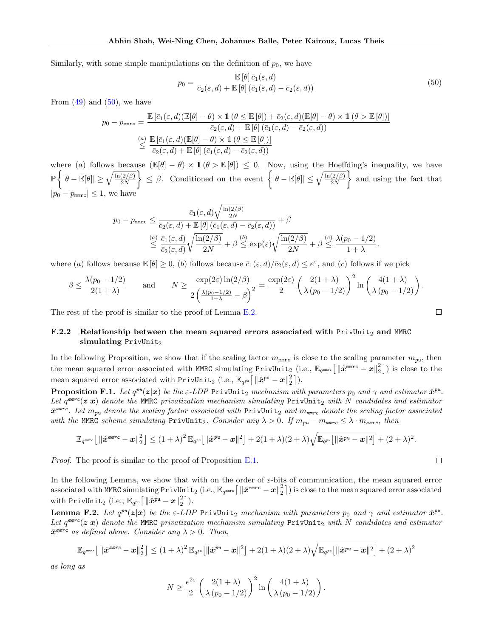Similarly, with some simple manipulations on the definition of  $p_0$ , we have

$$
p_0 = \frac{\mathbb{E}[\theta]\,\bar{c}_1(\varepsilon, d)}{\bar{c}_2(\varepsilon, d) + \mathbb{E}[\theta]\,(\bar{c}_1(\varepsilon, d) - \bar{c}_2(\varepsilon, d))}
$$
(50)

From  $(49)$  and  $(50)$ , we have

$$
p_0 - p_{\text{mmre}} = \frac{\mathbb{E}\left[\bar{c}_1(\varepsilon, d)(\mathbb{E}[\theta] - \theta) \times \mathbb{1}\left(\theta \le \mathbb{E}[\theta]\right) + \bar{c}_2(\varepsilon, d)(\mathbb{E}[\theta] - \theta) \times \mathbb{1}\left(\theta > \mathbb{E}[\theta]\right)\right]}{\bar{c}_2(\varepsilon, d) + \mathbb{E}\left[\theta\right]\left(\bar{c}_1(\varepsilon, d) - \bar{c}_2(\varepsilon, d)\right)}
$$
\n
$$
\le \frac{\mathbb{E}\left[\bar{c}_1(\varepsilon, d)(\mathbb{E}[\theta] - \theta) \times \mathbb{1}\left(\theta \le \mathbb{E}[\theta]\right)\right]}{\bar{c}_2(\varepsilon, d) + \mathbb{E}\left[\theta\right]\left(\bar{c}_1(\varepsilon, d) - \bar{c}_2(\varepsilon, d)\right)}
$$

where (a) follows because  $(\mathbb{E}[\theta] - \theta) \times \mathbb{1}(\theta > \mathbb{E}[\theta]) \leq 0$ . Now, using the Hoeffding's inequality, we have  $\mathbb{P}\left\{|\theta-\mathbb{E}[\theta]|\geq \sqrt{\frac{\ln(2/\beta)}{2N}}\right.$ 2N  $\left\{\xi \in \beta$ . Conditioned on the event  $\left\{\left|\theta-\mathbb{E}[\theta]\right|\leq \sqrt{\frac{\ln(2/\beta)}{2N}}\right\}$ 2N and using the fact that  $|p_0 - p_{\text{mmrc}}| \leq 1$ , we have

$$
p_0 - p_{\text{mmrc}} \le \frac{\bar{c}_1(\varepsilon, d) \sqrt{\frac{\ln(2/\beta)}{2N}}}{\bar{c}_2(\varepsilon, d) + \mathbb{E}[\theta] (\bar{c}_1(\varepsilon, d) - \bar{c}_2(\varepsilon, d))} + \beta
$$
  

$$
\le \frac{\frac{a_0}{\bar{c}_1(\varepsilon, d)} \sqrt{\frac{\ln(2/\beta)}{2N}} + \beta \le \exp(\varepsilon) \sqrt{\frac{\ln(2/\beta)}{2N}} + \beta \le \frac{\lambda(p_0 - 1/2)}{1 + \lambda}.
$$

where (a) follows because  $\mathbb{E}[\theta] \geq 0$ , (b) follows because  $\bar{c}_1(\varepsilon, d)/\bar{c}_2(\varepsilon, d) \leq e^{\varepsilon}$ , and (c) follows if we pick

$$
\beta \le \frac{\lambda(p_0 - 1/2)}{2(1 + \lambda)} \quad \text{and} \quad N \ge \frac{\exp(2\varepsilon) \ln(2/\beta)}{2\left(\frac{\lambda(p_0 - 1/2)}{1 + \lambda} - \beta\right)^2} = \frac{\exp(2\varepsilon)}{2} \left(\frac{2(1 + \lambda)}{\lambda(p_0 - 1/2)}\right)^2 \ln\left(\frac{4(1 + \lambda)}{\lambda(p_0 - 1/2)}\right).
$$

The rest of the proof is similar to the proof of Lemma [E.2.](#page-24-3)

# <span id="page-30-0"></span>F.2.2 Relationship between the mean squared errors associated with  $PrivUnit_2$  and MMRC simulating  $PrivUnit_2$

In the following Proposition, we show that if the scaling factor  $m_{\text{mmc}}$  is close to the scaling parameter  $m_{\text{pu}}$ , then the mean squared error associated with MMRC simulating  $\text{PrivUnit}_2$  (i.e.,  $\mathbb{E}_{q^{\text{mmrc}}}[\|\hat{x}^{\text{mmrc}}-x\|_2^2])$  is close to the mean squared error associated with  $\text{PrivUnit}_2$  (i.e.,  $\mathbb{E}_{q^{\text{pu}}}[\|\hat{x}^{\text{pu}} - x\|_2^2].$ 

<span id="page-30-2"></span>**Proposition F.1.** Let  $q^{pu}(z|x)$  be the  $\varepsilon$ -LDP PrivUnit<sub>2</sub> mechanism with parameters  $p_0$  and  $\gamma$  and estimator  $\hat{x}^{pu}$ . Let  $q^{mmrc}(z|x)$  denote the MMRC privatization mechanism simulating  $\text{PrivUnit}_2$  with  $N$  candidates and estimator  $\hat{x}^{\textit{mmrc}}$ . Let  $m_{\textit{pu}}$  denote the scaling factor associated with  $\texttt{PrivUnit}_2$  and  $m_{\textit{mmrc}}$  denote the scaling factor associated with the MMRC scheme simulating PrivUnit<sub>2</sub>. Consider any  $\lambda > 0$ . If  $m_{\text{pu}} - m_{\text{mmrc}} \leq \lambda \cdot m_{\text{mmrc}}$ , then

$$
\mathbb{E}_{q^{\textit{mmr}c}}\big[\left\|\hat{\boldsymbol{x}}^{\textit{mmr}c}-\boldsymbol{x}\right\|_2^2\big]\leq (1+\lambda)^2\,\mathbb{E}_{q^{\textit{pu}}}\big[\|\hat{\boldsymbol{x}}^{\textit{pu}}-\boldsymbol{x}\|^2\big]+2(1+\lambda)(2+\lambda)\sqrt{\mathbb{E}_{q^{\textit{pu}}}\big[\|\hat{\boldsymbol{x}}^{\textit{pu}}-\boldsymbol{x}\|^2\big]}+(2+\lambda)^2.
$$

Proof. The proof is similar to the proof of Proposition [E.1.](#page-27-3)

In the following Lemma, we show that with on the order of  $\varepsilon$ -bits of communication, the mean squared error associated with MMRC simulating  $\text{PrivUnit}_2$  (i.e.,  $\mathbb{E}_{q^{\text{mmrc}}} \big[ \left\| \hat{x}^{\text{mmrc}} - x \right\|_2^2 \big]$ ) is close to the mean squared error associated with PrivUnit $_2$  (i.e.,  $\mathbb{E}_{q^{\text{pu}}} \big[ \left\| \hat{\boldsymbol{x}}^{\text{pu}} - \boldsymbol{x} \right\|_2^2 \big]$ ).

<span id="page-30-3"></span>Lemma F.2. Let  $q^{pu}(z|x)$  be the  $\varepsilon$ -LDP PrivUnit<sub>2</sub> mechanism with parameters  $p_0$  and  $\gamma$  and estimator  $\hat{x}^{pu}$ . Let  $q^{mmrc}(z|x)$  denote the MMRC privatization mechanism simulating  $\text{PrivUnit}_2$  with  $N$  candidates and estimator  $\hat{x}^{mmc}$  as defined above. Consider any  $\lambda > 0$ . Then,

$$
\mathbb{E}_{q^{\textit{msrc}}} \big[ \left\| \hat{\boldsymbol{x}}^{\textit{mmc}} - \boldsymbol{x} \right\|_2^2 \big] \leq \left( 1 + \lambda \right)^2 \mathbb{E}_{q^{\textit{pu}}} \big[ \left\| \hat{\boldsymbol{x}}^{\textit{pu}} - \boldsymbol{x} \right\|^2 \big] + 2 (1+\lambda) (2+\lambda) \sqrt{\mathbb{E}_{q^{\textit{pu}}} \big[ \left\| \hat{\boldsymbol{x}}^{\textit{pu}} - \boldsymbol{x} \right\|^2 \big]} + (2+\lambda)^2
$$

as long as

$$
N \ge \frac{e^{2\varepsilon}}{2} \left( \frac{2(1+\lambda)}{\lambda (p_0 - 1/2)} \right)^2 \ln \left( \frac{4(1+\lambda)}{\lambda (p_0 - 1/2)} \right).
$$

<span id="page-30-1"></span>
$$
\Box
$$

 $\Box$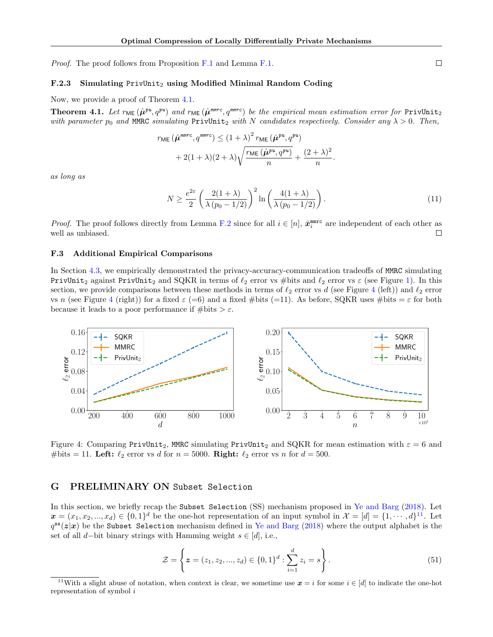Proof. The proof follows from Proposition [F.1](#page-30-2) and Lemma [F.1.](#page-29-4)

## <span id="page-31-2"></span>F.2.3 Simulating PrivUnit<sup>2</sup> using Modified Minimal Random Coding

Now, we provide a proof of Theorem [4.1.](#page-6-1)

**Theorem 4.1.** Let  $r_{\text{ME}}(\hat{\mu}^{pu}, q^{pu})$  and  $r_{\text{ME}}(\hat{\mu}^{mmc}, q^{mmrc})$  be the empirical mean estimation error for PrivUnit<sub>2</sub> with parameter  $p_0$  and MMRC simulating PrivUnit<sub>2</sub> with N candidates respectively. Consider any  $\lambda > 0$ . Then,

$$
r_{\mathsf{ME}}\left(\hat{\boldsymbol{\mu}}^{\textit{mmrc}}, q^{\textit{mmrc}}\right) \leq (1+\lambda)^2 r_{\mathsf{ME}}\left(\hat{\boldsymbol{\mu}}^{pu}, q^{pu}\right) + 2(1+\lambda)(2+\lambda)\sqrt{\frac{r_{\mathsf{ME}}\left(\hat{\boldsymbol{\mu}}^{pu}, q^{pu}\right)}{n}} + \frac{(2+\lambda)^2}{n}.
$$

as long as

$$
N \ge \frac{e^{2\varepsilon}}{2} \left( \frac{2(1+\lambda)}{\lambda \left( p_0 - 1/2 \right)} \right)^2 \ln \left( \frac{4(1+\lambda)}{\lambda \left( p_0 - 1/2 \right)} \right). \tag{11}
$$

*Proof.* The proof follows directly from Lemma [F.2](#page-30-3) since for all  $i \in [n]$ ,  $\hat{x}_i^{\text{mmrc}}$  are independent of each other as well as unbiased.  $\Box$ 

# <span id="page-31-1"></span>F.3 Additional Empirical Comparisons

In Section [4.3,](#page-6-5) we empirically demonstrated the privacy-accuracy-communication tradeoffs of MMRC simulating PrivUnit<sub>2</sub> against PrivUnit<sub>2</sub> and SQKR in terms of  $\ell_2$  error vs #bits and  $\ell_2$  error vs  $\varepsilon$  (see Figure [1\)](#page-6-6). In this section, we provide comparisons between these methods in terms of  $\ell_2$  error vs d (see Figure [4](#page-31-3) (left)) and  $\ell_2$  error vs n (see Figure [4](#page-31-3) (right)) for a fixed  $\varepsilon$  (=6) and a fixed #bits (=11). As before, SQKR uses #bits =  $\varepsilon$  for both because it leads to a poor performance if  $\# \text{bits} > \varepsilon$ .

<span id="page-31-3"></span>

Figure 4: Comparing PrivUnit<sub>2</sub>, MMRC simulating PrivUnit<sub>2</sub> and SQKR for mean estimation with  $\varepsilon = 6$  and #bits = 11. Left:  $\ell_2$  error vs d for  $n = 5000$ . Right:  $\ell_2$  error vs n for  $d = 500$ .

# <span id="page-31-0"></span>G PRELIMINARY ON Subset Selection

In this section, we briefly recap the Subset Selection (SS) mechanism proposed in [Ye and Barg](#page-11-0) [\(2018\)](#page-11-0). Let  $\boldsymbol{x} = (x_1, x_2, ..., x_d) \in \{0, 1\}^d$  be the one-hot representation of an input symbol in  $\mathcal{X} = [d] = \{1, \dots, d\}^{11}$  $\mathcal{X} = [d] = \{1, \dots, d\}^{11}$  $\mathcal{X} = [d] = \{1, \dots, d\}^{11}$ . Let  $q^{ss}(z|x)$  be the Subset Selection mechanism defined in [Ye and Barg](#page-11-0) [\(2018\)](#page-11-0) where the output alphabet is the set of all d−bit binary strings with Hamming weight  $s \in [d]$ , i.e.,

<span id="page-31-5"></span>
$$
\mathcal{Z} = \left\{ \boldsymbol{z} = (z_1, z_2, ..., z_d) \in \{0, 1\}^d : \sum_{i=1}^d z_i = s \right\}.
$$
\n
$$
(51)
$$

<span id="page-31-4"></span><sup>&</sup>lt;sup>11</sup>With a slight abuse of notation, when context is clear, we sometime use  $x = i$  for some  $i \in [d]$  to indicate the one-hot representation of symbol  $i$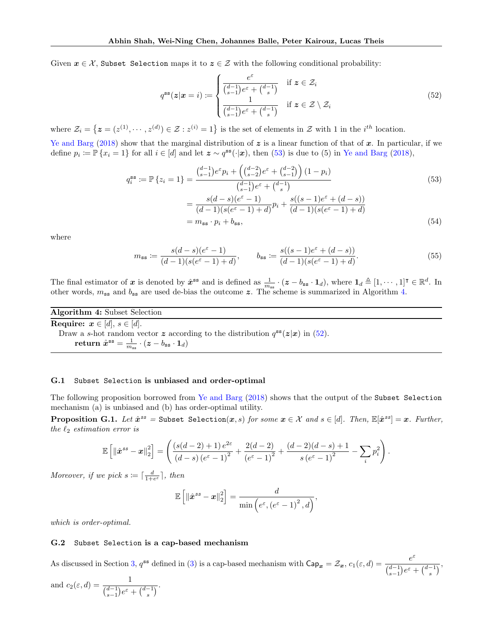Given  $x \in \mathcal{X}$ , Subset Selection maps it to  $z \in \mathcal{Z}$  with the following conditional probability:

<span id="page-32-2"></span><span id="page-32-0"></span>
$$
q^{\mathbf{ss}}(\mathbf{z}|\mathbf{x}=i) \coloneqq \begin{cases} \frac{e^{\varepsilon}}{\binom{d-1}{s-1}e^{\varepsilon} + \binom{d-1}{s}} & \text{if } \mathbf{z} \in \mathcal{Z}_i\\ \frac{1}{\binom{d-1}{s-1}e^{\varepsilon} + \binom{d-1}{s}} & \text{if } \mathbf{z} \in \mathcal{Z} \setminus \mathcal{Z}_i \end{cases} \tag{52}
$$

where  $\mathcal{Z}_i = \{ \mathbf{z} = (z^{(1)}, \dots, z^{(d)}) \in \mathcal{Z} : z^{(i)} = 1 \}$  is the set of elements in  $\mathcal{Z}$  with 1 in the  $i^{th}$  location.

[Ye and Barg](#page-11-0) [\(2018\)](#page-11-0) show that the marginal distribution of  $z$  is a linear function of that of x. In particular, if we define  $p_i := \mathbb{P}\{x_i = 1\}$  for all  $i \in [d]$  and let  $\boldsymbol{z} \sim q^{\text{ss}}(\cdot|\boldsymbol{x})$ , then [\(53\)](#page-32-0) is due to (5) in [Ye and Barg](#page-11-0) [\(2018\)](#page-11-0),

$$
q_i^{\text{ss}} := \mathbb{P}\left\{z_i = 1\right\} = \frac{\binom{d-1}{s-1}e^{\varepsilon}p_i + \left(\binom{d-2}{s-2}e^{\varepsilon} + \binom{d-2}{s-1}\right)(1-p_i)}{\binom{d-1}{s-1}e^{\varepsilon} + \binom{d-1}{s}}
$$
(53)  

$$
= \frac{s(d-s)(e^{\varepsilon}-1)}{(d-1)(s(e^{\varepsilon}-1)+d)}p_i + \frac{s((s-1)e^{\varepsilon} + (d-s))}{(d-1)(s(e^{\varepsilon}-1)+d)}
$$
  

$$
= m_{\text{ss}} \cdot p_i + b_{\text{ss}}, \qquad (54)
$$

where

<span id="page-32-5"></span><span id="page-32-3"></span>
$$
m_{\rm ss} := \frac{s(d-s)(e^{\varepsilon}-1)}{(d-1)(s(e^{\varepsilon}-1)+d)}, \qquad b_{\rm ss} := \frac{s((s-1)e^{\varepsilon}+(d-s))}{(d-1)(s(e^{\varepsilon}-1)+d)}.
$$
(55)

The final estimator of x is denoted by  $\hat{x}^{ss}$  and is defined as  $\frac{1}{m_{ss}} \cdot (z - b_{ss} \cdot 1_d)$ , where  $1_d \triangleq [1, \dots, 1]$ <sup>T</sup>  $\in \mathbb{R}^d$ . In other words,  $m_{ss}$  and  $b_{ss}$  are used de-bias the outcome z. The scheme is summarized in Algorithm [4.](#page-32-1)

<span id="page-32-1"></span>Algorithm 4: Subset Selection Require:  $x \in [d], s \in [d].$ Draw a s-hot random vector z according to the distribution  $q^{ss}(z|x)$  in [\(52\)](#page-32-2).

 $\textbf{return } \hat{\bm{x}}^{\mathtt{ss}} = \frac{1}{m_{\mathtt{ss}}}\cdot(\bm{z}-b_{\mathtt{ss}}\cdot \bm{1}_d)$ 

## G.1 Subset Selection is unbiased and order-optimal

The following proposition borrowed from [Ye and Barg](#page-11-0) [\(2018\)](#page-11-0) shows that the output of the Subset Selection mechanism (a) is unbiased and (b) has order-optimal utility.

**Proposition G.1.** Let  $\hat{\mathbf{x}}^{ss} =$  Subset Selection $(\mathbf{x}, s)$  for some  $\mathbf{x} \in \mathcal{X}$  and  $s \in [d]$ . Then,  $\mathbb{E}[\hat{\mathbf{x}}^{ss}] = \mathbf{x}$ . Further, the  $\ell_2$  estimation error is

$$
\mathbb{E}\left[\left\|\hat{\bm{x}}^{ss}-\bm{x}\right\|_{2}^{2}\right]=\left(\frac{\left(s(d-2)+1\right)e^{2\varepsilon}}{\left(d-s\right)\left(e^{\varepsilon}-1\right)^{2}}+\frac{2(d-2)}{\left(e^{\varepsilon}-1\right)^{2}}+\frac{(d-2)(d-s)+1}{s\left(e^{\varepsilon}-1\right)^{2}}-\sum_{i}p_{i}^{2}\right).
$$

Moreover, if we pick  $s := \lceil \frac{d}{1+e^{\varepsilon}} \rceil$ , then

$$
\mathbb{E}\left[\left\|\hat{\boldsymbol{x}}^{ss}-\boldsymbol{x}\right\|_{2}^{2}\right]=\frac{d}{\min\left(e^{\varepsilon},\left(e^{\varepsilon}-1\right)^{2},d\right)},
$$

which is order-optimal.

# <span id="page-32-4"></span>G.2 Subset Selection is a cap-based mechanism

As discussed in Section [3,](#page-3-9)  $q^{ss}$  defined in [\(3\)](#page-3-8) is a cap-based mechanism with  $\textsf{Cap}_{\bm{x}} = \mathcal{Z}_{\bm{x}}, c_1(\varepsilon, d) = \frac{e^{\varepsilon}}{(d-1)e^{\varepsilon}}$  $\frac{d-1}{\binom{d-1}{s-1}e^{\varepsilon}+\binom{d-1}{s}},$ 

and 
$$
c_2(\varepsilon, d) = \frac{1}{\binom{d-1}{s-1}e^{\varepsilon} + \binom{d-1}{s}}
$$
.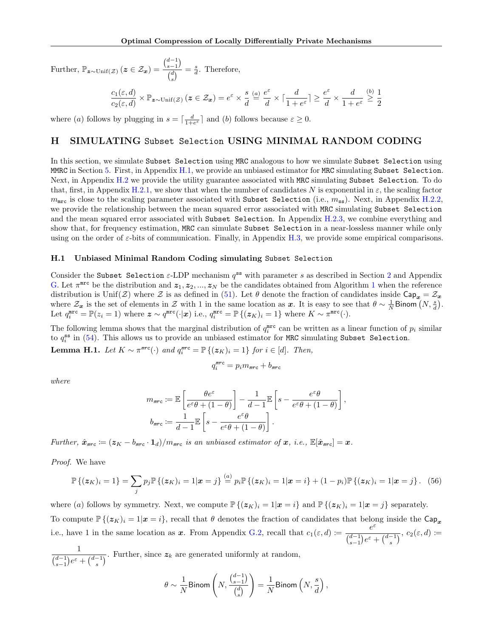Further,  $\mathbb{P}_{\bm{z}\sim\text{Unif}(\mathcal{Z})}$   $(\bm{z}\in\mathcal{Z}_{\bm{x}}) = \frac{\binom{d-1}{s-1}}{\binom{d}{s}}$  $\frac{s-1}{d \choose s} = \frac{s}{d}$ . Therefore,

$$
\frac{c_1(\varepsilon,d)}{c_2(\varepsilon,d)}\times\mathbb{P}_{\textbf{z}\sim\text{Unif}(\mathcal{Z})}\left(\textbf{z}\in\mathcal{Z}_\textbf{z}\right)=e^\varepsilon\times\frac{s}{d}\overset{(a)}{=}\frac{e^\varepsilon}{d}\times\lceil\frac{d}{1+e^\varepsilon}\rceil\geq\frac{e^\varepsilon}{d}\times\frac{d}{1+e^\varepsilon}\overset{(b)}{\geq}\frac{1}{2}
$$

where (a) follows by plugging in  $s = \lceil \frac{d}{1+e^{\varepsilon}} \rceil$  and (b) follows because  $\varepsilon \ge 0$ .

# <span id="page-33-0"></span>H SIMULATING Subset Selection USING MINIMAL RANDOM CODING

In this section, we simulate Subset Selection using MRC analogous to how we simulate Subset Selection using MMRC in Section [5.](#page-7-6) First, in Appendix [H.1,](#page-33-1) we provide an unbiased estimator for MRC simulating Subset Selection. Next, in Appendix [H.2](#page-35-0) we provide the utility guarantee associated with MRC simulating Subset Selection. To do that, first, in Appendix [H.2.1,](#page-35-1) we show that when the number of candidates N is exponential in  $\varepsilon$ , the scaling factor  $m_{\text{mrc}}$  is close to the scaling parameter associated with Subset Selection (i.e.,  $m_{\text{ss}}$ ). Next, in Appendix [H.2.2,](#page-37-0) we provide the relationship between the mean squared error associated with MRC simulating Subset Selection and the mean squared error associated with Subset Selection. In Appendix [H.2.3,](#page-39-1) we combine everything and show that, for frequency estimation, MRC can simulate Subset Selection in a near-lossless manner while only using on the order of  $\varepsilon$ -bits of communication. Finally, in Appendix [H.3,](#page-39-2) we provide some empirical comparisons.

#### <span id="page-33-1"></span>H.1 Unbiased Minimal Random Coding simulating Subset Selection

Consider the Subset Selection  $\varepsilon$ -LDP mechanism  $q^{ss}$  with parameter s as described in Section [2](#page-2-3) and Appendix [G.](#page-31-0) Let  $\pi^{\text{mrc}}$  be the distribution and  $z_1, z_2, ..., z_N$  $z_1, z_2, ..., z_N$  $z_1, z_2, ..., z_N$  be the candidates obtained from Algorithm 1 when the reference distribution is Unif(Z) where Z is as defined in [\(51\)](#page-31-5). Let  $\theta$  denote the fraction of candidates inside  $\text{Cap}_{x} = \mathcal{Z}_x$ where  $\mathcal{Z}_x$  is the set of elements in Z with 1 in the same location as x. It is easy to see that  $\theta \sim \frac{1}{N}$ Binom  $(N, \frac{s}{d})$ . Let  $q_i^{\text{mrc}} = \mathbb{P}(z_i = 1)$  where  $\boldsymbol{z} \sim q^{\text{mrc}}(\cdot|\boldsymbol{x})$  i.e.,  $q_i^{\text{mrc}} = \mathbb{P}\{(\boldsymbol{z}_K)_i = 1\}$  where  $K \sim \pi^{\text{mrc}}(\cdot)$ .

The following lemma shows that the marginal distribution of  $q_i^{\text{mrc}}$  can be written as a linear function of  $p_i$  similar to  $q_i^{\text{ss}}$  in [\(54\)](#page-32-3). This allows us to provide an unbiased estimator for MRC simulating Subset Selection.

<span id="page-33-3"></span>**Lemma H.1.** Let  $K \sim \pi^{mrc}(\cdot)$  and  $q_i^{mrc} = \mathbb{P}\{(\mathbf{z}_K)_i = 1\}$  for  $i \in [d]$ . Then,

<span id="page-33-2"></span>
$$
q_i^{\rm mrc} = p_i m_{\rm mrc} + b_{\rm mrc}
$$

where

$$
m_{\text{mrc}} := \mathbb{E}\left[\frac{\theta e^{\varepsilon}}{e^{\varepsilon}\theta + (1-\theta)}\right] - \frac{1}{d-1} \mathbb{E}\left[s - \frac{e^{\varepsilon}\theta}{e^{\varepsilon}\theta + (1-\theta)}\right],
$$
  

$$
b_{\text{mrc}} := \frac{1}{d-1} \mathbb{E}\left[s - \frac{e^{\varepsilon}\theta}{e^{\varepsilon}\theta + (1-\theta)}\right].
$$

Further,  $\hat{\boldsymbol{x}}_{\text{mrc}} \coloneqq (\boldsymbol{z}_K - b_{\text{mrc}} \cdot \mathbf{1}_d)/m_{\text{mrc}}$  is an unbiased estimator of  $\boldsymbol{x}, i.e., \mathbb{E}[\hat{\boldsymbol{x}}_{\text{mrc}}] = \boldsymbol{x}.$ 

Proof. We have

$$
\mathbb{P}\left\{(\mathbf{z}_K)_i=1\right\}=\sum_j p_j \mathbb{P}\left\{(\mathbf{z}_K)_i=1|\mathbf{x}=j\right\} \stackrel{(a)}{=} p_i \mathbb{P}\left\{(\mathbf{z}_K)_i=1|\mathbf{x}=i\right\}+(1-p_i) \mathbb{P}\left\{(\mathbf{z}_K)_i=1|\mathbf{x}=j\right\}. (56)
$$

where (a) follows by symmetry. Next, we compute  $\mathbb{P}\{(z_K)_i=1|\mathbf{x}=i\}$  and  $\mathbb{P}\{(z_K)_i=1|\mathbf{x}=j\}$  separately. To compute  $\mathbb{P}\{(z_K)_i=1|\mathbf{x}=i\}$ , recall that  $\theta$  denotes the fraction of candidates that belong inside the  $\text{Cap}_{\mathbf{x}}$ 

i.e., have 1 in the same location as x. From Appendix [G.2,](#page-32-4) recall that  $c_1(\varepsilon, d) := \frac{e^{\varepsilon}}{(d-1)}$  $\frac{c}{\binom{d-1}{s-1}e^{\varepsilon}+\binom{d-1}{s}},\,c_2(\varepsilon,d)\coloneqq$ 1

 $\frac{1}{\binom{d-1}{s-1}}e^{\epsilon} + \binom{d-1}{s}$ . Further, since  $z_k$  are generated uniformly at random,

$$
\theta \sim \frac{1}{N} \text{Binom}\left(N, \frac{\binom{d-1}{s-1}}{\binom{d}{s}}\right) = \frac{1}{N} \text{Binom}\left(N, \frac{s}{d}\right),
$$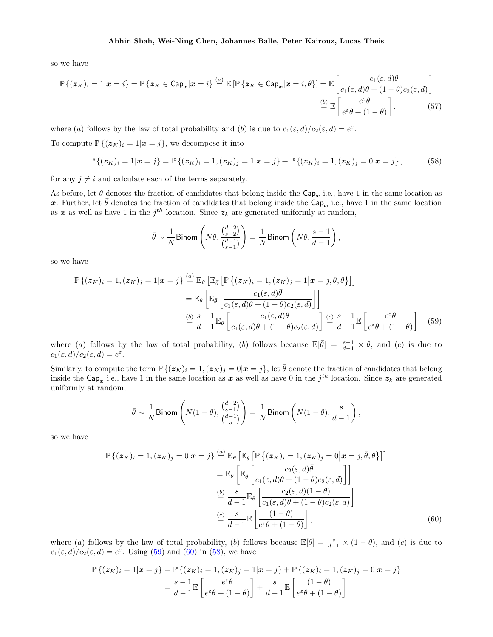so we have

$$
\mathbb{P}\left\{(\boldsymbol{z}_K)_i = 1 | \boldsymbol{x} = i\right\} = \mathbb{P}\left\{\boldsymbol{z}_K \in \mathsf{Cap}_{\boldsymbol{x}} | \boldsymbol{x} = i\right\} \stackrel{(a)}{=} \mathbb{E}\left[\mathbb{P}\left\{\boldsymbol{z}_K \in \mathsf{Cap}_{\boldsymbol{x}} | \boldsymbol{x} = i, \theta\right\}\right] = \mathbb{E}\left[\frac{c_1(\varepsilon, d)\theta}{c_1(\varepsilon, d)\theta + (1 - \theta)c_2(\varepsilon, d)}\right]
$$

$$
\stackrel{(b)}{=} \mathbb{E}\left[\frac{e^{\varepsilon}\theta}{e^{\varepsilon}\theta + (1 - \theta)}\right],\tag{57}
$$

where (a) follows by the law of total probability and (b) is due to  $c_1(\varepsilon, d)/c_2(\varepsilon, d) = e^{\varepsilon}$ .

To compute  $\mathbb{P}\left\{(\mathbf{z}_K)_i=1|\mathbf{x}=j\right\}$ , we decompose it into

$$
\mathbb{P}\left\{(\mathbf{z}_K)_i=1|\mathbf{x}=j\right\}=\mathbb{P}\left\{(\mathbf{z}_K)_i=1,(\mathbf{z}_K)_j=1|\mathbf{x}=j\right\}+\mathbb{P}\left\{(\mathbf{z}_K)_i=1,(\mathbf{z}_K)_j=0|\mathbf{x}=j\right\},\tag{58}
$$

for any  $j \neq i$  and calculate each of the terms separately.

As before, let  $\theta$  denotes the fraction of candidates that belong inside the  $\textsf{Cap}_{x}$  i.e., have 1 in the same location as x. Further, let  $\bar{\theta}$  denotes the fraction of candidates that belong inside the  $\textsf{Cap}_{x}$  i.e., have 1 in the same location as x as well as have 1 in the  $j<sup>th</sup>$  location. Since  $z<sub>k</sub>$  are generated uniformly at random,

<span id="page-34-3"></span><span id="page-34-2"></span><span id="page-34-0"></span>
$$
\bar{\theta} \sim \frac{1}{N} \text{Binom}\left(N\theta, \frac{\binom{d-2}{s-2}}{\binom{d-1}{s-1}}\right) = \frac{1}{N} \text{Binom}\left(N\theta, \frac{s-1}{d-1}\right),
$$

so we have

$$
\mathbb{P}\left\{(\mathbf{z}_K)_i = 1, (\mathbf{z}_K)_j = 1 | \mathbf{x} = j\right\} \stackrel{(a)}{=} \mathbb{E}_{\theta} \left[ \mathbb{E}_{\bar{\theta}} \left[ \mathbb{P}\left\{ (\mathbf{z}_K)_i = 1, (\mathbf{z}_K)_j = 1 | \mathbf{x} = j, \bar{\theta}, \theta \right\} \right] \right]
$$
\n
$$
= \mathbb{E}_{\theta} \left[ \mathbb{E}_{\bar{\theta}} \left[ \frac{c_1(\varepsilon, d)\bar{\theta}}{c_1(\varepsilon, d)\theta + (1 - \theta)c_2(\varepsilon, d)} \right] \right]
$$
\n
$$
\stackrel{(b)}{=} \frac{s - 1}{d - 1} \mathbb{E}_{\theta} \left[ \frac{c_1(\varepsilon, d)\theta}{c_1(\varepsilon, d)\theta + (1 - \theta)c_2(\varepsilon, d)} \right] \stackrel{(c)}{=} \frac{s - 1}{d - 1} \mathbb{E} \left[ \frac{e^{\varepsilon} \theta}{e^{\varepsilon} \theta + (1 - \theta)} \right] \tag{59}
$$

where (a) follows by the law of total probability, (b) follows because  $\mathbb{E}[\bar{\theta}] = \frac{s-1}{d-1} \times \theta$ , and (c) is due to  $c_1(\varepsilon, d)/c_2(\varepsilon, d) = e^{\varepsilon}.$ 

Similarly, to compute the term  $\mathbb{P}\left\{(\mathbf{z}_K)_i=1,(\mathbf{z}_K)_j=0|\mathbf{x}=j\right\}$ , let  $\bar{\theta}$  denote the fraction of candidates that belong inside the  $\textsf{Cap}_x$  i.e., have 1 in the same location as x as well as have 0 in the  $j^{th}$  location. Since  $z_k$  are generated uniformly at random,

<span id="page-34-1"></span>
$$
\bar{\theta} \sim \frac{1}{N} \text{Binom}\left(N(1-\theta), \frac{\binom{d-2}{s-1}}{\binom{d-1}{s}}\right) = \frac{1}{N} \text{Binom}\left(N(1-\theta), \frac{s}{d-1}\right),
$$

so we have

$$
\mathbb{P}\left\{(\boldsymbol{z}_K)_i = 1, (\boldsymbol{z}_K)_j = 0 | \boldsymbol{x} = j\right\} \stackrel{(a)}{=} \mathbb{E}_{\theta} \left[ \mathbb{E}_{\bar{\theta}} \left[ \mathbb{P}\left\{(\boldsymbol{z}_K)_i = 1, (\boldsymbol{z}_K)_j = 0 | \boldsymbol{x} = j, \bar{\theta}, \theta\right\} \right] \right]
$$
\n
$$
= \mathbb{E}_{\theta} \left[ \mathbb{E}_{\bar{\theta}} \left[ \frac{c_2(\varepsilon, d)\bar{\theta}}{c_1(\varepsilon, d)\theta + (1 - \theta)c_2(\varepsilon, d)} \right] \right]
$$
\n
$$
\stackrel{(b)}{=} \frac{s}{d-1} \mathbb{E}_{\theta} \left[ \frac{c_2(\varepsilon, d)(1 - \theta)}{c_1(\varepsilon, d)\theta + (1 - \theta)c_2(\varepsilon, d)} \right]
$$
\n
$$
\stackrel{(c)}{=} \frac{s}{d-1} \mathbb{E} \left[ \frac{(1 - \theta)}{e^{\varepsilon}\theta + (1 - \theta)} \right], \tag{60}
$$

where (a) follows by the law of total probability, (b) follows because  $\mathbb{E}[\bar{\theta}] = \frac{s}{d-1} \times (1-\theta)$ , and (c) is due to  $c_1(\varepsilon, d)/c_2(\varepsilon, d) = e^{\varepsilon}$ . Using [\(59\)](#page-34-0) and [\(60\)](#page-34-1) in [\(58\)](#page-34-2), we have

$$
\mathbb{P}\left\{(\boldsymbol{z}_K)_i = 1 | \boldsymbol{x} = j\right\} = \mathbb{P}\left\{(\boldsymbol{z}_K)_i = 1, (\boldsymbol{z}_K)_j = 1 | \boldsymbol{x} = j\right\} + \mathbb{P}\left\{(\boldsymbol{z}_K)_i = 1, (\boldsymbol{z}_K)_j = 0 | \boldsymbol{x} = j\right\}
$$
\n
$$
= \frac{s-1}{d-1} \mathbb{E}\left[\frac{e^{\varepsilon}\theta}{e^{\varepsilon}\theta + (1-\theta)}\right] + \frac{s}{d-1} \mathbb{E}\left[\frac{(1-\theta)}{e^{\varepsilon}\theta + (1-\theta)}\right]
$$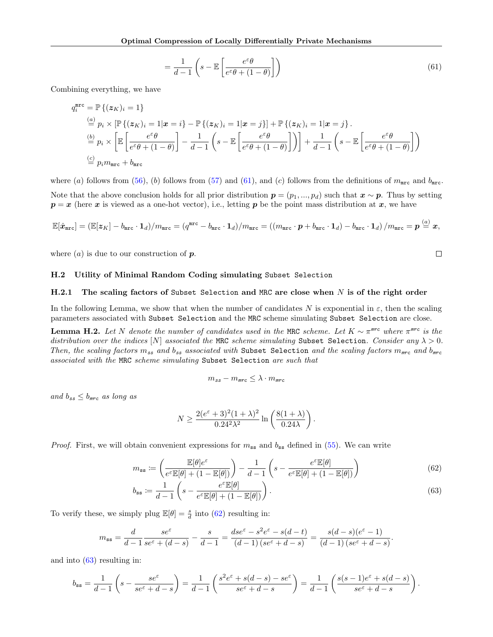$$
= \frac{1}{d-1} \left( s - \mathbb{E} \left[ \frac{e^{\varepsilon} \theta}{e^{\varepsilon} \theta + (1-\theta)} \right] \right) \tag{61}
$$

Combining everything, we have

$$
q_i^{\text{mrc}} = \mathbb{P}\left\{ (\mathbf{z}_K)_i = 1 \right\}
$$
  
\n
$$
\stackrel{(a)}{=} p_i \times \left[ \mathbb{P}\left\{ (\mathbf{z}_K)_i = 1 | \mathbf{x} = i \right\} - \mathbb{P}\left\{ (\mathbf{z}_K)_i = 1 | \mathbf{x} = j \right\} \right] + \mathbb{P}\left\{ (\mathbf{z}_K)_i = 1 | \mathbf{x} = j \right\}.
$$
  
\n
$$
\stackrel{(b)}{=} p_i \times \left[ \mathbb{E}\left[ \frac{e^{\varepsilon} \theta}{e^{\varepsilon} \theta + (1 - \theta)} \right] - \frac{1}{d - 1} \left( s - \mathbb{E}\left[ \frac{e^{\varepsilon} \theta}{e^{\varepsilon} \theta + (1 - \theta)} \right] \right) \right] + \frac{1}{d - 1} \left( s - \mathbb{E}\left[ \frac{e^{\varepsilon} \theta}{e^{\varepsilon} \theta + (1 - \theta)} \right] \right)
$$
  
\n
$$
\stackrel{(c)}{=} p_i m_{\text{mrc}} + b_{\text{mrc}}
$$

where (a) follows from [\(56\)](#page-33-2), (b) follows from [\(57\)](#page-34-3) and [\(61\)](#page-35-2), and (c) follows from the definitions of  $m_{\text{mrc}}$  and  $b_{\text{mrc}}$ . Note that the above conclusion holds for all prior distribution  $p = (p_1, ..., p_d)$  such that  $x \sim p$ . Thus by setting  $p = x$  (here x is viewed as a one-hot vector), i.e., letting p be the point mass distribution at x, we have

$$
\mathbb{E}[\hat{\boldsymbol{x}}_{\text{mrc}}] = (\mathbb{E}[\boldsymbol{z}_K] - b_{\text{mrc}} \cdot \mathbf{1}_d) / m_{\text{mrc}} = (q^{\text{mrc}} - b_{\text{mrc}} \cdot \mathbf{1}_d) / m_{\text{mrc}} = ((m_{\text{mrc}} \cdot \boldsymbol{p} + b_{\text{mrc}} \cdot \mathbf{1}_d) - b_{\text{mrc}} \cdot \mathbf{1}_d) / m_{\text{mrc}} = \boldsymbol{p} \stackrel{(a)}{=} \boldsymbol{x},
$$

where  $(a)$  is due to our construction of  $p$ .

# <span id="page-35-0"></span>H.2 Utility of Minimal Random Coding simulating Subset Selection

#### <span id="page-35-1"></span>H.2.1 The scaling factors of Subset Selection and MRC are close when  $N$  is of the right order

In the following Lemma, we show that when the number of candidates N is exponential in  $\varepsilon$ , then the scaling parameters associated with Subset Selection and the MRC scheme simulating Subset Selection are close.

<span id="page-35-5"></span>**Lemma H.2.** Let N denote the number of candidates used in the MRC scheme. Let  $K \sim \pi^{mrc}$  where  $\pi^{mrc}$  is the distribution over the indices [N] associated the MRC scheme simulating Subset Selection. Consider any  $\lambda > 0$ . Then, the scaling factors  $m_{ss}$  and  $b_{ss}$  associated with Subset Selection and the scaling factors  $m_{mrc}$  and  $b_{mrc}$ associated with the MRC scheme simulating Subset Selection are such that

$$
m_{ss} - m_{\text{mrc}} \leq \lambda \cdot m_{\text{mrc}}
$$

and  $b_{ss} \leq b_{\text{mrc}}$  as long as

$$
N \ge \frac{2(e^{\varepsilon} + 3)^2 (1 + \lambda)^2}{0.24^2 \lambda^2} \ln\left(\frac{8(1 + \lambda)}{0.24\lambda}\right).
$$

*Proof.* First, we will obtain convenient expressions for  $m_{ss}$  and  $b_{ss}$  defined in [\(55\)](#page-32-5). We can write

$$
m_{\text{ss}} := \left(\frac{\mathbb{E}[\theta]e^{\varepsilon}}{e^{\varepsilon}\mathbb{E}[\theta] + (1 - \mathbb{E}[\theta])}\right) - \frac{1}{d - 1} \left(s - \frac{e^{\varepsilon}\mathbb{E}[\theta]}{e^{\varepsilon}\mathbb{E}[\theta] + (1 - \mathbb{E}[\theta])}\right)
$$
(62)

$$
b_{\text{ss}} := \frac{1}{d-1} \left( s - \frac{e^{\varepsilon} \mathbb{E}[\theta]}{e^{\varepsilon} \mathbb{E}[\theta] + (1 - \mathbb{E}[\theta])} \right). \tag{63}
$$

To verify these, we simply plug  $\mathbb{E}[\theta] = \frac{s}{d}$  into [\(62\)](#page-35-3) resulting in:

$$
m_{\text{ss}} = \frac{d}{d-1} \frac{s e^{\varepsilon}}{s e^{\varepsilon} + (d-s)} - \frac{s}{d-1} = \frac{d s e^{\varepsilon} - s^2 e^{\varepsilon} - s(d-t)}{(d-1) (s e^{\varepsilon} + d-s)} = \frac{s(d-s)(e^{\varepsilon} - 1)}{(d-1) (s e^{\varepsilon} + d-s)}.
$$

and into [\(63\)](#page-35-4) resulting in:

$$
b_{\textbf{ss}} = \frac{1}{d-1}\left(s - \frac{s e^{\varepsilon}}{s e^{\varepsilon} + d - s}\right) = \frac{1}{d-1}\left(\frac{s^2 e^{\varepsilon} + s(d-s) - s e^{\varepsilon}}{s e^{\varepsilon} + d - s}\right) = \frac{1}{d-1}\left(\frac{s(s-1) e^{\varepsilon} + s(d-s)}{s e^{\varepsilon} + d - s}\right).
$$

<span id="page-35-4"></span><span id="page-35-3"></span><span id="page-35-2"></span>
$$
\Box
$$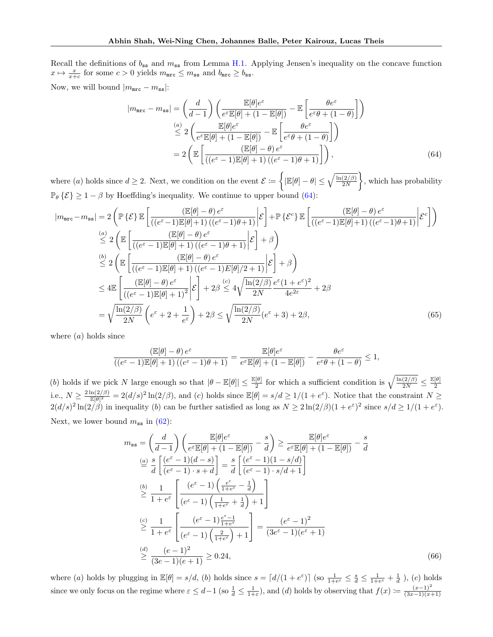Recall the definitions of  $b_{ss}$  and  $m_{ss}$  from Lemma [H.1.](#page-33-3) Applying Jensen's inequality on the concave function  $x \mapsto \frac{x}{x+c}$  for some  $c > 0$  yields  $m_{\texttt{mrc}} \leq m_{\texttt{ss}}$  and  $b_{\texttt{mrc}} \geq b_{\texttt{ss}}$ .

Now, we will bound  $|m_{\text{mrc}} - m_{ss}|$ :

<span id="page-36-0"></span>
$$
|m_{\mathtt{mrc}} - m_{\mathtt{ss}}| = \left(\frac{d}{d-1}\right) \left(\frac{\mathbb{E}[\theta]e^{\varepsilon}}{e^{\varepsilon}\mathbb{E}[\theta] + (1 - \mathbb{E}[\theta])} - \mathbb{E}\left[\frac{\theta e^{\varepsilon}}{e^{\varepsilon}\theta + (1 - \theta)}\right]\right)
$$

$$
\stackrel{(a)}{\leq} 2 \left(\frac{\mathbb{E}[\theta]e^{\varepsilon}}{e^{\varepsilon}\mathbb{E}[\theta] + (1 - \mathbb{E}[\theta])} - \mathbb{E}\left[\frac{\theta e^{\varepsilon}}{e^{\varepsilon}\theta + (1 - \theta)}\right]\right)
$$

$$
= 2 \left(\mathbb{E}\left[\frac{(\mathbb{E}[\theta] - \theta)e^{\varepsilon}}{((e^{\varepsilon} - 1)\mathbb{E}[\theta] + 1)((e^{\varepsilon} - 1)\theta + 1)}\right]\right),\tag{64}
$$

where (a) holds since  $d \geq 2$ . Next, we condition on the event  $\mathcal{E} := \left\{ |\mathbb{E}[\theta] - \theta| \leq \sqrt{\frac{\ln(2/\beta)}{2N}} \right\}$ 2N , which has probability  $\mathbb{P}_{\theta} \{\mathcal{E}\} \geq 1 - \beta$  by Hoeffding's inequality. We continue to upper bound [\(64\)](#page-36-0):

$$
|m_{\text{mrc}} - m_{\text{ss}}| = 2\left(\mathbb{P}\left\{\mathcal{E}\right\}\mathbb{E}\left[\frac{(\mathbb{E}[\theta] - \theta) e^{\varepsilon}}{((e^{\varepsilon} - 1)\mathbb{E}[\theta] + 1)((e^{\varepsilon} - 1)\theta + 1)}\Big|\mathcal{E}\right] + \mathbb{P}\left\{\mathcal{E}^{c}\right\}\mathbb{E}\left[\frac{(\mathbb{E}[\theta] - \theta) e^{\varepsilon}}{((e^{\varepsilon} - 1)\mathbb{E}[\theta] + 1)((e^{\varepsilon} - 1)\theta + 1)}\Big|\mathcal{E}\right] \Big)
$$
  
\n
$$
\stackrel{(a)}{\leq} 2\left(\mathbb{E}\left[\frac{(\mathbb{E}[\theta] - \theta) e^{\varepsilon}}{((e^{\varepsilon} - 1)\mathbb{E}[\theta] + 1)((e^{\varepsilon} - 1)\theta + 1)}\Big|\mathcal{E}\right] + \beta\right)
$$
  
\n
$$
\stackrel{(b)}{\leq} 2\left(\mathbb{E}\left[\frac{(\mathbb{E}[\theta] - \theta) e^{\varepsilon}}{((e^{\varepsilon} - 1)\mathbb{E}[\theta] + 1)((e^{\varepsilon} - 1)\mathbb{E}[\theta]/2 + 1)}\Big|\mathcal{E}\right] + \beta\right)
$$
  
\n
$$
\leq 4\mathbb{E}\left[\frac{(\mathbb{E}[\theta] - \theta) e^{\varepsilon}}{((e^{\varepsilon} - 1)\mathbb{E}[\theta] + 1)^{2}}\Big|\mathcal{E}\right] + 2\beta \stackrel{(c)}{\leq} 4\sqrt{\frac{\ln(2/\beta)}{2N}} \frac{e^{\varepsilon}(1 + e^{\varepsilon})^{2}}{4e^{2\varepsilon}} + 2\beta
$$
  
\n
$$
= \sqrt{\frac{\ln(2/\beta)}{2N}} \left(e^{\varepsilon} + 2 + \frac{1}{e^{\varepsilon}}\right) + 2\beta \leq \sqrt{\frac{\ln(2/\beta)}{2N}}(e^{\varepsilon} + 3) + 2\beta,
$$
  
\n(65)

where  $(a)$  holds since

<span id="page-36-1"></span>
$$
\frac{\left(\mathbb{E}[\theta] - \theta\right)e^{\varepsilon}}{\left((e^{\varepsilon} - 1)\mathbb{E}[\theta] + 1\right)\left((e^{\varepsilon} - 1)\theta + 1\right)} = \frac{\mathbb{E}[\theta]e^{\varepsilon}}{e^{\varepsilon}\mathbb{E}[\theta] + (1 - \mathbb{E}[\theta])} - \frac{\theta e^{\varepsilon}}{e^{\varepsilon}\theta + (1 - \theta)} \le 1,
$$

(b) holds if we pick N large enough so that  $|\theta - \mathbb{E}[\theta]| \leq \frac{\mathbb{E}[\theta]}{2}$  for which a sufficient condition is  $\sqrt{\frac{\ln(2/\beta)}{2N}} \leq \frac{\mathbb{E}[\theta]}{2}$ 2 i.e.,  $N \ge \frac{2\ln(2/\beta)}{\mathbb{E}[\theta]^2} = 2(d/s)^2 \ln(2/\beta)$ , and (c) holds since  $\mathbb{E}[\theta] = s/d \ge 1/(1+e^{\varepsilon})$ . Notice that the constraint  $N \ge$  $2(d/s)^2 \ln(2/\beta)$  in inequality (b) can be further satisfied as long as  $N \ge 2\ln(2/\beta)(1+e^{\epsilon})^2$  since  $s/d \ge 1/(1+e^{\epsilon})$ . Next, we lower bound  $m_{ss}$  in [\(62\)](#page-35-3):

<span id="page-36-2"></span>
$$
m_{\text{ss}} = \left(\frac{d}{d-1}\right) \left(\frac{\mathbb{E}[\theta]e^{\varepsilon}}{e^{\varepsilon}\mathbb{E}[\theta] + (1 - \mathbb{E}[\theta])} - \frac{s}{d}\right) \ge \frac{\mathbb{E}[\theta]e^{\varepsilon}}{e^{\varepsilon}\mathbb{E}[\theta] + (1 - \mathbb{E}[\theta])} - \frac{s}{d}
$$
  
\n
$$
\stackrel{(a)}{=} \frac{s}{d} \left[\frac{(e^{\varepsilon} - 1)(d - s)}{(e^{\varepsilon} - 1) \cdot s + d}\right] = \frac{s}{d} \left[\frac{(e^{\varepsilon} - 1)(1 - s/d)}{(e^{\varepsilon} - 1) \cdot s/d + 1}\right]
$$
  
\n
$$
\stackrel{(b)}{\ge} \frac{1}{1 + e^{\varepsilon}} \left[\frac{(e^{\varepsilon} - 1)\left(\frac{e^{\varepsilon}}{1 + e^{\varepsilon}} - \frac{1}{d}\right)}{(e^{\varepsilon} - 1)\left(\frac{1}{1 + e^{\varepsilon}} + \frac{1}{d}\right) + 1}\right]
$$
  
\n
$$
\stackrel{(c)}{\ge} \frac{1}{1 + e^{\varepsilon}} \left[\frac{(e^{\varepsilon} - 1)\frac{e^{\varepsilon} - 1}{1 + e^{\varepsilon}}}{(e^{\varepsilon} - 1)\left(\frac{2}{1 + e^{\varepsilon}}\right) + 1}\right] = \frac{(e^{\varepsilon} - 1)^2}{(3e^{\varepsilon} - 1)(e^{\varepsilon} + 1)}
$$
  
\n
$$
\stackrel{(d)}{\ge} \frac{(e - 1)^2}{(3e - 1)(e + 1)} \ge 0.24,
$$
  
\n(66)

where (a) holds by plugging in  $\mathbb{E}[\theta] = s/d$ , (b) holds since  $s = \lfloor d/(1 + e^{\varepsilon}) \rfloor$  (so  $\frac{1}{1 + e^{\varepsilon}} \leq \frac{s}{d} \leq \frac{1}{1 + e^{\varepsilon}} + \frac{1}{d}$ ), (c) holds since we only focus on the regime where  $\varepsilon \leq d-1$  (so  $\frac{1}{d} \leq \frac{1}{1+\varepsilon}$ ), and (d) holds by observing that  $f(x) := \frac{(x-1)^2}{(3x-1)(x-1)^2}$  $(3x-1)(x+1)$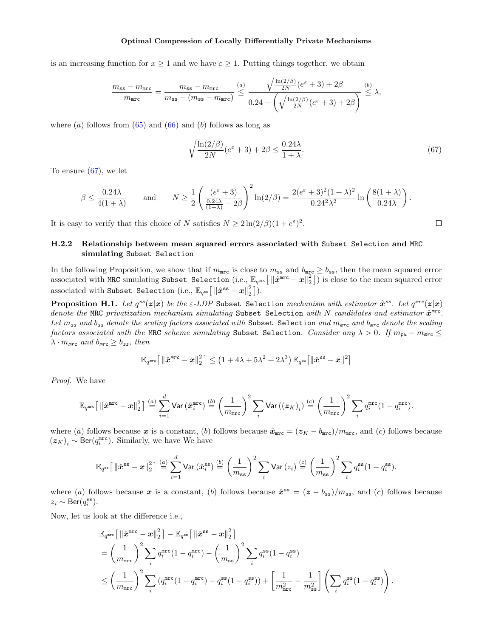is an increasing function for  $x \geq 1$  and we have  $\varepsilon \geq 1$ . Putting things together, we obtain

$$
\frac{m_{\text{ss}} - m_{\text{mrc}}}{m_{\text{mrc}}} = \frac{m_{\text{ss}} - m_{\text{mrc}}}{m_{\text{ss}} - (m_{\text{ss}} - m_{\text{mrc}})} \stackrel{(a)}{\leq} \frac{\sqrt{\frac{\ln(2/\beta)}{2N}}(e^{\varepsilon} + 3) + 2\beta}{0.24 - \left(\sqrt{\frac{\ln(2/\beta)}{2N}}(e^{\varepsilon} + 3) + 2\beta\right)} \stackrel{(b)}{\leq} \lambda,
$$

where  $(a)$  follows from  $(65)$  and  $(66)$  and  $(b)$  follows as long as

$$
\sqrt{\frac{\ln(2/\beta)}{2N}}(e^{\varepsilon}+3)+2\beta \le \frac{0.24\lambda}{1+\lambda}.\tag{67}
$$

To ensure [\(67\)](#page-37-1), we let

$$
\beta \le \frac{0.24\lambda}{4(1+\lambda)}
$$
 and  $N \ge \frac{1}{2} \left( \frac{(e^{\varepsilon}+3)}{\frac{0.24\lambda}{(1+\lambda)}-2\beta} \right)^2 \ln(2/\beta) = \frac{2(e^{\varepsilon}+3)^2(1+\lambda)^2}{0.24^2\lambda^2} \ln\left(\frac{8(1+\lambda)}{0.24\lambda}\right).$ 

It is easy to verify that this choice of N satisfies  $N \geq 2\ln(2/\beta)(1+e^{\epsilon})^2$ .

# <span id="page-37-0"></span>H.2.2 Relationship between mean squared errors associated with Subset Selection and MRC simulating Subset Selection

In the following Proposition, we show that if  $m_{\text{mrc}}$  is close to  $m_{\text{ss}}$  and  $b_{\text{mrc}} \geq b_{\text{ss}}$ , then the mean squared error associated with MRC simulating Subset Selection (i.e.,  $\mathbb{E}_{q^{\tt{mrc}}} \big[ \|\hat{x}^{\tt{mrc}} - x\|_2^2 \big]$ ) is close to the mean squared error associated with Subset Selection (i.e.,  $\mathbb{E}_{q^{\text{ss}}} \big[ \left\| \hat{\boldsymbol{x}}^{\text{ss}} - \boldsymbol{x} \right\|_2^2 \big]$ ).

<span id="page-37-2"></span>Proposition H.1. Let  $q^{ss}(z|x)$  be the  $\varepsilon$ -LDP Subset Selection mechanism with estimator  $\hat{x}^{ss}$ . Let  $q^{mrc}(z|x)$ denote the MRC privatization mechanism simulating Subset Selection with N candidates and estimator  $\hat{x}^{mrc}$ . Let  $m_{ss}$  and  $b_{ss}$  denote the scaling factors associated with Subset Selection and  $m_{mrc}$  and  $b_{mrc}$  denote the scaling factors associated with the MRC scheme simulating Subset Selection. Consider any  $\lambda > 0$ . If  $m_{pu} - m_{\text{mrc}} \leq$  $\lambda \cdot m_{\text{mrc}}$  and  $b_{\text{mrc}} \geq b_{ss}$ , then

$$
\mathbb{E}_{q^{\textit{mrc}}} \big[ \left\| \hat{\boldsymbol{x}}^{\textit{mrc}} - \boldsymbol{x} \right\|_2^2 \big] \leq \left( 1 + 4 \lambda + 5 \lambda^2 + 2 \lambda^3 \right) \mathbb{E}_{q^{ss}} \big[ \left\| \hat{\boldsymbol{x}}^{ss} - \boldsymbol{x} \right\|^2 \big]
$$

Proof. We have

$$
\mathbb{E}_{q^{\texttt{mrc}}} \big[ \left\| \hat{{\boldsymbol x}}^{\texttt{mrc}} - {\boldsymbol x} \right\|_2^2 \big] \overset{(a)}{=} \sum_{i=1}^d \textsf{Var}\left( \hat{{\boldsymbol x}}^{\texttt{mrc}}_i \right) \overset{(b)}{=} \left( \frac{1}{m_{\texttt{mrc}}} \right)^2 \sum_i \textsf{Var}\left( ({\boldsymbol z}_K)_i \right) \overset{(c)}{=} \left( \frac{1}{m_{\texttt{mrc}}} \right)^2 \sum_i q^{\texttt{mrc}}_i (1-q^{\texttt{mrc}}_i).
$$

where (a) follows because x is a constant, (b) follows because  $\hat{x}_{\text{mrc}} = (z_K - b_{\text{mrc}})/m_{\text{mrc}}$ , and (c) follows because  $(z_K)_i \sim \text{Ber}(q_i^{\text{mrc}})$ . Similarly, we have We have

$$
\mathbb{E}_{q^{\text{ss}}}\!\left[\,\left\|\hat{\boldsymbol{x}}^{\text{ss}}-\boldsymbol{x}\right\|_{2}^{2}\right]\overset{(a)}{=}\sum_{i=1}^{d}\textsf{Var}\left(\hat{\boldsymbol{x}}_{i}^{\text{ss}}\right)\overset{(b)}{=}\left(\frac{1}{m_{\text{ss}}}\right)^{2}\sum_{i}\textsf{Var}\left(z_{i}\right)\overset{(c)}{=}\left(\frac{1}{m_{\text{ss}}}\right)^{2}\sum_{i}q_{i}^{\text{ss}}(1-q_{i}^{\text{ss}}).
$$

where (a) follows because x is a constant, (b) follows because  $\hat{x}^{ss} = (z - b_{ss})/m_{ss}$ , and (c) follows because  $z_i \sim \mathsf{Ber}(q^{\mathtt{ss}}_i).$ 

Now, let us look at the difference i.e.,

$$
\begin{split} &\mathbb{E}_{q^{\texttt{mrc}}} \big[\left\|\hat{\boldsymbol{x}}^{\texttt{mrc}}-\boldsymbol{x}\right\|_2^2\big]-\mathbb{E}_{q^{\texttt{ss}}}\big[\left\|\hat{\boldsymbol{x}}^{\texttt{ss}}-\boldsymbol{x}\right\|_2^2\big] \\ &= \left(\frac{1}{m_{\texttt{mrc}}}\right)^2 \sum_i q^{\texttt{mrc}}_i (1-q^{\texttt{mrc}}_i) - \left(\frac{1}{m_{\texttt{ss}}}\right)^2 \sum_i q^{\texttt{ss}}_i (1-q^{\texttt{ss}}_i) \\ &\leq \left(\frac{1}{m_{\texttt{mrc}}}\right)^2 \sum_i \left(q^{\texttt{mrc}}_i (1-q^{\texttt{mrc}}_i) - q^{\texttt{ss}}_i (1-q^{\texttt{ss}}_i)\right) + \left[\frac{1}{m_{\texttt{mrc}}^2} - \frac{1}{m_{\texttt{ss}}^2}\right] \left(\sum_i q^{\texttt{ss}}_i (1-q^{\texttt{ss}}_i)\right). \end{split}
$$

<span id="page-37-1"></span> $\Box$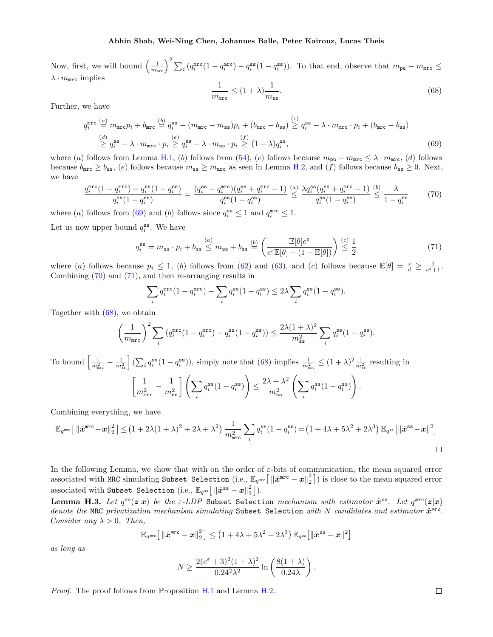Now, first, we will bound  $\left(\frac{1}{m_{\text{arc}}}\right)^2 \sum_i \left(q_i^{\text{mc}}(1-q_i^{\text{mc}}) - q_i^{\text{ss}}(1-q_i^{\text{ss}})\right)$ . To that end, observe that  $m_{\text{pu}} - m_{\text{mc}} \leq$  $\lambda \cdot m_{\text{mrc}}$  implies

<span id="page-38-3"></span><span id="page-38-2"></span><span id="page-38-1"></span><span id="page-38-0"></span>
$$
\frac{1}{m_{\text{mrc}}} \le (1 + \lambda) \frac{1}{m_{\text{ss}}}.\tag{68}
$$

Further, we have

$$
q_i^{\text{mrc}} \stackrel{(a)}{=} m_{\text{mrc}} p_i + b_{\text{mrc}} \stackrel{(b)}{=} q_i^{\text{ss}} + (m_{\text{mrc}} - m_{\text{ss}}) p_i + (b_{\text{mrc}} - b_{\text{ss}}) \stackrel{(c)}{\geq} q_i^{\text{ss}} - \lambda \cdot m_{\text{mrc}} \cdot p_i + (b_{\text{mrc}} - b_{\text{ss}})
$$
\n
$$
\stackrel{(d)}{\geq} q_i^{\text{ss}} - \lambda \cdot m_{\text{mrc}} \cdot p_i \stackrel{(e)}{\geq} q_i^{\text{ss}} - \lambda \cdot m_{\text{ss}} \cdot p_i \stackrel{(f)}{\geq} (1 - \lambda) q_i^{\text{ss}}, \tag{69}
$$

where (a) follows from Lemma [H.1,](#page-33-3) (b) follows from [\(54\)](#page-32-3), (c) follows because  $m_{\text{pu}} - m_{\text{mrc}} \leq \lambda \cdot m_{\text{mrc}}$ , (d) follows because  $b_{\texttt{mrc}} \geq b_{\texttt{ss}}$ , (e) follows because  $m_{\texttt{ss}} \geq m_{\texttt{mrc}}$  as seen in Lemma [H.2,](#page-35-5) and (f) follows because  $b_{\texttt{ss}} \geq 0$ . Next, we have

$$
\frac{q_i^{\text{mrc}}(1-q_i^{\text{mrc}})-q_i^{\text{ss}}(1-q_i^{\text{ss}})}{q_i^{\text{ss}}(1-q_i^{\text{ss}})} = \frac{(q_i^{\text{ss}}-q_i^{\text{mrc}})(q_i^{\text{ss}}+q_i^{\text{mrc}}-1)}{q_i^{\text{ss}}(1-q_i^{\text{ss}})} \overset{(a)}{\leq} \frac{\lambda q_i^{\text{ss}}(q_i^{\text{ss}}+q_i^{\text{mrc}}-1)}{q_i^{\text{ss}}(1-q_i^{\text{ss}})} \overset{(b)}{\leq} \frac{\lambda}{1-q_i^{\text{ss}}} \tag{70}
$$

where (a) follows from [\(69\)](#page-38-0) and (b) follows since  $q_i^{\text{ss}} \leq 1$  and  $q_i^{\text{mrc}} \leq 1$ .

Let us now upper bound  $q_i^{\text{ss}}$ . We have

$$
q_i^{\text{ss}} = m_{\text{ss}} \cdot p_i + b_{\text{ss}} \stackrel{(a)}{\leq} m_{\text{ss}} + b_{\text{ss}} \stackrel{(b)}{=} \left( \frac{\mathbb{E}[\theta]e^{\varepsilon}}{e^{\varepsilon}\mathbb{E}[\theta] + (1 - \mathbb{E}[\theta])} \right) \stackrel{(c)}{\leq} \frac{1}{2}
$$
(71)

where (a) follows because  $p_i \leq 1$ , (b) follows from [\(62\)](#page-35-3) and [\(63\)](#page-35-4), and (c) follows because  $\mathbb{E}[\theta] = \frac{s}{d} \geq \frac{1}{e^{\epsilon}+1}$ . Combining [\(70\)](#page-38-1) and [\(71\)](#page-38-2), and then re-arranging results in

$$
\sum_{i} q_i^{\text{mrc}} (1 - q_i^{\text{mrc}}) - \sum_{i} q_i^{\text{ss}} (1 - q_i^{\text{ss}}) \le 2\lambda \sum_{i} q_i^{\text{ss}} (1 - q_i^{\text{ss}}).
$$

Together with [\(68\)](#page-38-3), we obtain

$$
\left(\frac{1}{m_{\mathtt{mrc}}}\right)^2 \sum_i \left(q_i^{\mathtt{mrc}}(1-q_i^{\mathtt{mrc}})-q_i^{\mathtt{ss}}(1-q_i^{\mathtt{ss}})\right) \le \frac{2\lambda(1+\lambda)^2}{m_{\mathtt{ss}}^2} \sum_i q_i^{\mathtt{ss}}(1-q_i^{\mathtt{ss}}).
$$

To bound  $\left[\frac{1}{m_{\text{src}}^2} - \frac{1}{m_{\text{ss}}^2}\right] (\sum_i q_i^{\text{ss}} (1 - q_i^{\text{ss}}))$ , simply note that [\(68\)](#page-38-3) implies  $\frac{1}{m_{\text{src}}^2} \leq (1 + \lambda)^2 \frac{1}{m_{\text{ss}}^2}$  resulting in  $\begin{bmatrix} 1 \end{bmatrix}$  $\overline{m^2_{\tt mrc}}$  – 1  $\left[\frac{1}{m_{\mathtt{ss}}^2}\right]\left(\sum_i\right)$  $q_i^{\text{ss}}(1-q_i^{\text{ss}})$  $\setminus$ ≤  $2\lambda + \lambda^2$  $\frac{\lambda+\lambda^2}{m_{\mathtt{ss}}^2}\Biggl(\sum_i$  $q_i^{\text{ss}}(1-q_i^{\text{ss}})$  $\setminus$ .

Combining everything, we have

$$
\mathbb{E}_{q^{\text{mrc}}}\left[\left\|\hat{\boldsymbol{x}}^{\text{mrc}}-\boldsymbol{x}\right\|_{2}^{2}\right] \leq \left(1+2\lambda(1+\lambda)^{2}+2\lambda+\lambda^{2}\right)\frac{1}{m_{\text{mrc}}^{2}}\sum_{i}q_{i}^{\text{ss}}(1-q_{i}^{\text{ss}}) = \left(1+4\lambda+5\lambda^{2}+2\lambda^{3}\right)\mathbb{E}_{q^{\text{ss}}}\left[\|\hat{\boldsymbol{x}}^{\text{ss}}-\boldsymbol{x}\|^{2}\right]
$$

In the following Lemma, we show that with on the order of  $\varepsilon$ -bits of communication, the mean squared error associated with MRC simulating Subset Selection (i.e.,  $\mathbb{E}_{q^{\texttt{mrc}}} \big[ \left\| \hat{x}^{\texttt{mrc}} - x \right\|_2^2 \big]$ ) is close to the mean squared error associated with Subset Selection (i.e.,  $\mathbb{E}_{q^{\text{ss}}} \big[ \|\hat{\bm{x}}^{\text{ss}} - \bm{x}\|_2^2 \big]$ ).

<span id="page-38-4"></span>Lemma H.3. Let  $q^{ss}(z|x)$  be the  $\varepsilon$ -LDP Subset Selection mechanism with estimator  $\hat{x}^{ss}$ . Let  $q^{mrc}(z|x)$ denote the MRC privatization mechanism simulating Subset Selection with N candidates and estimator  $\hat{x}^{mrc}$ . Consider any  $\lambda > 0$ . Then,

$$
\mathbb{E}_{q^{\textit{mrc}}} \big[ \left\| \hat{\bm{x}}^{\textit{mrc}} - \bm{x} \right\|_2^2 \big] \leq \left( 1 + 4 \lambda + 5 \lambda^2 + 2 \lambda^3 \right) \mathbb{E}_{q^{ss}} \big[ \|\hat{\bm{x}}^{ss} - \bm{x}\|^2 \big]
$$

as long as

$$
N \ge \frac{2(e^{\varepsilon}+3)^2(1+\lambda)^2}{0.24^2\lambda^2} \ln\left(\frac{8(1+\lambda)}{0.24\lambda}\right).
$$

*Proof.* The proof follows from Proposition [H.1](#page-37-2) and Lemma [H.2.](#page-35-5)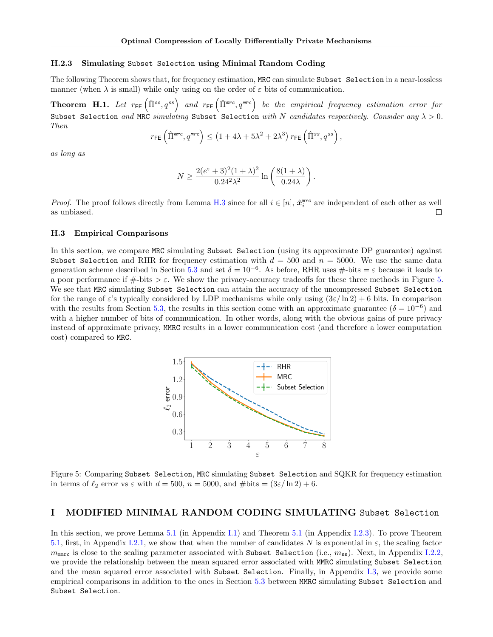## <span id="page-39-1"></span>H.2.3 Simulating Subset Selection using Minimal Random Coding

The following Theorem shows that, for frequency estimation, MRC can simulate Subset Selection in a near-lossless manner (when  $\lambda$  is small) while only using on the order of  $\varepsilon$  bits of communication.

**Theorem H.1.** Let  $r_{FE}(\hat{\Pi}^{ss}, q^{ss})$  and  $r_{FE}(\hat{\Pi}^{mrc}, q^{mrc})$  be the empirical frequency estimation error for Subset Selection and MRC simulating Subset Selection with  $N$  candidates respectively. Consider any  $\lambda>0.$ Then

$$
r_{\mathsf{FE}}\left(\hat{\Pi}^{\mathit{mrc}},q^{\mathit{mrc}}\right) \leq \left(1+4\lambda+5\lambda^2+2\lambda^3\right)r_{\mathsf{FE}}\left(\hat{\Pi}^{\mathit{ss}},q^{\mathit{ss}}\right),
$$

as long as

$$
N \ge \frac{2(e^{\varepsilon}+3)^2(1+\lambda)^2}{0.24^2\lambda^2} \ln\left(\frac{8(1+\lambda)}{0.24\lambda}\right).
$$

*Proof.* The proof follows directly from Lemma [H.3](#page-38-4) since for all  $i \in [n]$ ,  $\hat{\boldsymbol{x}}_i^{\text{mrc}}$  are independent of each other as well as unbiased.  $\Box$ 

## <span id="page-39-2"></span>H.3 Empirical Comparisons

<span id="page-39-3"></span>In this section, we compare MRC simulating Subset Selection (using its approximate DP guarantee) against Subset Selection and RHR for frequency estimation with  $d = 500$  and  $n = 5000$ . We use the same data generation scheme described in Section [5.3](#page-8-1) and set  $\delta = 10^{-6}$ . As before, RHR uses  $\#$ -bits =  $\varepsilon$  because it leads to a poor performance if  $\#$ -bits  $>\varepsilon$ . We show the privacy-accuracy tradeoffs for these three methods in Figure [5.](#page-39-3) We see that MRC simulating Subset Selection can attain the accuracy of the uncompressed Subset Selection for the range of  $\varepsilon$ 's typically considered by LDP mechanisms while only using  $(3\varepsilon/\ln 2) + 6$  bits. In comparison with the results from Section [5.3,](#page-8-1) the results in this section come with an approximate guarantee ( $\delta = 10^{-6}$ ) and with a higher number of bits of communication. In other words, along with the obvious gains of pure privacy instead of approximate privacy, MMRC results in a lower communication cost (and therefore a lower computation cost) compared to MRC.



Figure 5: Comparing Subset Selection, MRC simulating Subset Selection and SQKR for frequency estimation in terms of  $\ell_2$  error vs  $\varepsilon$  with  $d = 500$ ,  $n = 5000$ , and  $\# \text{bits} = (3\varepsilon / \ln 2) + 6$ .

# <span id="page-39-0"></span>I MODIFIED MINIMAL RANDOM CODING SIMULATING Subset Selection

In this section, we prove Lemma [5.1](#page-7-0) (in Appendix [I.1\)](#page-40-0) and Theorem [5.1](#page-7-1) (in Appendix [I.2.3\)](#page-43-1). To prove Theorem [5.1,](#page-7-1) first, in Appendix [I.2.1,](#page-41-1) we show that when the number of candidates N is exponential in  $\varepsilon$ , the scaling factor  $m_{\text{mmrc}}$  is close to the scaling parameter associated with Subset Selection (i.e.,  $m_{\text{ss}}$ ). Next, in Appendix [I.2.2,](#page-42-0) we provide the relationship between the mean squared error associated with MMRC simulating Subset Selection and the mean squared error associated with Subset Selection. Finally, in Appendix [I.3,](#page-43-0) we provide some empirical comparisons in addition to the ones in Section [5.3](#page-8-1) between MMRC simulating Subset Selection and Subset Selection.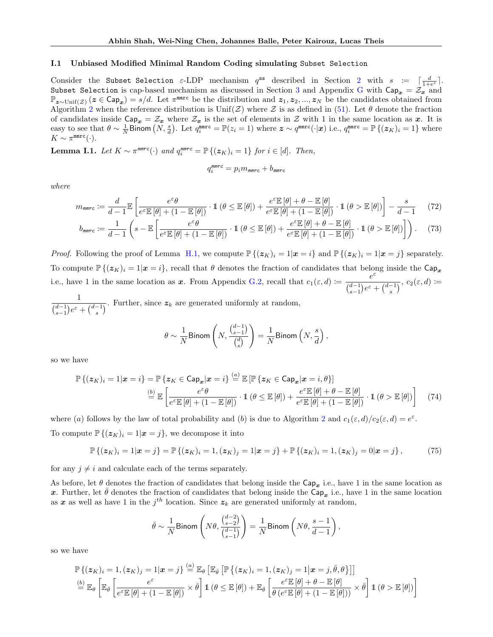### <span id="page-40-0"></span>I.1 Unbiased Modified Minimal Random Coding simulating Subset Selection

Consider the Subset Selection  $\varepsilon$ -LDP mechanism  $q^{ss}$  described in Section [2](#page-2-3) with  $s := \left[\frac{d}{1+e^{\varepsilon}}\right]$ . Subset Selection is cap-based mechanism as discussed in Section [3](#page-3-9) and Appendix [G](#page-31-0) with  $\text{Cap}_x = \mathcal{Z}_x$  and  $\mathbb{P}_{\bm{z}\sim\text{Unif}(\mathcal{Z})}$  ( $\bm{z}\in\textsf{Cap}_{\bm{x}}$ ) = s/d. Let  $\pi^{\text{mmrc}}$  be the distribution and  $\bm{z}_1,\bm{z}_2,...,\bm{z}_N$  be the candidates obtained from Algorithm [2](#page-5-2) when the reference distribution is Unif(Z) where Z is as defined in [\(51\)](#page-31-5). Let  $\theta$  denote the fraction of candidates inside  $\text{Cap}_x = \mathcal{Z}_x$  where  $\mathcal{Z}_x$  is the set of elements in Z with 1 in the same location as x. It is easy to see that  $\theta \sim \frac{1}{N}$ Binom  $(N, \frac{s}{d})$ . Let  $q_i^{\text{mmrc}} = \mathbb{P}(z_i = 1)$  where  $z \sim q^{\text{mmrc}}(\cdot | x)$  i.e.,  $q_i^{\text{mmrc}} = \mathbb{P}\{(z_K)_i = 1\}$  where  $K \sim \pi^{\text{mmrc}}(\cdot).$ 

<span id="page-40-3"></span>**Lemma I.1.** Let  $K \sim \pi^{mmrc}(\cdot)$  and  $q_i^{mmrc} = \mathbb{P}\{(\mathbf{z}_K)_i = 1\}$  for  $i \in [d]$ . Then,

<span id="page-40-5"></span><span id="page-40-4"></span>
$$
q_i^{\rm mmc}=p_i m_{\rm mmc}+b_{\rm mmc}
$$

where

$$
m_{\text{mmrc}} := \frac{d}{d-1} \mathbb{E} \left[ \frac{e^{\varepsilon} \theta}{e^{\varepsilon} \mathbb{E} \left[ \theta \right] + (1 - \mathbb{E} \left[ \theta \right])} \cdot \mathbb{1} \left( \theta \le \mathbb{E} \left[ \theta \right] \right) + \frac{e^{\varepsilon} \mathbb{E} \left[ \theta \right] + \theta - \mathbb{E} \left[ \theta \right]}{e^{\varepsilon} \mathbb{E} \left[ \theta \right] + (1 - \mathbb{E} \left[ \theta \right])} \cdot \mathbb{1} \left( \theta > \mathbb{E} \left[ \theta \right] \right) \right] - \frac{s}{d-1} \tag{72}
$$
\n
$$
b_{\text{mm}} := \frac{1}{d-1} \left( s - \mathbb{E} \left[ \frac{e^{\varepsilon} \theta}{e^{\varepsilon} \theta} - \mathbb{E} \left[ \theta \right] + \theta \right] + \frac{e^{\varepsilon} \mathbb{E} \left[ \theta \right] + \theta - \mathbb{E} \left[ \theta \right]}{e^{\varepsilon} \mathbb{E} \left[ \theta \right] + \theta - \mathbb{E} \left[ \theta \right]} \cdot \mathbb{1} \left( \theta > \mathbb{E} \left[ \theta \right] \right) \right) \tag{73}
$$

$$
b_{\textit{mmrc}} := \frac{1}{d-1} \left( s - \mathbb{E} \left[ \frac{e^{\varepsilon} \theta}{e^{\varepsilon} \mathbb{E} \left[ \theta \right] + (1 - \mathbb{E} \left[ \theta \right])} \cdot \mathbb{1} \left( \theta \leq \mathbb{E} \left[ \theta \right] \right) + \frac{e^{\varepsilon} \mathbb{E} \left[ \theta \right] + \theta - \mathbb{E} \left[ \theta \right]}{e^{\varepsilon} \mathbb{E} \left[ \theta \right] + (1 - \mathbb{E} \left[ \theta \right])} \cdot \mathbb{1} \left( \theta > \mathbb{E} \left[ \theta \right] \right) \right) \right). \tag{73}
$$

*Proof.* Following the proof of Lemma [H.1,](#page-33-3) we compute  $\mathbb{P}\{(z_K)_i=1|\mathbf{x}=i\}$  and  $\mathbb{P}\{(z_K)_i=1|\mathbf{x}=j\}$  separately. To compute  $\mathbb{P}\{(z_K)_i=1|\mathbf{x}=i\}$ , recall that  $\theta$  denotes the fraction of candidates that belong inside the  $\text{Cap}_{\mathbf{x}}$ i.e., have 1 in the same location as x. From Appendix [G.2,](#page-32-4) recall that  $c_1(\varepsilon, d) := \frac{e^{\varepsilon}}{(d-1)}$  $\frac{c}{\binom{d-1}{s-1}e^{\varepsilon}+\binom{d-1}{s}},\,c_2(\varepsilon,d)\coloneqq$ 

1  $\frac{1}{\binom{d-1}{s-1}}e^{\epsilon} + \binom{d-1}{s}$ . Further, since  $z_k$  are generated uniformly at random,

<span id="page-40-2"></span>
$$
\theta \sim \frac{1}{N} \text{Binom}\left(N, \frac{\binom{d-1}{s-1}}{\binom{d}{s}}\right) = \frac{1}{N} \text{Binom}\left(N, \frac{s}{d}\right),
$$

so we have

$$
\mathbb{P}\left\{(\boldsymbol{z}_K)_i = 1 | \boldsymbol{x} = i\right\} = \mathbb{P}\left\{\boldsymbol{z}_K \in \mathsf{Cap}_{\boldsymbol{x}} | \boldsymbol{x} = i\right\} \stackrel{(a)}{=} \mathbb{E}\left[\mathbb{P}\left\{\boldsymbol{z}_K \in \mathsf{Cap}_{\boldsymbol{x}} | \boldsymbol{x} = i, \theta\right\}\right]
$$
\n
$$
\stackrel{(b)}{=} \mathbb{E}\left[\frac{e^{\varepsilon}\theta}{e^{\varepsilon}\mathbb{E}\left[\theta\right] + (1 - \mathbb{E}\left[\theta\right])} \cdot \mathbb{1}\left(\theta \le \mathbb{E}\left[\theta\right]\right) + \frac{e^{\varepsilon}\mathbb{E}\left[\theta\right] + \theta - \mathbb{E}\left[\theta\right]}{e^{\varepsilon}\mathbb{E}\left[\theta\right] + (1 - \mathbb{E}\left[\theta\right])} \cdot \mathbb{1}\left(\theta > \mathbb{E}\left[\theta\right]\right)\right] \tag{74}
$$

where (a) follows by the law of total probability and (b) is due to Algorithm [2](#page-5-2) and  $c_1(\varepsilon, d)/c_2(\varepsilon, d) = e^{\varepsilon}$ . To compute  $\mathbb{P}\left\{(\mathbf{z}_K)_i=1|\mathbf{x}=j\right\}$ , we decompose it into

$$
\mathbb{P}\left\{(\mathbf{z}_K)_i=1|\mathbf{x}=j\right\}=\mathbb{P}\left\{(\mathbf{z}_K)_i=1,(\mathbf{z}_K)_j=1|\mathbf{x}=j\right\}+\mathbb{P}\left\{(\mathbf{z}_K)_i=1,(\mathbf{z}_K)_j=0|\mathbf{x}=j\right\},\tag{75}
$$

for any  $j \neq i$  and calculate each of the terms separately.

As before, let  $\theta$  denotes the fraction of candidates that belong inside the Cap<sub>x</sub> i.e., have 1 in the same location as x. Further, let  $\bar{\theta}$  denotes the fraction of candidates that belong inside the  $\textsf{Cap}_{x}$  i.e., have 1 in the same location as x as well as have 1 in the  $j<sup>th</sup>$  location. Since  $z<sub>k</sub>$  are generated uniformly at random,

<span id="page-40-1"></span>
$$
\bar{\theta} \sim \frac{1}{N} \text{Binom}\left(N\theta, \frac{\binom{d-2}{s-2}}{\binom{d-1}{s-1}}\right) = \frac{1}{N} \text{Binom}\left(N\theta, \frac{s-1}{d-1}\right),
$$

so we have

$$
\mathbb{P}\left\{(\mathbf{z}_K)_i = 1, (\mathbf{z}_K)_j = 1 | \mathbf{x} = j\right\} \stackrel{(a)}{=} \mathbb{E}_{\theta} \left[ \mathbb{E}_{\bar{\theta}} \left[ \mathbb{P}\left\{(\mathbf{z}_K)_i = 1, (\mathbf{z}_K)_j = 1 | \mathbf{x} = j, \bar{\theta}, \theta\right\} \right] \right]
$$
\n
$$
\stackrel{(b)}{=} \mathbb{E}_{\theta} \left[ \mathbb{E}_{\bar{\theta}} \left[ \frac{e^{\varepsilon}}{e^{\varepsilon} \mathbb{E}\left[\theta\right] + (1 - \mathbb{E}\left[\theta\right])} \times \bar{\theta} \right] \mathbb{1} \left( \theta \le \mathbb{E}\left[\theta\right] \right) + \mathbb{E}_{\bar{\theta}} \left[ \frac{e^{\varepsilon} \mathbb{E}\left[\theta\right] + \theta - \mathbb{E}\left[\theta\right]}{\theta \left(e^{\varepsilon} \mathbb{E}\left[\theta\right] + (1 - \mathbb{E}\left[\theta\right])\right)} \times \bar{\theta} \right] \mathbb{1} \left( \theta > \mathbb{E}\left[\theta\right] \right) \right]
$$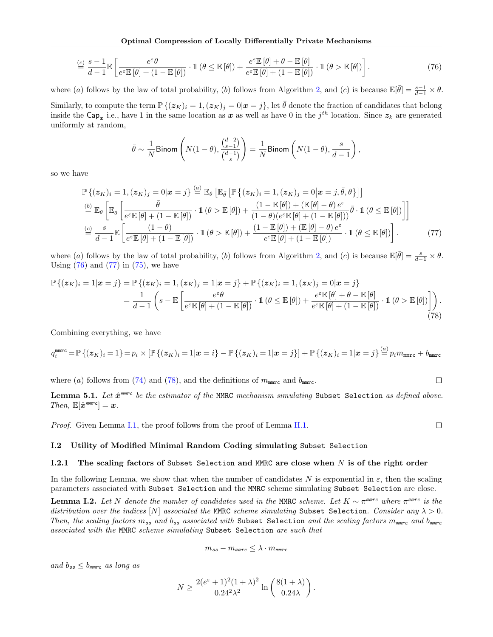Optimal Compression of Locally Differentially Private Mechanisms

$$
\stackrel{(c)}{=} \frac{s-1}{d-1} \mathbb{E} \left[ \frac{e^{\varepsilon} \theta}{e^{\varepsilon} \mathbb{E} \left[ \theta \right] + (1 - \mathbb{E} \left[ \theta \right])} \cdot \mathbb{1} \left( \theta \leq \mathbb{E} \left[ \theta \right] \right) + \frac{e^{\varepsilon} \mathbb{E} \left[ \theta \right] + \theta - \mathbb{E} \left[ \theta \right]}{e^{\varepsilon} \mathbb{E} \left[ \theta \right] + (1 - \mathbb{E} \left[ \theta \right])} \cdot \mathbb{1} \left( \theta > \mathbb{E} \left[ \theta \right] \right) \right]. \tag{76}
$$

where (a) follows by the law of total probability, (b) follows from Algorithm [2,](#page-5-2) and (c) is because  $\mathbb{E}[\bar{\theta}] = \frac{s-1}{d-1} \times \theta$ . Similarly, to compute the term  $\mathbb{P}\left\{(\mathbf{z}_K)_i=1,(\mathbf{z}_K)_j=0|\mathbf{x}=j\right\}$ , let  $\bar{\theta}$  denote the fraction of candidates that belong inside the  $\textsf{Cap}_x$  i.e., have 1 in the same location as x as well as have 0 in the  $j^{th}$  location. Since  $z_k$  are generated uniformly at random,

<span id="page-41-2"></span>
$$
\bar{\theta} \sim \frac{1}{N} \text{Binom}\left(N(1-\theta), \frac{\binom{d-2}{s-1}}{\binom{d-1}{s}}\right) = \frac{1}{N} \text{Binom}\left(N(1-\theta), \frac{s}{d-1}\right),
$$

so we have

$$
\mathbb{P}\left\{(\mathbf{z}_K)_i = 1, (\mathbf{z}_K)_j = 0 | \mathbf{x} = j\right\} \stackrel{(a)}{=} \mathbb{E}_{\theta} \left[ \mathbb{E}_{\bar{\theta}} \left[ \mathbb{P}\left\{(\mathbf{z}_K)_i = 1, (\mathbf{z}_K)_j = 0 | \mathbf{x} = j, \bar{\theta}, \theta\right\} \right] \right]
$$
\n
$$
\stackrel{(b)}{=} \mathbb{E}_{\theta} \left[ \mathbb{E}_{\bar{\theta}} \left[ \frac{\bar{\theta}}{e^{\epsilon} \mathbb{E}\left[\theta\right] + (1 - \mathbb{E}\left[\theta\right])} \cdot \mathbb{1}\left(\theta > \mathbb{E}\left[\theta\right] \right) + \frac{(1 - \mathbb{E}\left[\theta\right]) + (\mathbb{E}\left[\theta\right] - \theta)e^{\epsilon}}{(1 - \theta)(e^{\epsilon} \mathbb{E}\left[\theta\right] + (1 - \mathbb{E}\left[\theta\right])}\bar{\theta} \cdot \mathbb{1}\left(\theta \le \mathbb{E}\left[\theta\right]) \right] \right]
$$
\n
$$
\stackrel{(c)}{=} \frac{s}{d - 1} \mathbb{E} \left[ \frac{(1 - \theta)}{e^{\epsilon} \mathbb{E}\left[\theta\right] + (1 - \mathbb{E}\left[\theta\right])} \cdot \mathbb{1}\left(\theta > \mathbb{E}\left[\theta\right] \right) + \frac{(1 - \mathbb{E}\left[\theta\right]) + (\mathbb{E}\left[\theta\right] - \theta)e^{\epsilon}}{e^{\epsilon} \mathbb{E}\left[\theta\right] + (1 - \mathbb{E}\left[\theta\right])} \cdot \mathbb{1}\left(\theta \le \mathbb{E}\left[\theta\right] \right) \right].
$$
\n(77)

where (a) follows by the law of total probability, (b) follows from Algorithm [2,](#page-5-2) and (c) is because  $\mathbb{E}[\bar{\theta}] = \frac{s}{d-1} \times \theta$ . Using  $(76)$  and  $(77)$  in  $(75)$ , we have

$$
\mathbb{P}\left\{(\boldsymbol{z}_K)_i=1|\boldsymbol{x}=j\right\}=\mathbb{P}\left\{(\boldsymbol{z}_K)_i=1,(\boldsymbol{z}_K)_j=1|\boldsymbol{x}=j\right\}+\mathbb{P}\left\{(\boldsymbol{z}_K)_i=1,(\boldsymbol{z}_K)_j=0|\boldsymbol{x}=j\right\}
$$
\n
$$
=\frac{1}{d-1}\left(s-\mathbb{E}\left[\frac{e^{\varepsilon}\theta}{e^{\varepsilon}\mathbb{E}\left[\theta\right]+(1-\mathbb{E}\left[\theta\right])}\cdot\mathbb{1}\left(\theta\le\mathbb{E}\left[\theta\right]\right)+\frac{e^{\varepsilon}\mathbb{E}\left[\theta\right]+\theta-\mathbb{E}\left[\theta\right]}{e^{\varepsilon}\mathbb{E}\left[\theta\right]+(1-\mathbb{E}\left[\theta\right])}\cdot\mathbb{1}\left(\theta>\mathbb{E}\left[\theta\right]\right)\right\}.\tag{78}
$$

Combining everything, we have

$$
q_i^{\text{mmrc}} = \mathbb{P}\left\{(\boldsymbol{z}_K)_i = 1\right\} = p_i \times \left[\mathbb{P}\left\{(\boldsymbol{z}_K)_i = 1 | \boldsymbol{x} = i\right\} - \mathbb{P}\left\{(\boldsymbol{z}_K)_i = 1 | \boldsymbol{x} = j\right\}\right] + \mathbb{P}\left\{(\boldsymbol{z}_K)_i = 1 | \boldsymbol{x} = j\right\} \stackrel{(a)}{=} p_i m_{\text{mmrc}} + b_{\text{mmrc}}
$$

where (a) follows from [\(74\)](#page-40-2) and [\(78\)](#page-41-4), and the definitions of  $m_{\text{mmrc}}$  and  $b_{\text{mmrc}}$ .

Lemma 5.1. Let  $\hat{x}^{mmrc}$  be the estimator of the MMRC mechanism simulating Subset Selection as defined above. Then,  $\mathbb{E}[\hat{\boldsymbol{x}}^{mmc}] = \boldsymbol{x}$ .

<span id="page-41-4"></span><span id="page-41-3"></span> $\Box$ 

 $\Box$ 

Proof. Given Lemma [I.1,](#page-40-3) the proof follows from the proof of Lemma [H.1.](#page-33-3)

# <span id="page-41-0"></span>I.2 Utility of Modified Minimal Random Coding simulating Subset Selection

#### <span id="page-41-1"></span>I.2.1 The scaling factors of Subset Selection and MMRC are close when  $N$  is of the right order

In the following Lemma, we show that when the number of candidates N is exponential in  $\varepsilon$ , then the scaling parameters associated with Subset Selection and the MMRC scheme simulating Subset Selection are close.

<span id="page-41-5"></span>**Lemma I.2.** Let N denote the number of candidates used in the MMRC scheme. Let  $K \sim \pi^{mmr}$  where  $\pi^{mmr}$  is the distribution over the indices [N] associated the MMRC scheme simulating Subset Selection. Consider any  $\lambda > 0$ . Then, the scaling factors  $m_{ss}$  and  $b_{ss}$  associated with Subset Selection and the scaling factors  $m_{mmrc}$  and  $b_{mmrc}$ associated with the MMRC scheme simulating Subset Selection are such that

$$
m_{ss} - m_{\text{mmrc}} \leq \lambda \cdot m_{\text{mmrc}}
$$

and  $b_{ss} \leq b_{\text{mmrc}}$  as long as

$$
N \ge \frac{2(e^{\varepsilon} + 1)^2 (1 + \lambda)^2}{0.24^2 \lambda^2} \ln \left( \frac{8(1 + \lambda)}{0.24 \lambda} \right).
$$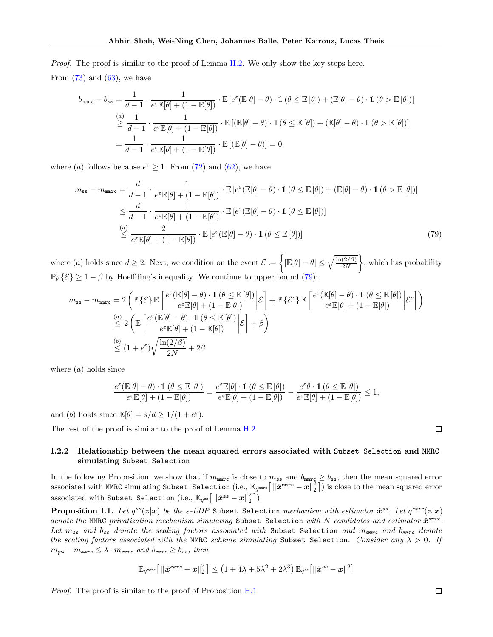Proof. The proof is similar to the proof of Lemma [H.2.](#page-35-5) We only show the key steps here. From  $(73)$  and  $(63)$ , we have

$$
b_{\text{mmrc}} - b_{\text{ss}} = \frac{1}{d-1} \cdot \frac{1}{e^{\epsilon} \mathbb{E}[\theta] + (1 - \mathbb{E}[\theta])} \cdot \mathbb{E}\left[e^{\epsilon}(\mathbb{E}[\theta] - \theta) \cdot \mathbb{1}(\theta \le \mathbb{E}[\theta]) + (\mathbb{E}[\theta] - \theta) \cdot \mathbb{1}(\theta > \mathbb{E}[\theta])\right]
$$
  
\n
$$
\stackrel{(a)}{\geq} \frac{1}{d-1} \cdot \frac{1}{e^{\epsilon} \mathbb{E}[\theta] + (1 - \mathbb{E}[\theta])} \cdot \mathbb{E}\left[ (\mathbb{E}[\theta] - \theta) \cdot \mathbb{1}(\theta \le \mathbb{E}[\theta]) + (\mathbb{E}[\theta] - \theta) \cdot \mathbb{1}(\theta > \mathbb{E}[\theta]) \right]
$$
  
\n
$$
= \frac{1}{d-1} \cdot \frac{1}{e^{\epsilon} \mathbb{E}[\theta] + (1 - \mathbb{E}[\theta])} \cdot \mathbb{E}\left[ (\mathbb{E}[\theta] - \theta) \right] = 0.
$$

where (a) follows because  $e^{\varepsilon} \geq 1$ . From [\(72\)](#page-40-5) and [\(62\)](#page-35-3), we have

$$
m_{\text{ss}} - m_{\text{mmc}} = \frac{d}{d-1} \cdot \frac{1}{e^{\varepsilon} \mathbb{E}[\theta] + (1 - \mathbb{E}[\theta])} \cdot \mathbb{E}\left[e^{\varepsilon} (\mathbb{E}[\theta] - \theta) \cdot \mathbb{1} \left( \theta \le \mathbb{E}[\theta] \right) + (\mathbb{E}[\theta] - \theta) \cdot \mathbb{1} \left( \theta > \mathbb{E}[\theta] \right)\right]
$$
\n
$$
\le \frac{d}{d-1} \cdot \frac{1}{e^{\varepsilon} \mathbb{E}[\theta] + (1 - \mathbb{E}[\theta])} \cdot \mathbb{E}\left[e^{\varepsilon} (\mathbb{E}[\theta] - \theta) \cdot \mathbb{1} \left( \theta \le \mathbb{E}[\theta] \right)\right]
$$
\n
$$
\stackrel{(a)}{\le} \frac{2}{e^{\varepsilon} \mathbb{E}[\theta] + (1 - \mathbb{E}[\theta])} \cdot \mathbb{E}\left[e^{\varepsilon} (\mathbb{E}[\theta] - \theta) \cdot \mathbb{1} \left( \theta \le \mathbb{E}[\theta] \right)\right]
$$
\n
$$
(79)
$$

where (a) holds since  $d \geq 2$ . Next, we condition on the event  $\mathcal{E} := \left\{ |\mathbb{E}[\theta] - \theta| \leq \sqrt{\frac{\ln(2/\beta)}{2N}} \right\}$ 2N , which has probability  $\mathbb{P}_{\theta} \{\mathcal{E}\} \geq 1 - \beta$  by Hoeffding's inequality. We continue to upper bound [\(79\)](#page-42-1):

$$
m_{\text{ss}} - m_{\text{mmrc}} = 2\left(\mathbb{P}\left\{\mathcal{E}\right\}\mathbb{E}\left[\frac{e^{\varepsilon}(\mathbb{E}[\theta] - \theta) \cdot \mathbb{1}\left(\theta \leq \mathbb{E}[\theta]\right)}{e^{\varepsilon}\mathbb{E}[\theta] + (1 - \mathbb{E}[\theta])}\bigg|\mathcal{E}\right] + \mathbb{P}\left\{\mathcal{E}^{c}\right\}\mathbb{E}\left[\frac{e^{\varepsilon}(\mathbb{E}[\theta] - \theta) \cdot \mathbb{1}\left(\theta \leq \mathbb{E}[\theta]\right)}{e^{\varepsilon}\mathbb{E}[\theta] + (1 - \mathbb{E}[\theta])}\bigg|\mathcal{E}^{c}\right]\right)
$$
\n
$$
\stackrel{(a)}{\leq} 2\left(\mathbb{E}\left[\frac{e^{\varepsilon}(\mathbb{E}[\theta] - \theta) \cdot \mathbb{1}\left(\theta \leq \mathbb{E}[\theta]\right)}{e^{\varepsilon}\mathbb{E}[\theta] + (1 - \mathbb{E}[\theta])}\bigg|\mathcal{E}\right] + \beta\right)
$$
\n
$$
\stackrel{(b)}{\leq} (1 + e^{\varepsilon})\sqrt{\frac{\ln(2/\beta)}{2N}} + 2\beta
$$

where  $(a)$  holds since

$$
\frac{e^\varepsilon(\mathbb{E}[\theta]-\theta)\cdot 1\ (\theta\leq \mathbb{E}\left[\theta\right])}{e^\varepsilon\mathbb{E}[\theta]+(1-\mathbb{E}[\theta])}=\frac{e^\varepsilon\mathbb{E}[\theta]\cdot 1\ (\theta\leq \mathbb{E}\left[\theta\right])}{e^\varepsilon\mathbb{E}[\theta]+(1-\mathbb{E}[\theta])}-\frac{e^\varepsilon\theta\cdot 1\ (\theta\leq \mathbb{E}\left[\theta\right])}{e^\varepsilon\mathbb{E}[\theta]+(1-\mathbb{E}[\theta])}\leq 1,
$$

and (b) holds since  $\mathbb{E}[\theta] = s/d \ge 1/(1+e^{\varepsilon}).$ 

The rest of the proof is similar to the proof of Lemma [H.2.](#page-35-5)

# <span id="page-42-0"></span>I.2.2 Relationship between the mean squared errors associated with Subset Selection and MMRC simulating Subset Selection

In the following Proposition, we show that if  $m_{\text{mmrc}}$  is close to  $m_{\text{ss}}$  and  $b_{\text{mmrc}} \geq b_{\text{ss}}$ , then the mean squared error associated with MMRC simulating Subset Selection (i.e.,  $\mathbb{E}_{q^{\text{mmrc}}} \left[ \|\hat{x}^{\text{mmrc}} - \overline{x}\|_2^2 \right]$ ) is close to the mean squared error associated with Subset Selection (i.e.,  $\mathbb{E}_{q^{\text{ss}}} \big[ \left\| \hat{\boldsymbol{x}}^{\text{ss}} - \boldsymbol{x} \right\|_2^2 \big]$ ).

<span id="page-42-2"></span>**Proposition I.1.** Let  $q^{ss}(z|x)$  be the  $\varepsilon$ -LDP Subset Selection mechanism with estimator  $\hat{x}^{ss}$ . Let  $q^{mmrc}(z|x)$ denote the MMRC privatization mechanism simulating Subset Selection with N candidates and estimator  $\hat{x}^{mmrc}$ . Let  $m_{ss}$  and  $b_{ss}$  denote the scaling factors associated with Subset Selection and  $m_{mmre}$  and  $b_{mmre}$  denote the scaling factors associated with the MMRC scheme simulating Subset Selection. Consider any  $\lambda > 0$ . If  $m_{\text{pu}} - m_{\text{mmrc}} \leq \lambda \cdot m_{\text{mmrc}}$  and  $b_{\text{mmrc}} \geq b_{ss}$ , then

$$
\mathbb{E}_{q^{\text{mmr}}} \big[ \left\| \hat{\boldsymbol{x}}^{\text{mmr}} - \boldsymbol{x} \right\|_2^2 \big] \leq \left( 1 + 4 \lambda + 5 \lambda^2 + 2 \lambda^3 \right) \mathbb{E}_{q^{ss}} \big[ \| \hat{\boldsymbol{x}}^{ss} - \boldsymbol{x} \|^2 \big]
$$

*Proof.* The proof is similar to the proof of Proposition [H.1.](#page-37-2)

<span id="page-42-1"></span> $\Box$